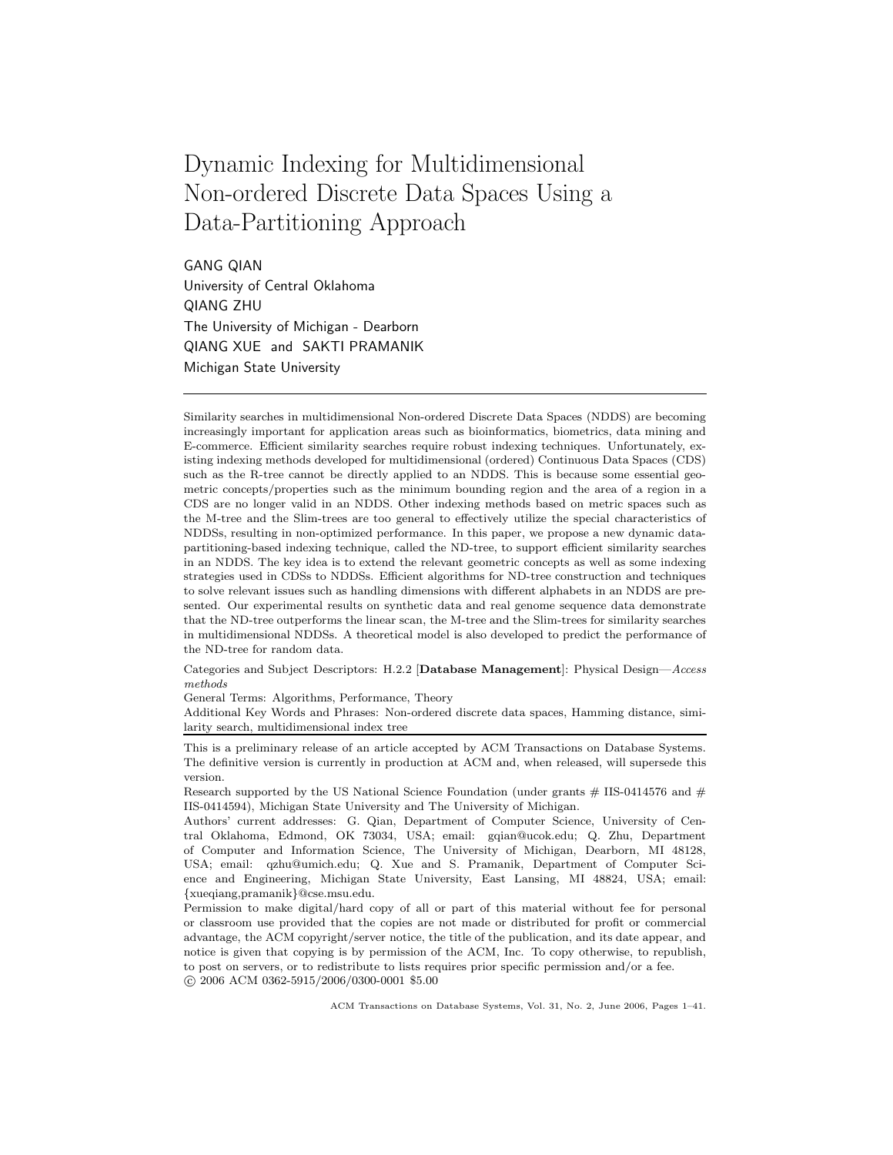# Dynamic Indexing for Multidimensional Non-ordered Discrete Data Spaces Using a Data-Partitioning Approach

GANG QIAN University of Central Oklahoma QIANG ZHU The University of Michigan - Dearborn QIANG XUE and SAKTI PRAMANIK Michigan State University

Similarity searches in multidimensional Non-ordered Discrete Data Spaces (NDDS) are becoming increasingly important for application areas such as bioinformatics, biometrics, data mining and E-commerce. Efficient similarity searches require robust indexing techniques. Unfortunately, existing indexing methods developed for multidimensional (ordered) Continuous Data Spaces (CDS) such as the R-tree cannot be directly applied to an NDDS. This is because some essential geometric concepts/properties such as the minimum bounding region and the area of a region in a CDS are no longer valid in an NDDS. Other indexing methods based on metric spaces such as the M-tree and the Slim-trees are too general to effectively utilize the special characteristics of NDDSs, resulting in non-optimized performance. In this paper, we propose a new dynamic datapartitioning-based indexing technique, called the ND-tree, to support efficient similarity searches in an NDDS. The key idea is to extend the relevant geometric concepts as well as some indexing strategies used in CDSs to NDDSs. Efficient algorithms for ND-tree construction and techniques to solve relevant issues such as handling dimensions with different alphabets in an NDDS are presented. Our experimental results on synthetic data and real genome sequence data demonstrate that the ND-tree outperforms the linear scan, the M-tree and the Slim-trees for similarity searches in multidimensional NDDSs. A theoretical model is also developed to predict the performance of the ND-tree for random data.

Categories and Subject Descriptors: H.2.2 [Database Management]: Physical Design—Access methods

General Terms: Algorithms, Performance, Theory

Additional Key Words and Phrases: Non-ordered discrete data spaces, Hamming distance, similarity search, multidimensional index tree

This is a preliminary release of an article accepted by ACM Transactions on Database Systems. The definitive version is currently in production at ACM and, when released, will supersede this version.

Research supported by the US National Science Foundation (under grants # IIS-0414576 and # IIS-0414594), Michigan State University and The University of Michigan.

Authors' current addresses: G. Qian, Department of Computer Science, University of Central Oklahoma, Edmond, OK 73034, USA; email: gqian@ucok.edu; Q. Zhu, Department of Computer and Information Science, The University of Michigan, Dearborn, MI 48128, USA; email: qzhu@umich.edu; Q. Xue and S. Pramanik, Department of Computer Science and Engineering, Michigan State University, East Lansing, MI 48824, USA; email: {xueqiang,pramanik}@cse.msu.edu.

Permission to make digital/hard copy of all or part of this material without fee for personal or classroom use provided that the copies are not made or distributed for profit or commercial advantage, the ACM copyright/server notice, the title of the publication, and its date appear, and notice is given that copying is by permission of the ACM, Inc. To copy otherwise, to republish, to post on servers, or to redistribute to lists requires prior specific permission and/or a fee. c 2006 ACM 0362-5915/2006/0300-0001 \$5.00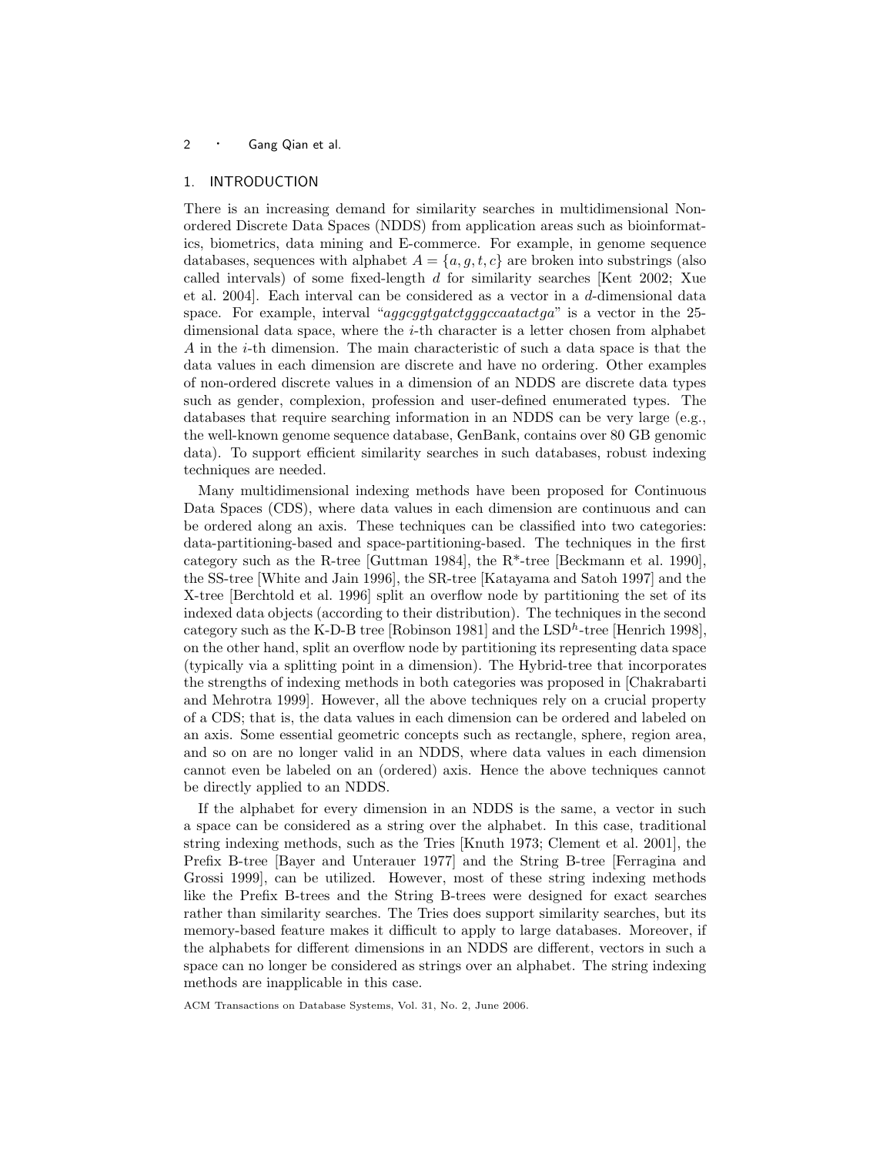## 1. INTRODUCTION

There is an increasing demand for similarity searches in multidimensional Nonordered Discrete Data Spaces (NDDS) from application areas such as bioinformatics, biometrics, data mining and E-commerce. For example, in genome sequence databases, sequences with alphabet  $A = \{a, q, t, c\}$  are broken into substrings (also called intervals) of some fixed-length d for similarity searches [Kent 2002; Xue et al. 2004]. Each interval can be considered as a vector in a d-dimensional data space. For example, interval "aggcggtgatctgggccaatactga" is a vector in the 25dimensional data space, where the  $i$ -th character is a letter chosen from alphabet A in the i-th dimension. The main characteristic of such a data space is that the data values in each dimension are discrete and have no ordering. Other examples of non-ordered discrete values in a dimension of an NDDS are discrete data types such as gender, complexion, profession and user-defined enumerated types. The databases that require searching information in an NDDS can be very large (e.g., the well-known genome sequence database, GenBank, contains over 80 GB genomic data). To support efficient similarity searches in such databases, robust indexing techniques are needed.

Many multidimensional indexing methods have been proposed for Continuous Data Spaces (CDS), where data values in each dimension are continuous and can be ordered along an axis. These techniques can be classified into two categories: data-partitioning-based and space-partitioning-based. The techniques in the first category such as the R-tree [Guttman 1984], the R\*-tree [Beckmann et al. 1990], the SS-tree [White and Jain 1996], the SR-tree [Katayama and Satoh 1997] and the X-tree [Berchtold et al. 1996] split an overflow node by partitioning the set of its indexed data objects (according to their distribution). The techniques in the second category such as the K-D-B tree [Robinson 1981] and the  $LSD<sup>h</sup>$ -tree [Henrich 1998], on the other hand, split an overflow node by partitioning its representing data space (typically via a splitting point in a dimension). The Hybrid-tree that incorporates the strengths of indexing methods in both categories was proposed in [Chakrabarti and Mehrotra 1999]. However, all the above techniques rely on a crucial property of a CDS; that is, the data values in each dimension can be ordered and labeled on an axis. Some essential geometric concepts such as rectangle, sphere, region area, and so on are no longer valid in an NDDS, where data values in each dimension cannot even be labeled on an (ordered) axis. Hence the above techniques cannot be directly applied to an NDDS.

If the alphabet for every dimension in an NDDS is the same, a vector in such a space can be considered as a string over the alphabet. In this case, traditional string indexing methods, such as the Tries [Knuth 1973; Clement et al. 2001], the Prefix B-tree [Bayer and Unterauer 1977] and the String B-tree [Ferragina and Grossi 1999], can be utilized. However, most of these string indexing methods like the Prefix B-trees and the String B-trees were designed for exact searches rather than similarity searches. The Tries does support similarity searches, but its memory-based feature makes it difficult to apply to large databases. Moreover, if the alphabets for different dimensions in an NDDS are different, vectors in such a space can no longer be considered as strings over an alphabet. The string indexing methods are inapplicable in this case.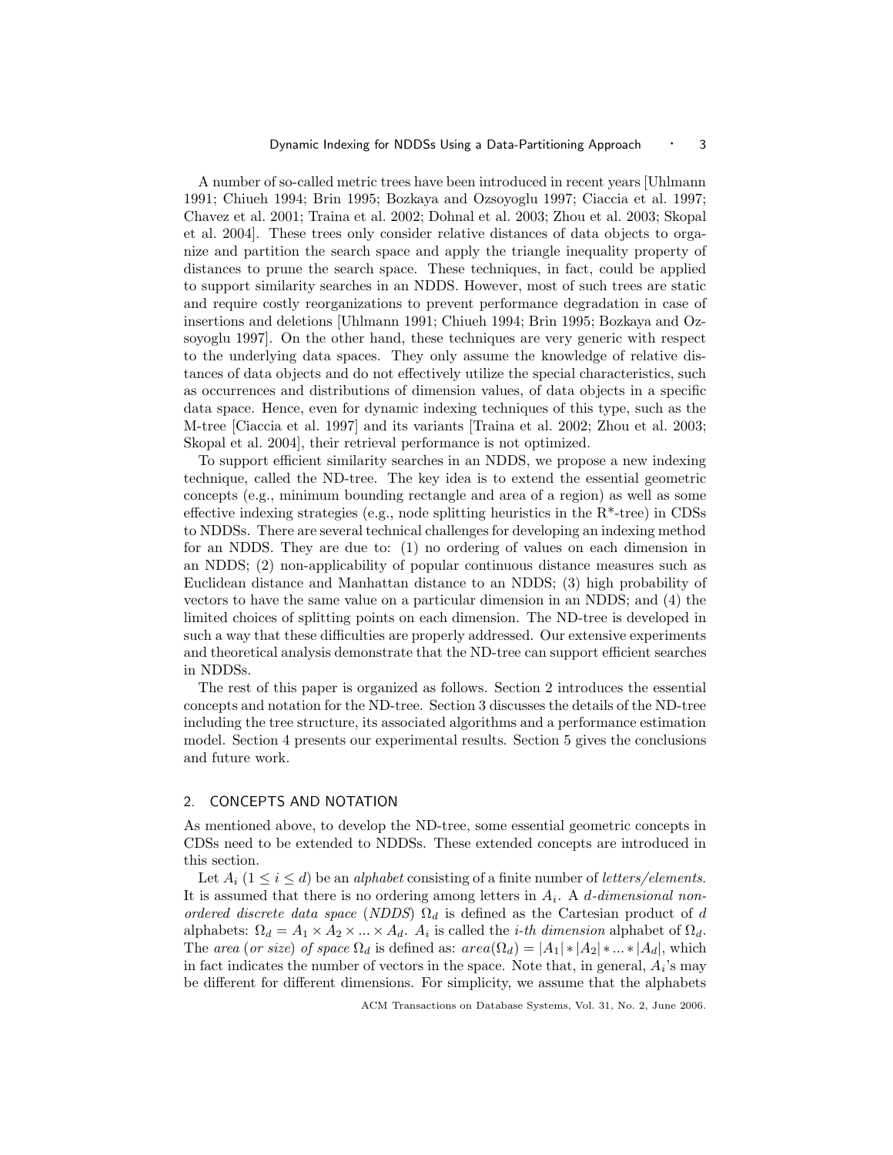A number of so-called metric trees have been introduced in recent years [Uhlmann 1991; Chiueh 1994; Brin 1995; Bozkaya and Ozsoyoglu 1997; Ciaccia et al. 1997; Chavez et al. 2001; Traina et al. 2002; Dohnal et al. 2003; Zhou et al. 2003; Skopal et al. 2004]. These trees only consider relative distances of data objects to organize and partition the search space and apply the triangle inequality property of distances to prune the search space. These techniques, in fact, could be applied to support similarity searches in an NDDS. However, most of such trees are static and require costly reorganizations to prevent performance degradation in case of insertions and deletions [Uhlmann 1991; Chiueh 1994; Brin 1995; Bozkaya and Ozsoyoglu 1997]. On the other hand, these techniques are very generic with respect to the underlying data spaces. They only assume the knowledge of relative distances of data objects and do not effectively utilize the special characteristics, such as occurrences and distributions of dimension values, of data objects in a specific data space. Hence, even for dynamic indexing techniques of this type, such as the M-tree [Ciaccia et al. 1997] and its variants [Traina et al. 2002; Zhou et al. 2003; Skopal et al. 2004], their retrieval performance is not optimized.

To support efficient similarity searches in an NDDS, we propose a new indexing technique, called the ND-tree. The key idea is to extend the essential geometric concepts (e.g., minimum bounding rectangle and area of a region) as well as some effective indexing strategies (e.g., node splitting heuristics in the  $R^*$ -tree) in CDSs to NDDSs. There are several technical challenges for developing an indexing method for an NDDS. They are due to: (1) no ordering of values on each dimension in an NDDS; (2) non-applicability of popular continuous distance measures such as Euclidean distance and Manhattan distance to an NDDS; (3) high probability of vectors to have the same value on a particular dimension in an NDDS; and (4) the limited choices of splitting points on each dimension. The ND-tree is developed in such a way that these difficulties are properly addressed. Our extensive experiments and theoretical analysis demonstrate that the ND-tree can support efficient searches in NDDSs.

The rest of this paper is organized as follows. Section 2 introduces the essential concepts and notation for the ND-tree. Section 3 discusses the details of the ND-tree including the tree structure, its associated algorithms and a performance estimation model. Section 4 presents our experimental results. Section 5 gives the conclusions and future work.

## 2. CONCEPTS AND NOTATION

As mentioned above, to develop the ND-tree, some essential geometric concepts in CDSs need to be extended to NDDSs. These extended concepts are introduced in this section.

Let  $A_i$  ( $1 \leq i \leq d$ ) be an *alphabet* consisting of a finite number of *letters/elements*. It is assumed that there is no ordering among letters in  $A_i$ . A d-dimensional nonordered discrete data space (NDDS)  $\Omega_d$  is defined as the Cartesian product of d alphabets:  $\Omega_d = A_1 \times A_2 \times ... \times A_d$ .  $A_i$  is called the *i-th dimension* alphabet of  $\Omega_d$ . The area (or size) of space  $\Omega_d$  is defined as:  $area(\Omega_d) = |A_1| * |A_2| * ... * |A_d|$ , which in fact indicates the number of vectors in the space. Note that, in general,  $A_i$ 's may be different for different dimensions. For simplicity, we assume that the alphabets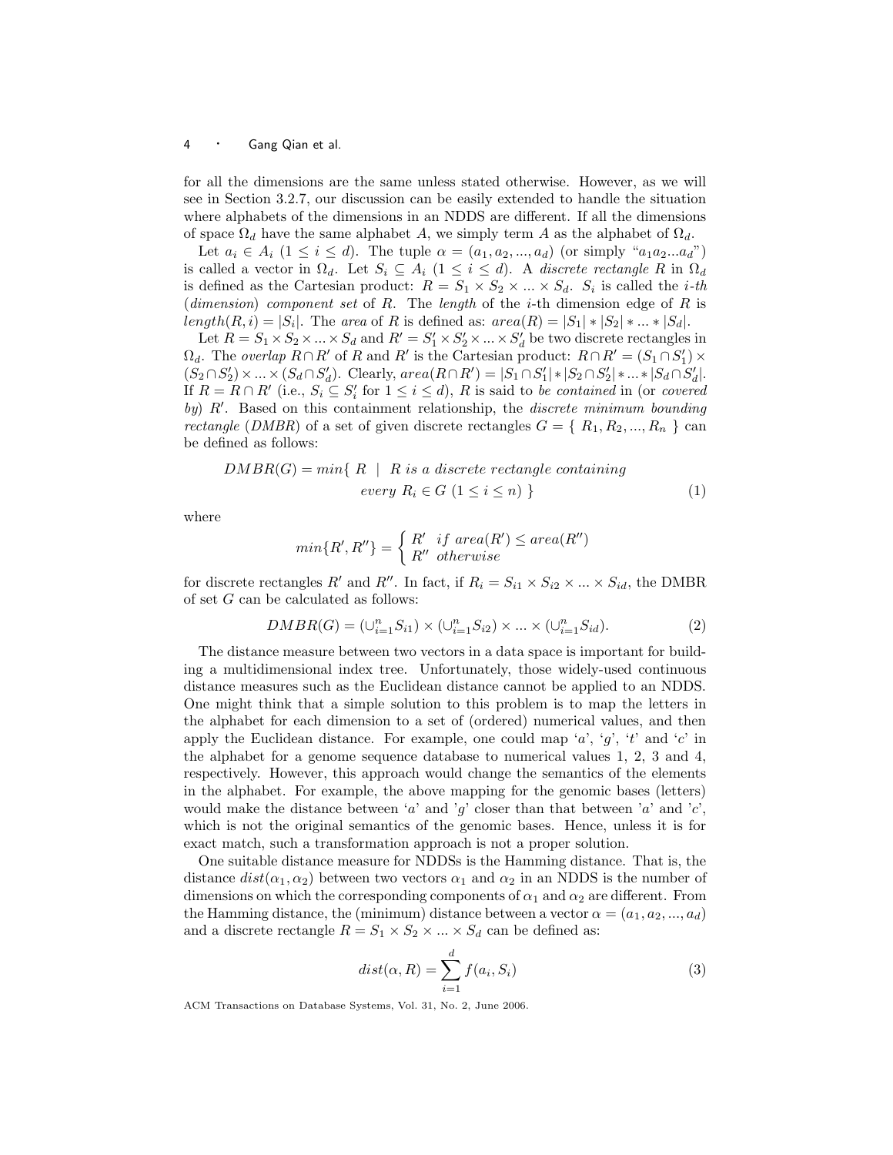for all the dimensions are the same unless stated otherwise. However, as we will see in Section 3.2.7, our discussion can be easily extended to handle the situation where alphabets of the dimensions in an NDDS are different. If all the dimensions of space  $\Omega_d$  have the same alphabet A, we simply term A as the alphabet of  $\Omega_d$ .

Let  $a_i \in A_i$   $(1 \le i \le d)$ . The tuple  $\alpha = (a_1, a_2, ..., a_d)$  (or simply " $a_1 a_2 ... a_d$ ") is called a vector in  $\Omega_d$ . Let  $S_i \subseteq A_i$  ( $1 \leq i \leq d$ ). A discrete rectangle R in  $\Omega_d$ is defined as the Cartesian product:  $R = S_1 \times S_2 \times ... \times S_d$ .  $S_i$  is called the *i*-th (dimension) component set of R. The length of the *i*-th dimension edge of R is  $length(R, i) = |S_i|$ . The area of R is defined as:  $area(R) = |S_1| * |S_2| * ... * |S_d|$ .

Let  $R = S_1 \times S_2 \times \ldots \times S_d$  and  $R' = S_1' \times S_2' \times \ldots \times S_d'$  be two discrete rectangles in  $\Omega_d$ . The *overlap*  $R \cap R'$  of R and R' is the Cartesian product:  $R \cap R' = (S_1 \cap S_1') \times$  $(S_2 \cap S'_2) \times ... \times (S_d \cap S'_d)$ . Clearly,  $area(R \cap R') = |S_1 \cap S'_1| * |S_2 \cap S'_2| * ... * |S_d \cap S'_d|$ . If  $R = R \cap R'$  (i.e.,  $S_i \subseteq S'_i$  for  $1 \leq i \leq d$ ), R is said to be contained in (or covered by)  $R'$ . Based on this containment relationship, the *discrete minimum bounding rectangle (DMBR)* of a set of given discrete rectangles  $G = \{R_1, R_2, ..., R_n\}$  can be defined as follows:

$$
DMBR(G) = min\{ R \mid R \text{ is a discrete rectangle containing}
$$
  
every  $R_i \in G \ (1 \le i \le n)$  } (1)

where

$$
min\{R', R''\} = \begin{cases} R' & if \ area(R') \leq area(R'')\\ R'' & otherwise \end{cases}
$$

for discrete rectangles R' and R''. In fact, if  $R_i = S_{i1} \times S_{i2} \times ... \times S_{id}$ , the DMBR of set G can be calculated as follows:

$$
DMBR(G) = (\cup_{i=1}^{n} S_{i1}) \times (\cup_{i=1}^{n} S_{i2}) \times ... \times (\cup_{i=1}^{n} S_{id}).
$$
\n(2)

The distance measure between two vectors in a data space is important for building a multidimensional index tree. Unfortunately, those widely-used continuous distance measures such as the Euclidean distance cannot be applied to an NDDS. One might think that a simple solution to this problem is to map the letters in the alphabet for each dimension to a set of (ordered) numerical values, and then apply the Euclidean distance. For example, one could map 'a', 'g', 't' and 'c' in the alphabet for a genome sequence database to numerical values 1, 2, 3 and 4, respectively. However, this approach would change the semantics of the elements in the alphabet. For example, the above mapping for the genomic bases (letters) would make the distance between 'a' and 'g' closer than that between 'a' and 'c', which is not the original semantics of the genomic bases. Hence, unless it is for exact match, such a transformation approach is not a proper solution.

One suitable distance measure for NDDSs is the Hamming distance. That is, the distance  $dist(\alpha_1, \alpha_2)$  between two vectors  $\alpha_1$  and  $\alpha_2$  in an NDDS is the number of dimensions on which the corresponding components of  $\alpha_1$  and  $\alpha_2$  are different. From the Hamming distance, the (minimum) distance between a vector  $\alpha = (a_1, a_2, ..., a_d)$ and a discrete rectangle  $R = S_1 \times S_2 \times ... \times S_d$  can be defined as:

$$
dist(\alpha, R) = \sum_{i=1}^{d} f(a_i, S_i)
$$
\n(3)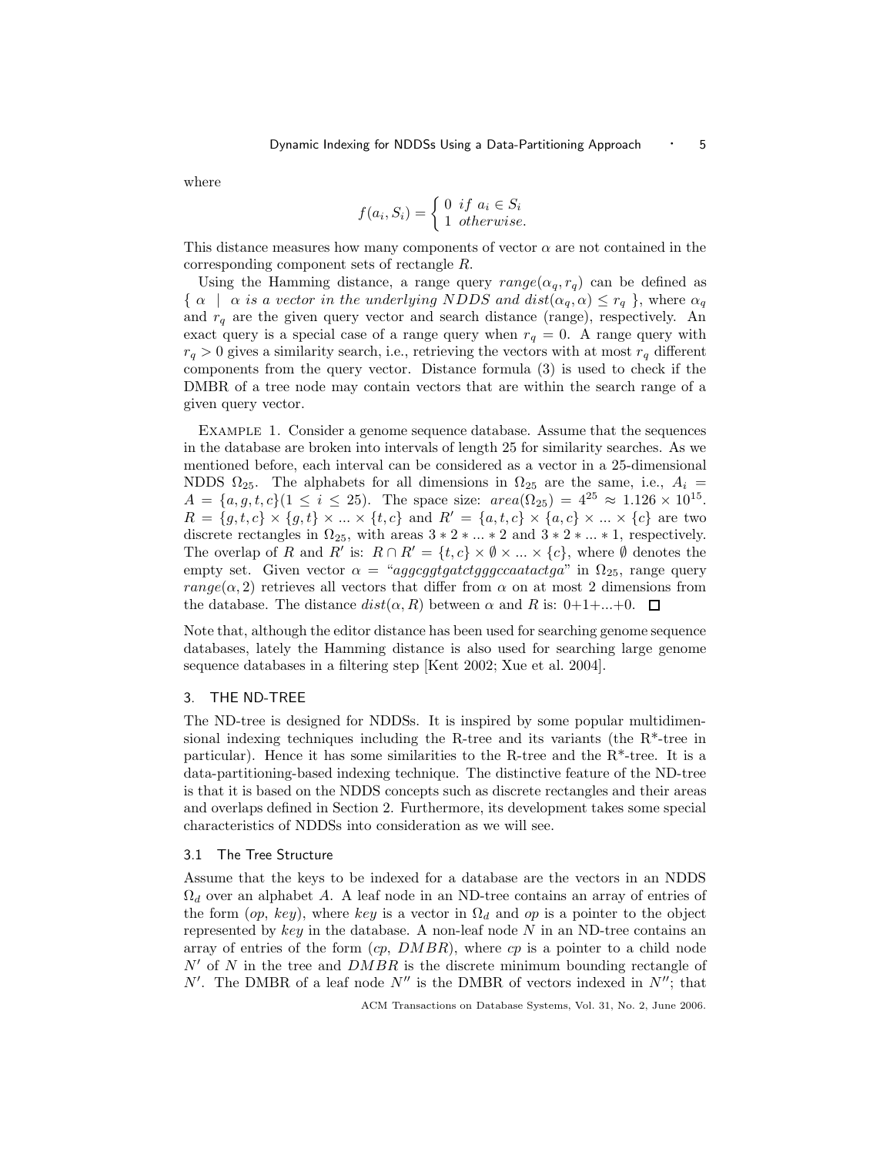where

$$
f(a_i, S_i) = \begin{cases} 0 & \text{if } a_i \in S_i \\ 1 & \text{otherwise.} \end{cases}
$$

This distance measures how many components of vector  $\alpha$  are not contained in the corresponding component sets of rectangle R.

Using the Hamming distance, a range query  $range(\alpha_q, r_q)$  can be defined as  $\{\alpha \mid \alpha \text{ is a vector in the underlying NDDS and } dist(\alpha_q, \alpha) \leq r_q \},$  where  $\alpha_q$ and  $r_q$  are the given query vector and search distance (range), respectively. An exact query is a special case of a range query when  $r_q = 0$ . A range query with  $r_q > 0$  gives a similarity search, i.e., retrieving the vectors with at most  $r_q$  different components from the query vector. Distance formula (3) is used to check if the DMBR of a tree node may contain vectors that are within the search range of a given query vector.

Example 1. Consider a genome sequence database. Assume that the sequences in the database are broken into intervals of length 25 for similarity searches. As we mentioned before, each interval can be considered as a vector in a 25-dimensional NDDS  $\Omega_{25}$ . The alphabets for all dimensions in  $\Omega_{25}$  are the same, i.e.,  $A_i$  $A = \{a, g, t, c\}$  ( $1 \le i \le 25$ ). The space size:  $area(\Omega_{25}) = 4^{25} \approx 1.126 \times 10^{15}$ .  $R = \{g, t, c\} \times \{g, t\} \times ... \times \{t, c\}$  and  $R' = \{a, t, c\} \times \{a, c\} \times ... \times \{c\}$  are two discrete rectangles in  $\Omega_{25}$ , with areas  $3 * 2 * ... * 2$  and  $3 * 2 * ... * 1$ , respectively. The overlap of R and R' is:  $R \cap R' = \{t, c\} \times \emptyset \times ... \times \{c\}$ , where  $\emptyset$  denotes the empty set. Given vector  $\alpha = \alpha$  "aggcggtgatctgggccaatactga" in  $\Omega_{25}$ , range query range( $\alpha$ , 2) retrieves all vectors that differ from  $\alpha$  on at most 2 dimensions from the database. The distance  $dist(\alpha, R)$  between  $\alpha$  and R is: 0+1+...+0.  $\Box$ 

Note that, although the editor distance has been used for searching genome sequence databases, lately the Hamming distance is also used for searching large genome sequence databases in a filtering step [Kent 2002; Xue et al. 2004].

# 3. THE ND-TREE

The ND-tree is designed for NDDSs. It is inspired by some popular multidimensional indexing techniques including the R-tree and its variants (the R\*-tree in particular). Hence it has some similarities to the R-tree and the R\*-tree. It is a data-partitioning-based indexing technique. The distinctive feature of the ND-tree is that it is based on the NDDS concepts such as discrete rectangles and their areas and overlaps defined in Section 2. Furthermore, its development takes some special characteristics of NDDSs into consideration as we will see.

## 3.1 The Tree Structure

Assume that the keys to be indexed for a database are the vectors in an NDDS  $\Omega_d$  over an alphabet A. A leaf node in an ND-tree contains an array of entries of the form  $(op, key)$ , where key is a vector in  $\Omega_d$  and op is a pointer to the object represented by  $key$  in the database. A non-leaf node N in an ND-tree contains an array of entries of the form  $(cp, DMBR)$ , where cp is a pointer to a child node  $N'$  of N in the tree and  $DMBR$  is the discrete minimum bounding rectangle of  $N'$ . The DMBR of a leaf node  $N''$  is the DMBR of vectors indexed in  $N''$ ; that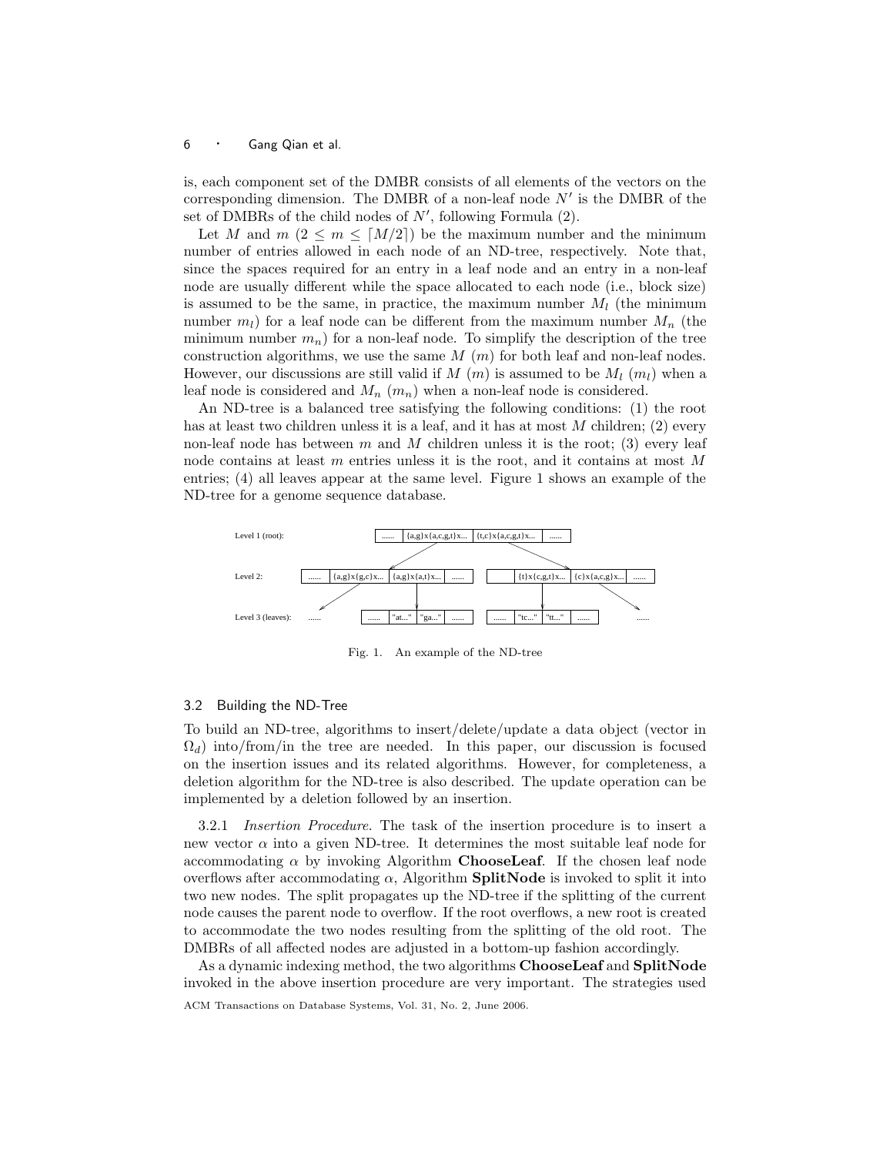is, each component set of the DMBR consists of all elements of the vectors on the corresponding dimension. The DMBR of a non-leaf node  $N'$  is the DMBR of the set of DMBRs of the child nodes of  $N'$ , following Formula  $(2)$ .

Let M and  $m (2 \le m \le [M/2])$  be the maximum number and the minimum number of entries allowed in each node of an ND-tree, respectively. Note that, since the spaces required for an entry in a leaf node and an entry in a non-leaf node are usually different while the space allocated to each node (i.e., block size) is assumed to be the same, in practice, the maximum number  $M_l$  (the minimum number  $m_l$ ) for a leaf node can be different from the maximum number  $M_n$  (the minimum number  $m_n$ ) for a non-leaf node. To simplify the description of the tree construction algorithms, we use the same  $M(m)$  for both leaf and non-leaf nodes. However, our discussions are still valid if M  $(m)$  is assumed to be  $M_l(m_l)$  when a leaf node is considered and  $M_n$   $(m_n)$  when a non-leaf node is considered.

An ND-tree is a balanced tree satisfying the following conditions: (1) the root has at least two children unless it is a leaf, and it has at most  $M$  children; (2) every non-leaf node has between m and M children unless it is the root; (3) every leaf node contains at least m entries unless it is the root, and it contains at most M entries; (4) all leaves appear at the same level. Figure 1 shows an example of the ND-tree for a genome sequence database.



Fig. 1. An example of the ND-tree

## 3.2 Building the ND-Tree

To build an ND-tree, algorithms to insert/delete/update a data object (vector in  $\Omega_d$ ) into/from/in the tree are needed. In this paper, our discussion is focused on the insertion issues and its related algorithms. However, for completeness, a deletion algorithm for the ND-tree is also described. The update operation can be implemented by a deletion followed by an insertion.

3.2.1 Insertion Procedure. The task of the insertion procedure is to insert a new vector  $\alpha$  into a given ND-tree. It determines the most suitable leaf node for accommodating  $\alpha$  by invoking Algorithm **ChooseLeaf.** If the chosen leaf node overflows after accommodating  $\alpha$ , Algorithm **SplitNode** is invoked to split it into two new nodes. The split propagates up the ND-tree if the splitting of the current node causes the parent node to overflow. If the root overflows, a new root is created to accommodate the two nodes resulting from the splitting of the old root. The DMBRs of all affected nodes are adjusted in a bottom-up fashion accordingly.

As a dynamic indexing method, the two algorithms ChooseLeaf and SplitNode invoked in the above insertion procedure are very important. The strategies used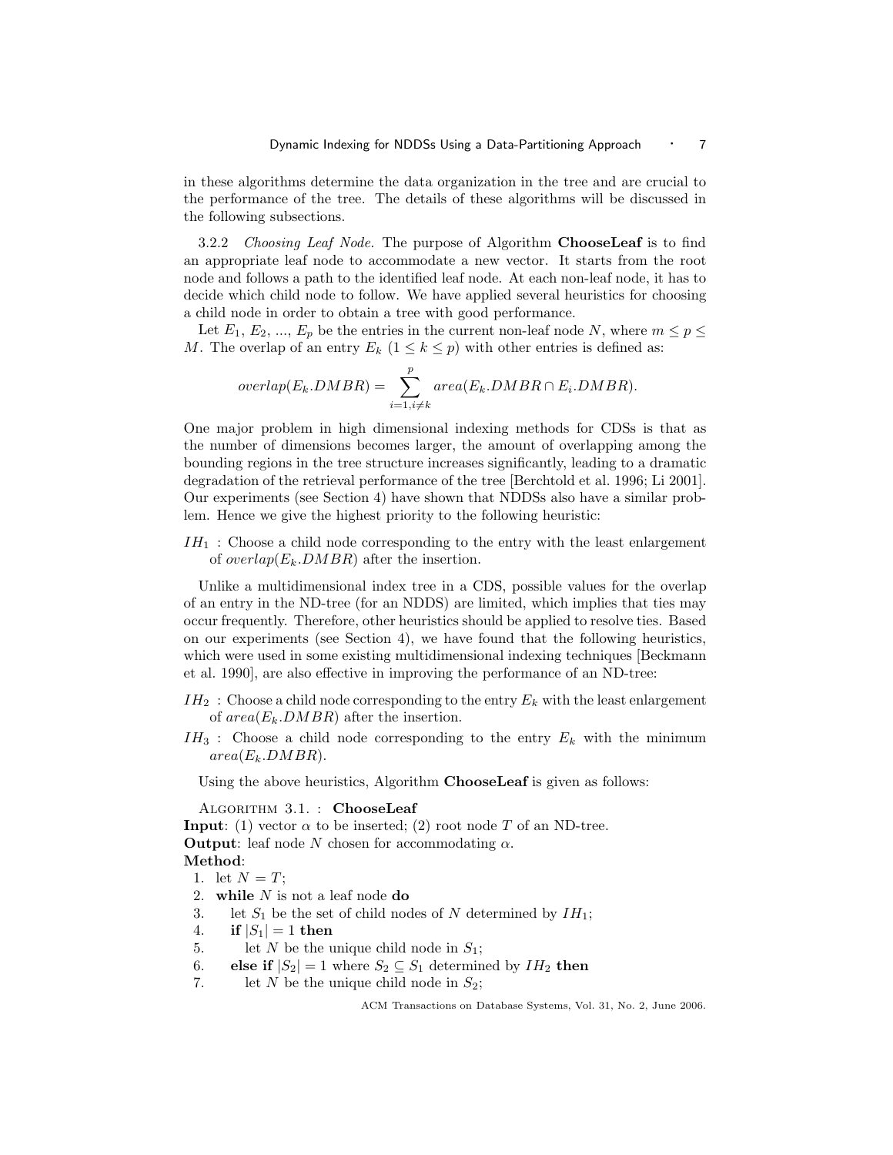in these algorithms determine the data organization in the tree and are crucial to the performance of the tree. The details of these algorithms will be discussed in the following subsections.

3.2.2 Choosing Leaf Node. The purpose of Algorithm ChooseLeaf is to find an appropriate leaf node to accommodate a new vector. It starts from the root node and follows a path to the identified leaf node. At each non-leaf node, it has to decide which child node to follow. We have applied several heuristics for choosing a child node in order to obtain a tree with good performance.

Let  $E_1, E_2, ..., E_p$  be the entries in the current non-leaf node N, where  $m \leq p \leq$ M. The overlap of an entry  $E_k$   $(1 \leq k \leq p)$  with other entries is defined as:

$$
overlap(E_k.DMBR) = \sum_{i=1, i \neq k}^{p} area(E_k.DMBR \cap E_i.DMBR).
$$

One major problem in high dimensional indexing methods for CDSs is that as the number of dimensions becomes larger, the amount of overlapping among the bounding regions in the tree structure increases significantly, leading to a dramatic degradation of the retrieval performance of the tree [Berchtold et al. 1996; Li 2001]. Our experiments (see Section 4) have shown that NDDSs also have a similar problem. Hence we give the highest priority to the following heuristic:

 $IH_1$ : Choose a child node corresponding to the entry with the least enlargement of *overlap* $(E_k.DMBR)$  after the insertion.

Unlike a multidimensional index tree in a CDS, possible values for the overlap of an entry in the ND-tree (for an NDDS) are limited, which implies that ties may occur frequently. Therefore, other heuristics should be applied to resolve ties. Based on our experiments (see Section 4), we have found that the following heuristics, which were used in some existing multidimensional indexing techniques [Beckmann et al. 1990], are also effective in improving the performance of an ND-tree:

- $IH_2$ : Choose a child node corresponding to the entry  $E_k$  with the least enlargement of  $area(E_k.DMBR)$  after the insertion.
- $IH_3$ : Choose a child node corresponding to the entry  $E_k$  with the minimum  $area(E_k.DMBR).$

Using the above heuristics, Algorithm ChooseLeaf is given as follows:

## ALGORITHM 3.1. : ChooseLeaf

**Input:** (1) vector  $\alpha$  to be inserted; (2) root node T of an ND-tree. **Output:** leaf node N chosen for accommodating  $\alpha$ . Method:

1. let  $N = T$ ;

- 2. while  $N$  is not a leaf node  $\bf{do}$
- 3. let  $S_1$  be the set of child nodes of N determined by  $IH_1$ ;
- 4. if  $|S_1| = 1$  then
- 5. let N be the unique child node in  $S_1$ ;
- 6. else if  $|S_2| = 1$  where  $S_2 \subseteq S_1$  determined by  $IH_2$  then
- 7. let N be the unique child node in  $S_2$ ;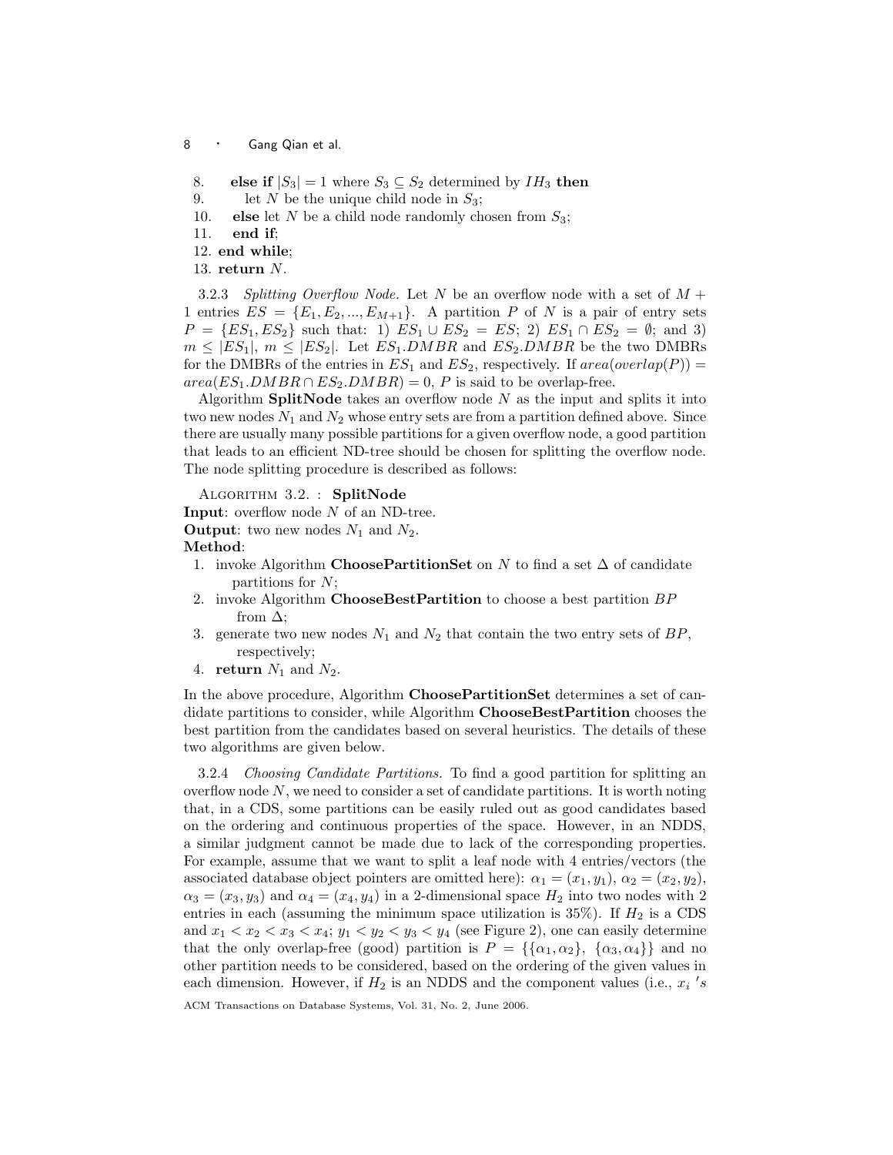- 8 · Gang Qian et al.
	- 8. else if  $|S_3| = 1$  where  $S_3 \subseteq S_2$  determined by  $IH_3$  then
	- 9. let N be the unique child node in  $S_3$ ;
	- 10. **else** let N be a child node randomly chosen from  $S_3$ ;
	- 11. end if;
	- 12. end while;
- 13. return N.

3.2.3 Splitting Overflow Node. Let N be an overflow node with a set of  $M +$ 1 entries  $ES = \{E_1, E_2, ..., E_{M+1}\}.$  A partition P of N is a pair of entry sets  $P = \{ES_1, ES_2\}$  such that: 1)  $ES_1 \cup ES_2 = ES$ ; 2)  $ES_1 \cap ES_2 = \emptyset$ ; and 3)  $m \leq |ES_1|, m \leq |ES_2|$ . Let  $ES_1.DMBR$  and  $ES_2.DMBR$  be the two DMBRs for the DMBRs of the entries in  $ES_1$  and  $ES_2$ , respectively. If  $area(overlap(P)) =$  $area(ES_1.DMBR \cap ES_2.DMBR) = 0, P$  is said to be overlap-free.

Algorithm SplitNode takes an overflow node  $N$  as the input and splits it into two new nodes  $N_1$  and  $N_2$  whose entry sets are from a partition defined above. Since there are usually many possible partitions for a given overflow node, a good partition that leads to an efficient ND-tree should be chosen for splitting the overflow node. The node splitting procedure is described as follows:

Algorithm 3.2. : SplitNode

**Input:** overflow node  $N$  of an ND-tree. **Output:** two new nodes  $N_1$  and  $N_2$ .

## Method:

- 1. invoke Algorithm ChoosePartitionSet on N to find a set  $\Delta$  of candidate partitions for N;
- 2. invoke Algorithm ChooseBestPartition to choose a best partition  $BP$ from  $\Delta$ ;
- 3. generate two new nodes  $N_1$  and  $N_2$  that contain the two entry sets of  $BP$ , respectively;
- 4. return  $N_1$  and  $N_2$ .

In the above procedure, Algorithm ChoosePartitionSet determines a set of candidate partitions to consider, while Algorithm ChooseBestPartition chooses the best partition from the candidates based on several heuristics. The details of these two algorithms are given below.

3.2.4 Choosing Candidate Partitions. To find a good partition for splitting an overflow node  $N$ , we need to consider a set of candidate partitions. It is worth noting that, in a CDS, some partitions can be easily ruled out as good candidates based on the ordering and continuous properties of the space. However, in an NDDS, a similar judgment cannot be made due to lack of the corresponding properties. For example, assume that we want to split a leaf node with 4 entries/vectors (the associated database object pointers are omitted here):  $\alpha_1 = (x_1, y_1), \alpha_2 = (x_2, y_2),$  $\alpha_3 = (x_3, y_3)$  and  $\alpha_4 = (x_4, y_4)$  in a 2-dimensional space  $H_2$  into two nodes with 2 entries in each (assuming the minimum space utilization is  $35\%$ ). If  $H_2$  is a CDS and  $x_1 < x_2 < x_3 < x_4$ ;  $y_1 < y_2 < y_3 < y_4$  (see Figure 2), one can easily determine that the only overlap-free (good) partition is  $P = \{\{\alpha_1, \alpha_2\}, \{\alpha_3, \alpha_4\}\}\$ and no other partition needs to be considered, based on the ordering of the given values in each dimension. However, if  $H_2$  is an NDDS and the component values (i.e.,  $x_i$ 's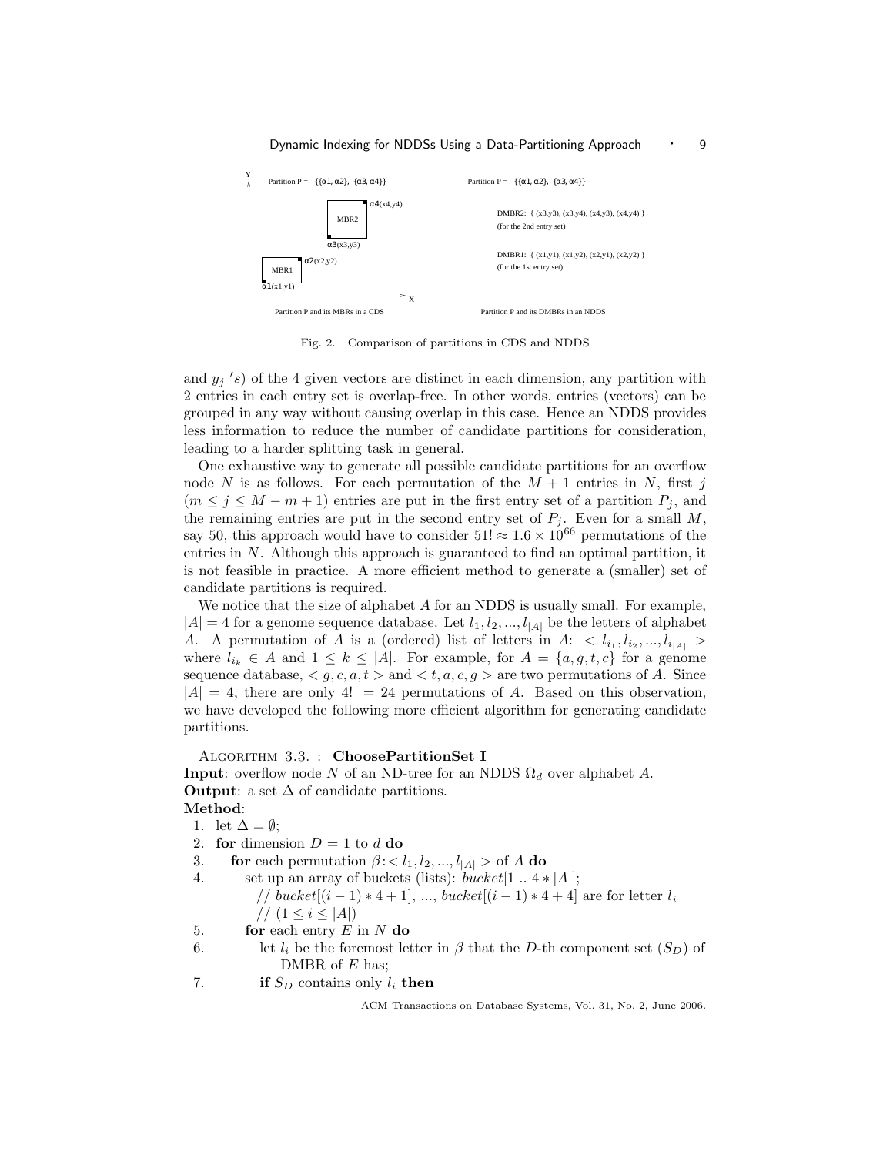#### Dynamic Indexing for NDDSs Using a Data-Partitioning Approach • 9



Fig. 2. Comparison of partitions in CDS and NDDS

and  $y_j$ 's) of the 4 given vectors are distinct in each dimension, any partition with 2 entries in each entry set is overlap-free. In other words, entries (vectors) can be grouped in any way without causing overlap in this case. Hence an NDDS provides less information to reduce the number of candidate partitions for consideration, leading to a harder splitting task in general.

One exhaustive way to generate all possible candidate partitions for an overflow node N is as follows. For each permutation of the  $M + 1$  entries in N, first j  $(m \leq j \leq M - m + 1)$  entries are put in the first entry set of a partition  $P_j$ , and the remaining entries are put in the second entry set of  $P_j$ . Even for a small M, say 50, this approach would have to consider  $51! \approx 1.6 \times 10^{66}$  permutations of the entries in N. Although this approach is guaranteed to find an optimal partition, it is not feasible in practice. A more efficient method to generate a (smaller) set of candidate partitions is required.

We notice that the size of alphabet A for an NDDS is usually small. For example,  $|A| = 4$  for a genome sequence database. Let  $l_1, l_2, ..., l_{|A|}$  be the letters of alphabet A. A permutation of A is a (ordered) list of letters in A:  $\langle l_{i_1}, l_{i_2},...,l_{i_{|A|}} \rangle$ where  $l_{i_k} \in A$  and  $1 \leq k \leq |A|$ . For example, for  $A = \{a, g, t, c\}$  for a genome sequence database,  $\lt g$ ,  $c, a, t >$  and  $\lt t, a, c, g >$  are two permutations of A. Since  $|A| = 4$ , there are only  $4! = 24$  permutations of A. Based on this observation, we have developed the following more efficient algorithm for generating candidate partitions.

ALGORITHM 3.3. : ChoosePartitionSet I **Input:** overflow node N of an ND-tree for an NDDS  $\Omega_d$  over alphabet A. **Output:** a set  $\Delta$  of candidate partitions. Method:

- 1. let  $\Delta = \emptyset$ ;
- 2. for dimension  $D = 1$  to d do
- 3. **for** each permutation  $\beta$ :  $\langle l_1, l_2, ..., l_{|A|} \rangle$  of A do
- 4. set up an array of buckets (lists):  $bucket[1..4 * |A|];$ 
	- // bucket[ $(i 1) * 4 + 1$ ], ..., bucket[ $(i 1) * 4 + 4$ ] are for letter  $l_i$ //  $(1 \leq i \leq |A|)$
- 5. for each entry  $E$  in  $N$  do
- 6. let  $l_i$  be the foremost letter in  $\beta$  that the D-th component set  $(S_D)$  of DMBR of E has;
- 7. if  $S_D$  contains only  $l_i$  then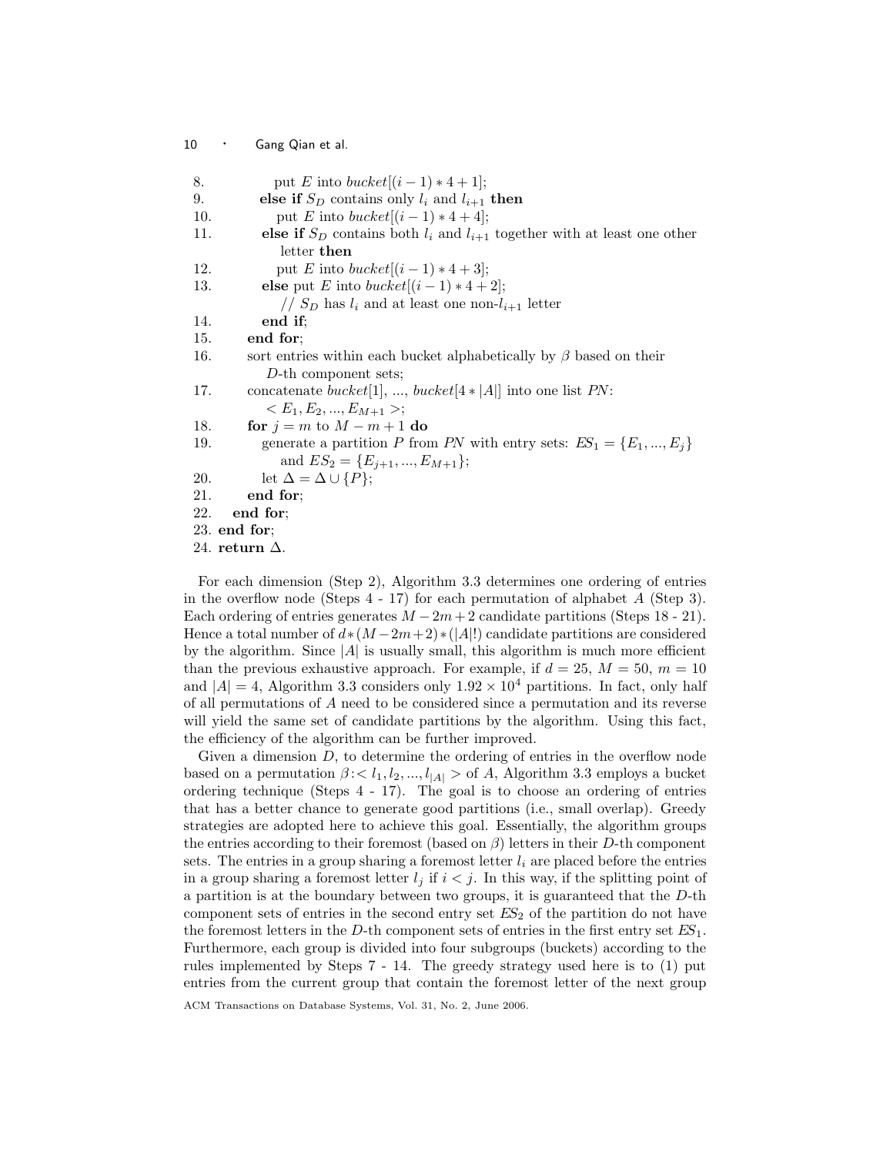| 10  | Gang Qian et al.                                                                        |
|-----|-----------------------------------------------------------------------------------------|
| 8.  | put E into bucket[ $(i-1)*4+1$ ];                                                       |
| 9.  | else if $S_D$ contains only $l_i$ and $l_{i+1}$ then                                    |
| 10. | put E into bucket[ $(i-1)*4+4$ ];                                                       |
| 11. | else if $S_D$ contains both $l_i$ and $l_{i+1}$ together with at least one other        |
|     | letter then                                                                             |
| 12. | put E into bucket[ $(i-1)*4+3$ ];                                                       |
| 13. | else put E into $bucket[(i-1)*4+2]$ ;                                                   |
|     | // $S_D$ has $l_i$ and at least one non- $l_{i+1}$ letter                               |
| 14. | end if;                                                                                 |
| 15. | end for;                                                                                |
| 16. | sort entries within each bucket alphabetically by $\beta$ based on their                |
|     | $D$ -th component sets;                                                                 |
| 17. | concatenate <i>bucket</i> [1], , <i>bucket</i> [4 $\ast$  A]] into one list <i>PN</i> : |
|     | $ >;$                                                                                   |
| 18. | for $j = m$ to $M - m + 1$ do                                                           |
| 19. | generate a partition P from PN with entry sets: $ES_1 = \{E_1, , E_j\}$                 |
|     | and $ES_2 = \{E_{i+1}, , E_{M+1}\};$                                                    |
| 20. | let $\Delta = \Delta \cup \{P\};$                                                       |
| 21. | end for;                                                                                |
| 22. | end for;                                                                                |
|     | $23.$ end for;                                                                          |
|     | 24. return $\Delta.$                                                                    |

For each dimension (Step 2), Algorithm 3.3 determines one ordering of entries in the overflow node (Steps  $4 - 17$ ) for each permutation of alphabet  $A$  (Step 3). Each ordering of entries generates  $M - 2m + 2$  candidate partitions (Steps 18 - 21). Hence a total number of  $d*(M-2m+2)*(|A|!)$  candidate partitions are considered by the algorithm. Since  $|A|$  is usually small, this algorithm is much more efficient than the previous exhaustive approach. For example, if  $d = 25$ ,  $M = 50$ ,  $m = 10$ and  $|A| = 4$ , Algorithm 3.3 considers only  $1.92 \times 10^4$  partitions. In fact, only half of all permutations of A need to be considered since a permutation and its reverse will yield the same set of candidate partitions by the algorithm. Using this fact, the efficiency of the algorithm can be further improved.

Given a dimension  $D$ , to determine the ordering of entries in the overflow node based on a permutation  $\beta$ :  $\langle l_1, l_2, ..., l_{|A|} \rangle$  of A, Algorithm 3.3 employs a bucket ordering technique (Steps 4 - 17). The goal is to choose an ordering of entries that has a better chance to generate good partitions (i.e., small overlap). Greedy strategies are adopted here to achieve this goal. Essentially, the algorithm groups the entries according to their foremost (based on  $\beta$ ) letters in their D-th component sets. The entries in a group sharing a foremost letter  $l_i$  are placed before the entries in a group sharing a foremost letter  $l_j$  if  $i < j$ . In this way, if the splitting point of a partition is at the boundary between two groups, it is guaranteed that the D-th component sets of entries in the second entry set  $ES<sub>2</sub>$  of the partition do not have the foremost letters in the D-th component sets of entries in the first entry set  $ES_1$ . Furthermore, each group is divided into four subgroups (buckets) according to the rules implemented by Steps 7 - 14. The greedy strategy used here is to (1) put entries from the current group that contain the foremost letter of the next group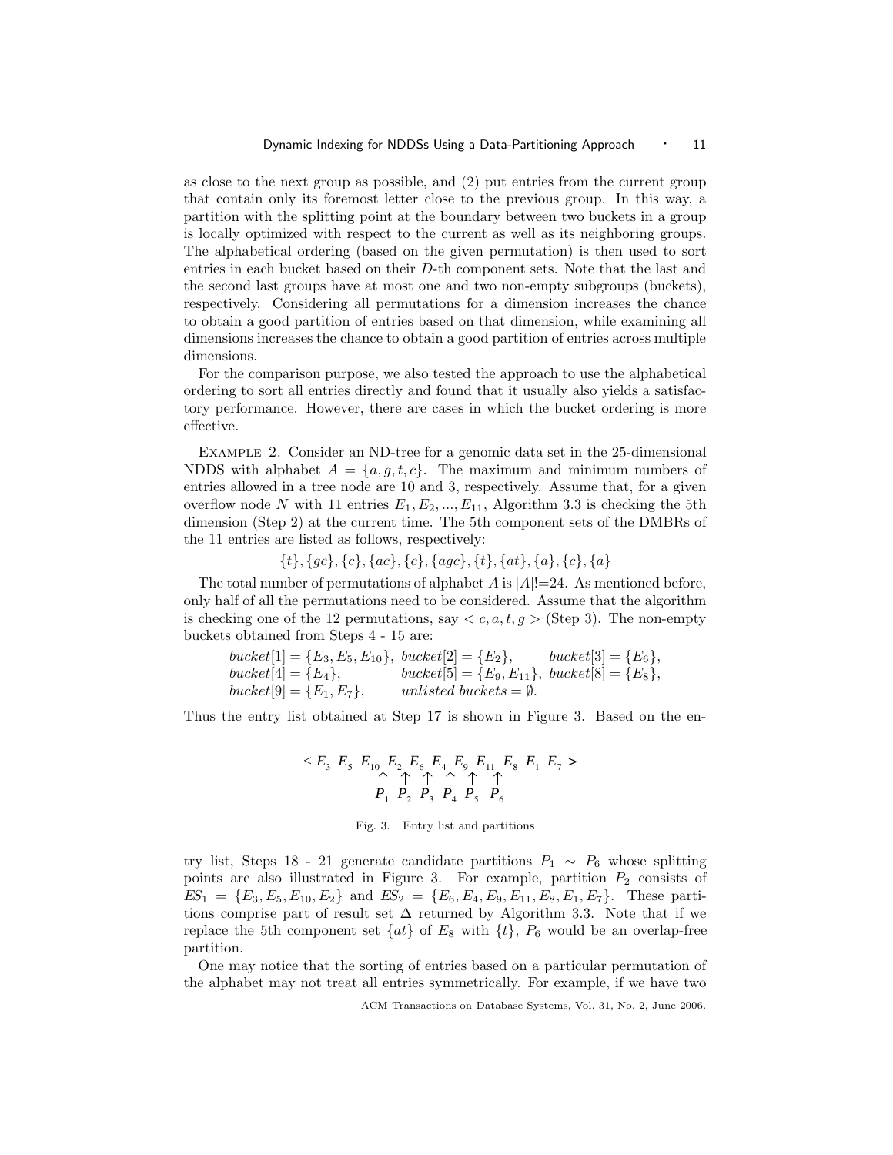as close to the next group as possible, and (2) put entries from the current group that contain only its foremost letter close to the previous group. In this way, a partition with the splitting point at the boundary between two buckets in a group is locally optimized with respect to the current as well as its neighboring groups. The alphabetical ordering (based on the given permutation) is then used to sort entries in each bucket based on their D-th component sets. Note that the last and the second last groups have at most one and two non-empty subgroups (buckets), respectively. Considering all permutations for a dimension increases the chance to obtain a good partition of entries based on that dimension, while examining all dimensions increases the chance to obtain a good partition of entries across multiple dimensions.

For the comparison purpose, we also tested the approach to use the alphabetical ordering to sort all entries directly and found that it usually also yields a satisfactory performance. However, there are cases in which the bucket ordering is more effective.

Example 2. Consider an ND-tree for a genomic data set in the 25-dimensional NDDS with alphabet  $A = \{a, g, t, c\}$ . The maximum and minimum numbers of entries allowed in a tree node are 10 and 3, respectively. Assume that, for a given overflow node N with 11 entries  $E_1, E_2, ..., E_{11}$ , Algorithm 3.3 is checking the 5th dimension (Step 2) at the current time. The 5th component sets of the DMBRs of the 11 entries are listed as follows, respectively:

 $\{t\}, \{gc\}, \{c\}, \{ac\}, \{c\}, \{age\}, \{t\}, \{at\}, \{a\}, \{c\}, \{a\}$ 

The total number of permutations of alphabet A is  $|A|!=24$ . As mentioned before, only half of all the permutations need to be considered. Assume that the algorithm is checking one of the 12 permutations, say  $\langle c, a, t, g \rangle$  (Step 3). The non-empty buckets obtained from Steps 4 - 15 are:

$$
bucket[1] = \{E_3, E_5, E_{10}\}, \text{ bucket}[2] = \{E_2\}, \text{ bucket}[3] = \{E_6\},
$$
  

$$
bucket[4] = \{E_4\}, \text{ bucket}[5] = \{E_9, E_{11}\}, \text{ bucket}[8] = \{E_8\},
$$
  

$$
bucket[9] = \{E_1, E_7\}, \text{ unitsted buckets = \emptyset}.
$$

Thus the entry list obtained at Step 17 is shown in Figure 3. Based on the en-

$$
\langle E_3 \tE_5 \tE_{10} \tE_2 \tE_6 \tE_4 \tE_9 \tE_{11} \tE_8 \tE_1 \tE_7 \rangle
$$
  
\n $P_1 \tP_2 \tP_3 \tP_4 \tP_5 \tP_6$ 

Fig. 3. Entry list and partitions

try list, Steps 18 - 21 generate candidate partitions  $P_1 \sim P_6$  whose splitting points are also illustrated in Figure 3. For example, partition  $P_2$  consists of  $ES_1 = \{E_3, E_5, E_{10}, E_2\}$  and  $ES_2 = \{E_6, E_4, E_9, E_{11}, E_8, E_1, E_7\}$ . These partitions comprise part of result set  $\Delta$  returned by Algorithm 3.3. Note that if we replace the 5th component set  $\{at\}$  of  $E_8$  with  $\{t\}$ ,  $P_6$  would be an overlap-free partition.

One may notice that the sorting of entries based on a particular permutation of the alphabet may not treat all entries symmetrically. For example, if we have two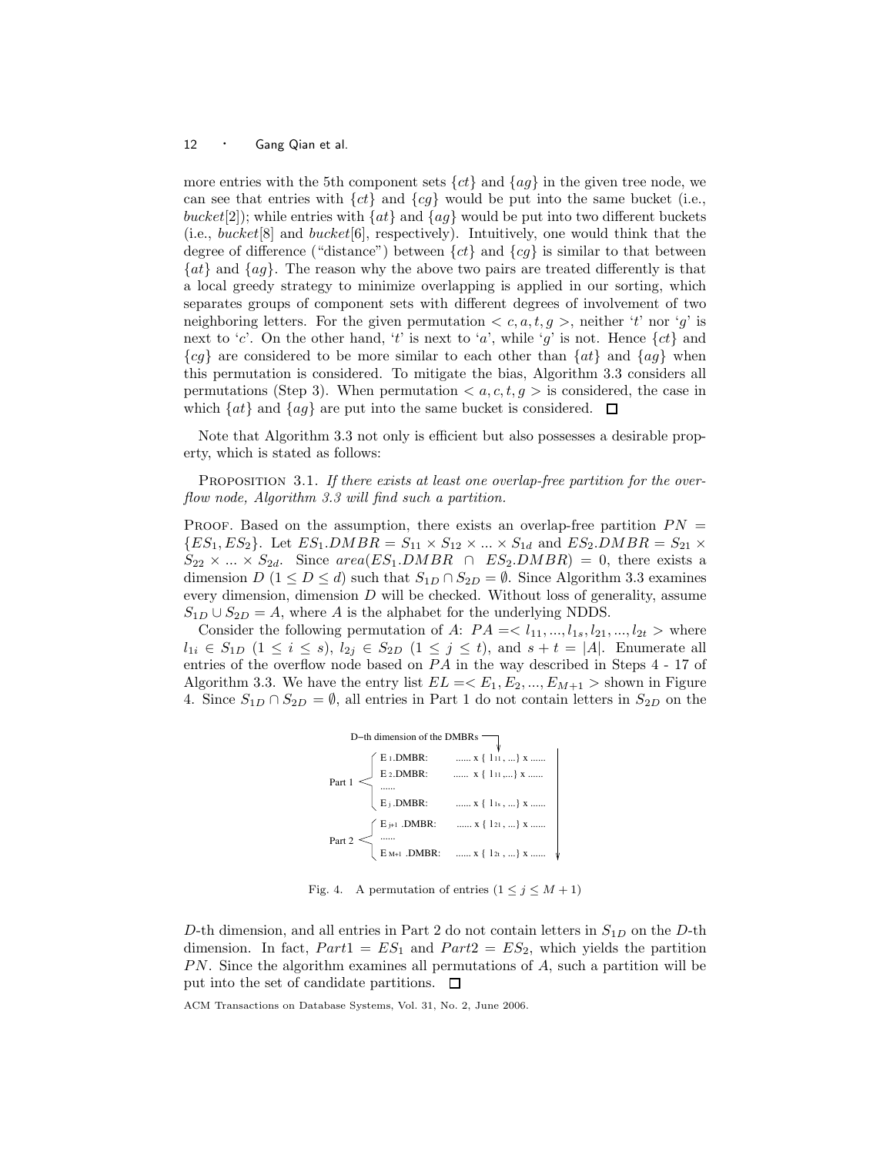more entries with the 5th component sets  $\{ct\}$  and  $\{aq\}$  in the given tree node, we can see that entries with  $\{ct\}$  and  $\{cq\}$  would be put into the same bucket (i.e., bucket[2]); while entries with  $\{at\}$  and  $\{aq\}$  would be put into two different buckets (i.e., bucket[8] and bucket[6], respectively). Intuitively, one would think that the degree of difference ("distance") between  $\{ct\}$  and  $\{cg\}$  is similar to that between  $\{at\}$  and  $\{aq\}$ . The reason why the above two pairs are treated differently is that a local greedy strategy to minimize overlapping is applied in our sorting, which separates groups of component sets with different degrees of involvement of two neighboring letters. For the given permutation  $\langle c, a, t, g \rangle$ , neither 't' nor 'g' is next to 'c'. On the other hand, 't' is next to 'a', while 'g' is not. Hence  $\{ct\}$  and  ${c}$  are considered to be more similar to each other than  ${at}$  and  ${ag}$  when this permutation is considered. To mitigate the bias, Algorithm 3.3 considers all permutations (Step 3). When permutation  $\langle a, c, t, g \rangle$  is considered, the case in which  $\{at\}$  and  $\{ag\}$  are put into the same bucket is considered.  $\Box$ 

Note that Algorithm 3.3 not only is efficient but also possesses a desirable property, which is stated as follows:

PROPOSITION 3.1. If there exists at least one overlap-free partition for the overflow node, Algorithm 3.3 will find such a partition.

PROOF. Based on the assumption, there exists an overlap-free partition  $PN =$  ${ES_1, ES_2}$ . Let  $ES_1.DMBR = S_{11} \times S_{12} \times ... \times S_{1d}$  and  $ES_2.DMBR = S_{21} \times$  $S_{22} \times ... \times S_{2d}$ . Since  $area(ES_1.DMBR \cap ES_2.DMBR) = 0$ , there exists a dimension  $D$  (1 ≤  $D$  ≤ d) such that  $S_{1D} \cap S_{2D} = \emptyset$ . Since Algorithm 3.3 examines every dimension, dimension  $D$  will be checked. Without loss of generality, assume  $S_{1D} \cup S_{2D} = A$ , where A is the alphabet for the underlying NDDS.

Consider the following permutation of A:  $PA = \langle l_{11},...,l_{1s},l_{21},...,l_{2t}\rangle$  where  $l_{1i} \in S_{1D}$   $(1 \leq i \leq s), l_{2j} \in S_{2D}$   $(1 \leq j \leq t),$  and  $s + t = |A|$ . Enumerate all entries of the overflow node based on PA in the way described in Steps 4 - 17 of Algorithm 3.3. We have the entry list  $EL = \langle E_1, E_2, ..., E_{M+1} \rangle$  shown in Figure 4. Since  $S_{1D} \cap S_{2D} = \emptyset$ , all entries in Part 1 do not contain letters in  $S_{2D}$  on the



Fig. 4. A permutation of entries  $(1 \le j \le M + 1)$ 

D-th dimension, and all entries in Part 2 do not contain letters in  $S_{1D}$  on the D-th dimension. In fact,  $Part1 = ES_1$  and  $Part2 = ES_2$ , which yields the partition  $PN$ . Since the algorithm examines all permutations of  $A$ , such a partition will be put into the set of candidate partitions.  $\Box$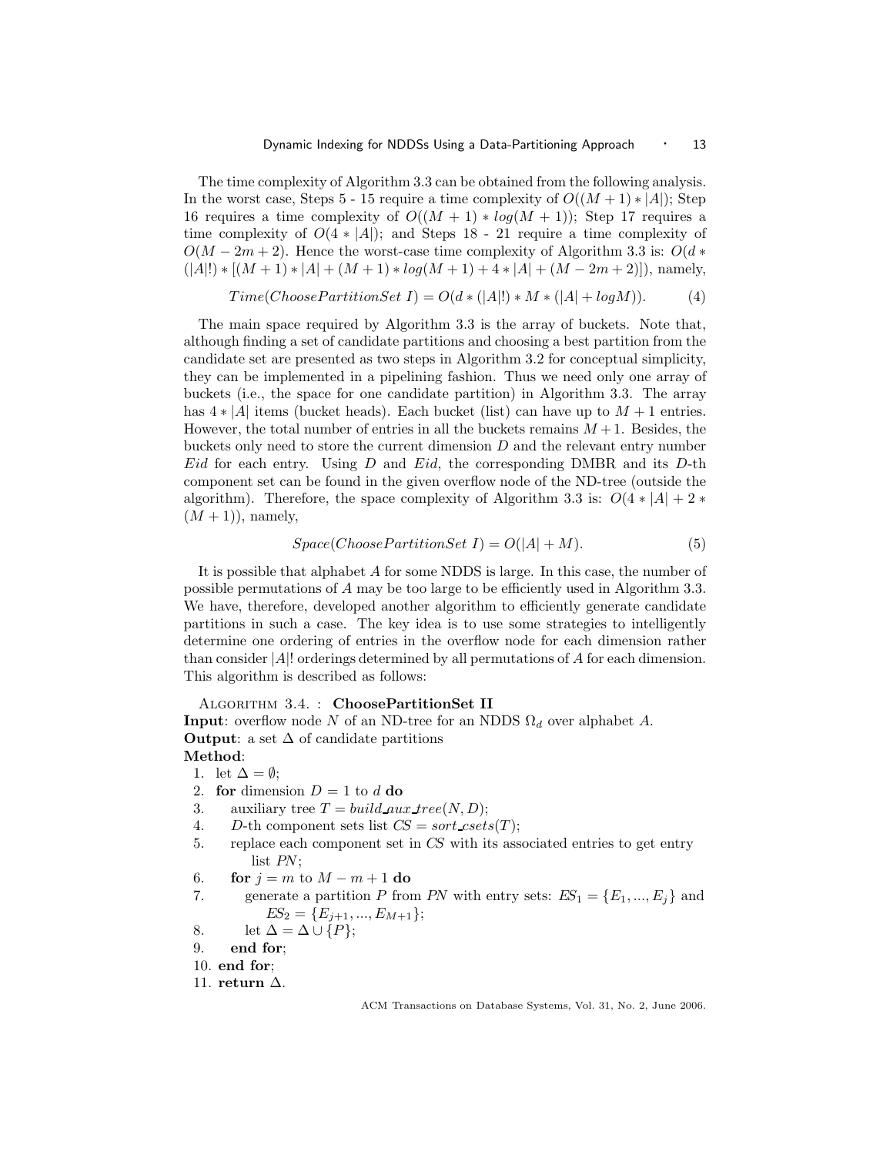The time complexity of Algorithm 3.3 can be obtained from the following analysis. In the worst case, Steps 5 - 15 require a time complexity of  $O((M+1) * |A|)$ ; Step 16 requires a time complexity of  $O((M + 1) * log(M + 1))$ ; Step 17 requires a time complexity of  $O(4 * |A|)$ ; and Steps 18 - 21 require a time complexity of  $O(M - 2m + 2)$ . Hence the worst-case time complexity of Algorithm 3.3 is:  $O(d^*)$  $(|A|!) * [(M + 1) * |A| + (M + 1) * log(M + 1) + 4 * |A| + (M - 2m + 2))$ , namely,

$$
Time(ChoosePartitionSet I) = O(d * (|A|!) * M * (|A| + log M)).
$$
\n(4)

The main space required by Algorithm 3.3 is the array of buckets. Note that, although finding a set of candidate partitions and choosing a best partition from the candidate set are presented as two steps in Algorithm 3.2 for conceptual simplicity, they can be implemented in a pipelining fashion. Thus we need only one array of buckets (i.e., the space for one candidate partition) in Algorithm 3.3. The array has  $4 * |A|$  items (bucket heads). Each bucket (list) can have up to  $M + 1$  entries. However, the total number of entries in all the buckets remains  $M + 1$ . Besides, the buckets only need to store the current dimension  $D$  and the relevant entry number  $Eid$  for each entry. Using D and  $Eid$ , the corresponding DMBR and its D-th component set can be found in the given overflow node of the ND-tree (outside the algorithm). Therefore, the space complexity of Algorithm 3.3 is:  $O(4 * |A| + 2 *$  $(M + 1)$ , namely,

$$
Space(ChoosePartitionSet I) = O(|A| + M). \tag{5}
$$

It is possible that alphabet A for some NDDS is large. In this case, the number of possible permutations of A may be too large to be efficiently used in Algorithm 3.3. We have, therefore, developed another algorithm to efficiently generate candidate partitions in such a case. The key idea is to use some strategies to intelligently determine one ordering of entries in the overflow node for each dimension rather than consider  $|A|$ ! orderings determined by all permutations of A for each dimension. This algorithm is described as follows:

Algorithm 3.4. : ChoosePartitionSet II **Input:** overflow node N of an ND-tree for an NDDS  $\Omega_d$  over alphabet A. **Output:** a set  $\Delta$  of candidate partitions Method:

- 1. let  $\Delta = \emptyset$ :
- 2. for dimension  $D = 1$  to d do
- 3. auxiliary tree  $T = build_aux_t tree(N, D);$
- 4. D-th component sets list  $CS = sort \; csets(T);$
- 5. replace each component set in CS with its associated entries to get entry list PN;
- 6. **for**  $j = m$  to  $M m + 1$  do
- 7. generate a partition P from PN with entry sets:  $ES_1 = \{E_1, ..., E_j\}$  and  $ES_2 = \{E_{j+1}, ..., E_{M+1}\};$
- 8. let  $\Delta = \Delta \cup \{P\};$
- 9. end for;
- 10. end for;
- 11. return  $\Delta$ .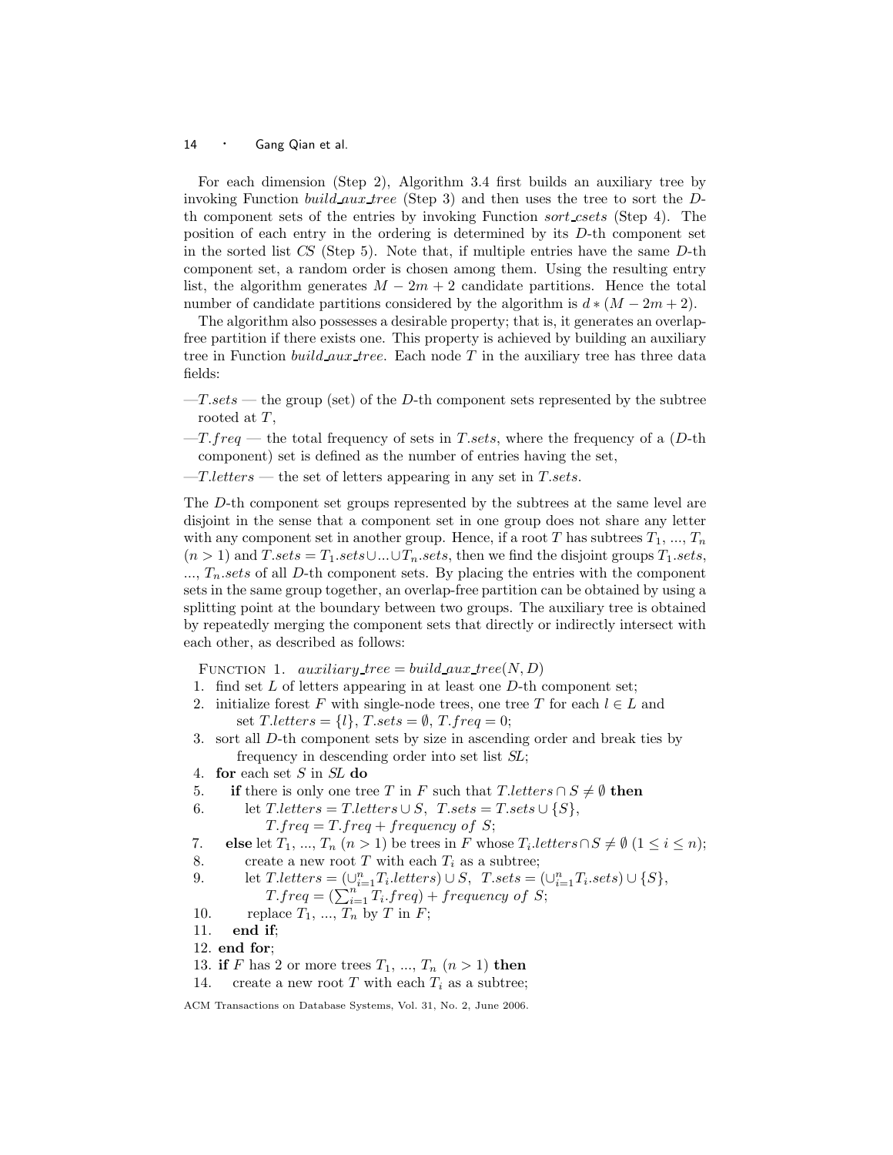For each dimension (Step 2), Algorithm 3.4 first builds an auxiliary tree by invoking Function build aux tree (Step 3) and then uses the tree to sort the Dth component sets of the entries by invoking Function sort csets (Step 4). The position of each entry in the ordering is determined by its D-th component set in the sorted list  $CS$  (Step 5). Note that, if multiple entries have the same  $D$ -th component set, a random order is chosen among them. Using the resulting entry list, the algorithm generates  $M - 2m + 2$  candidate partitions. Hence the total number of candidate partitions considered by the algorithm is  $d * (M - 2m + 2)$ .

The algorithm also possesses a desirable property; that is, it generates an overlapfree partition if there exists one. This property is achieved by building an auxiliary tree in Function *build\_aux\_tree*. Each node  $T$  in the auxiliary tree has three data fields:

- $-T. sets$  the group (set) of the D-th component sets represented by the subtree rooted at  $T$ ,
- $-T.$  freq the total frequency of sets in T.sets, where the frequency of a (D-th component) set is defined as the number of entries having the set,
- $-Tleters$  the set of letters appearing in any set in T.sets.

The D-th component set groups represented by the subtrees at the same level are disjoint in the sense that a component set in one group does not share any letter with any component set in another group. Hence, if a root T has subtrees  $T_1, ..., T_n$  $(n > 1)$  and  $T.sets = T_1.sets\cup...\cup T_n.sets$ , then we find the disjoint groups  $T_1.sets$ ,  $..., T_n. sets$  of all D-th component sets. By placing the entries with the component sets in the same group together, an overlap-free partition can be obtained by using a splitting point at the boundary between two groups. The auxiliary tree is obtained by repeatedly merging the component sets that directly or indirectly intersect with each other, as described as follows:

FUNCTION 1. auxiliary tree = build aux tree(N, D)

- 1. find set  $L$  of letters appearing in at least one  $D$ -th component set;
- 2. initialize forest F with single-node trees, one tree T for each  $l \in L$  and set T.letters =  $\{l\}$ , T.sets =  $\emptyset$ , T.freq = 0;
- 3. sort all D-th component sets by size in ascending order and break ties by frequency in descending order into set list SL;
- 4. for each set  $S$  in  $SL$  do
- 5. if there is only one tree T in F such that  $T. letters \cap S \neq \emptyset$  then
- 6. let  $T. letters = T. letters \cup S, T.sets = T.sets \cup \{S\},\$  $T.freq = T.freq + frequency of S;$
- 7. else let  $T_1, ..., T_n$   $(n > 1)$  be trees in F whose  $T_i.lefters \cap S \neq \emptyset$   $(1 \leq i \leq n);$

8. create a new root T with each 
$$
T_i
$$
 as a subtree;

9. let  $T. letters = (\bigcup_{i=1}^{n} T_i. letters) \cup S, T.sets = (\bigcup_{i=1}^{n} T_i.sets) \cup \{S\},\$ 

$$
T.\,freq = (\sum_{i=1}^{n} T_i \, freq) + frequency \, of \, S;
$$

- 10. replace  $T_1, ..., T_n$  by T in F;
- 11. end if;
- 12. end for;
- 13. if F has 2 or more trees  $T_1, ..., T_n$   $(n > 1)$  then
- 14. create a new root T with each  $T_i$  as a subtree;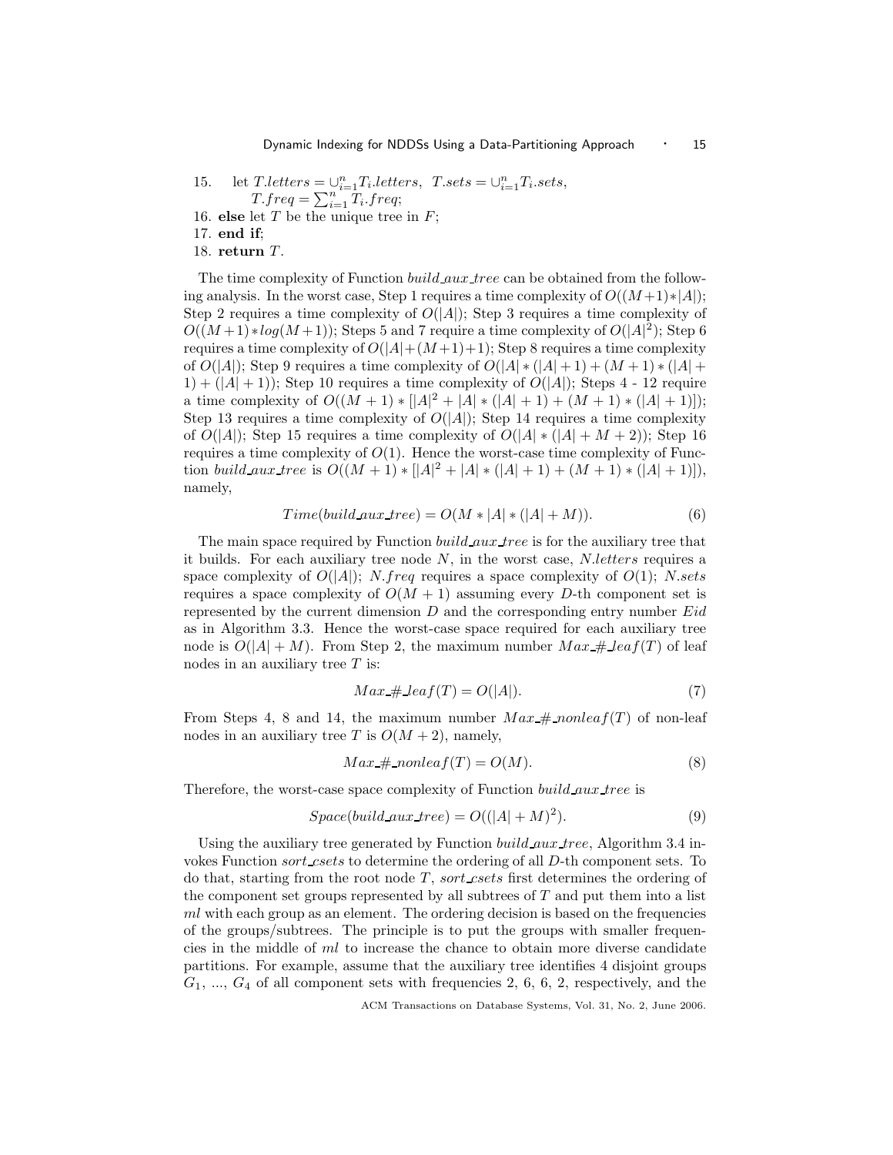Dynamic Indexing for NDDSs Using a Data-Partitioning Approach • 15

- 15. let  $T. letters = \bigcup_{i=1}^{n} T_i. letters, T.sets = \bigcup_{i=1}^{n} T_i.sets,$  $T.Freq = \sum_{i=1}^{n} T_i.Freq;$ 16. else let  $T$  be the unique tree in  $F$ ; 17. end if;
- 18. return T.

The time complexity of Function build aux tree can be obtained from the following analysis. In the worst case, Step 1 requires a time complexity of  $O((M+1) * |A|);$ Step 2 requires a time complexity of  $O(|A|)$ ; Step 3 requires a time complexity of  $O((M+1)*log(M+1))$ ; Steps 5 and 7 require a time complexity of  $O(|A|^2)$ ; Step 6 requires a time complexity of  $O(|A|+(M+1)+1)$ ; Step 8 requires a time complexity of  $O(|A|)$ ; Step 9 requires a time complexity of  $O(|A| * (|A| + 1) + (M + 1) * (|A| +$  $1) + (|A| + 1)$ ; Step 10 requires a time complexity of  $O(|A|)$ ; Steps 4 - 12 require a time complexity of  $O((M+1) * ||A||^2 + |A| * (|A|+1) + (M+1) * (|A|+1)]$ ; Step 13 requires a time complexity of  $O(|A|)$ ; Step 14 requires a time complexity of  $O(|A|)$ ; Step 15 requires a time complexity of  $O(|A| * (|A| + M + 2))$ ; Step 16 requires a time complexity of  $O(1)$ . Hence the worst-case time complexity of Function *build\_aux\_tree* is  $O((M+1) * [|A|^2 + |A| * (|A|+1) + (M+1) * (|A|+1)]),$ namely,

$$
Time(build\_aux\_tree) = O(M * |A| * (|A| + M)).
$$
\n<sup>(6)</sup>

The main space required by Function *build aux tree* is for the auxiliary tree that it builds. For each auxiliary tree node  $N$ , in the worst case,  $N. letters$  requires a space complexity of  $O(|A|)$ ; N.freq requires a space complexity of  $O(1)$ ; N.sets requires a space complexity of  $O(M + 1)$  assuming every D-th component set is represented by the current dimension  $D$  and the corresponding entry number  $Eid$ as in Algorithm 3.3. Hence the worst-case space required for each auxiliary tree node is  $O(|A| + M)$ . From Step 2, the maximum number  $Max \neq Len(T)$  of leaf nodes in an auxiliary tree  $T$  is:

$$
Max_{+} \neq leaf(T) = O(|A|). \tag{7}
$$

From Steps 4, 8 and 14, the maximum number  $Max_{\pm}$  nonleaf(T) of non-leaf nodes in an auxiliary tree T is  $O(M+2)$ , namely,

$$
Max \# \text{ nonleaf}(T) = O(M). \tag{8}
$$

Therefore, the worst-case space complexity of Function build aux tree is

$$
Space(build\_aux\_tree) = O((|A| + M)^{2}).
$$
\n(9)

Using the auxiliary tree generated by Function build aux tree, Algorithm 3.4 invokes Function *sort\_csets* to determine the ordering of all D-th component sets. To do that, starting from the root node  $T$ , sort csets first determines the ordering of the component set groups represented by all subtrees of  $T$  and put them into a list  $ml$  with each group as an element. The ordering decision is based on the frequencies of the groups/subtrees. The principle is to put the groups with smaller frequencies in the middle of  $ml$  to increase the chance to obtain more diverse candidate partitions. For example, assume that the auxiliary tree identifies 4 disjoint groups  $G_1, \ldots, G_4$  of all component sets with frequencies 2, 6, 6, 2, respectively, and the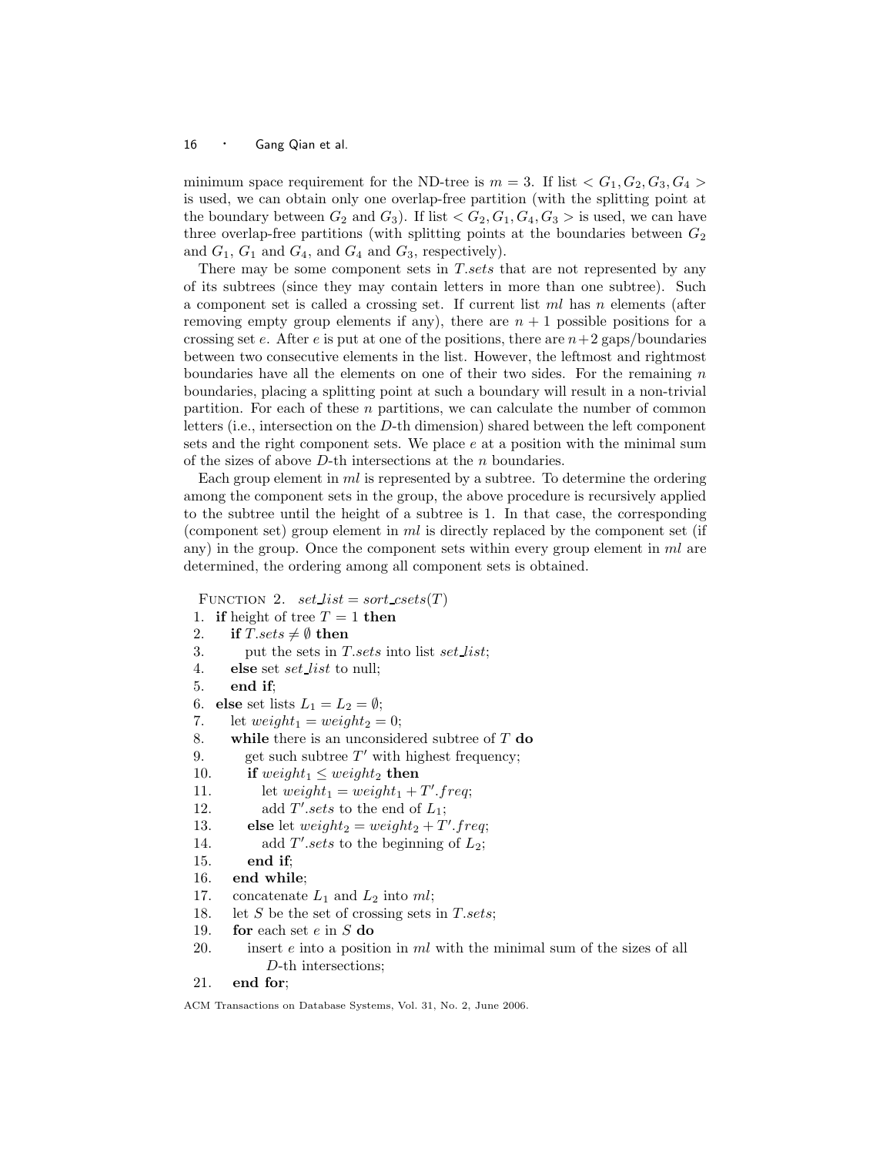minimum space requirement for the ND-tree is  $m = 3$ . If list  $\langle G_1, G_2, G_3, G_4 \rangle$ is used, we can obtain only one overlap-free partition (with the splitting point at the boundary between  $G_2$  and  $G_3$ ). If list  $\langle G_2, G_1, G_4, G_3 \rangle$  is used, we can have three overlap-free partitions (with splitting points at the boundaries between  $G_2$ and  $G_1$ ,  $G_1$  and  $G_4$ , and  $G_4$  and  $G_3$ , respectively).

There may be some component sets in T, sets that are not represented by any of its subtrees (since they may contain letters in more than one subtree). Such a component set is called a crossing set. If current list  $ml$  has n elements (after removing empty group elements if any), there are  $n + 1$  possible positions for a crossing set e. After e is put at one of the positions, there are  $n+2$  gaps/boundaries between two consecutive elements in the list. However, the leftmost and rightmost boundaries have all the elements on one of their two sides. For the remaining  $n$ boundaries, placing a splitting point at such a boundary will result in a non-trivial partition. For each of these n partitions, we can calculate the number of common letters (i.e., intersection on the D-th dimension) shared between the left component sets and the right component sets. We place e at a position with the minimal sum of the sizes of above  $D$ -th intersections at the n boundaries.

Each group element in  $ml$  is represented by a subtree. To determine the ordering among the component sets in the group, the above procedure is recursively applied to the subtree until the height of a subtree is 1. In that case, the corresponding (component set) group element in  $ml$  is directly replaced by the component set (if any) in the group. Once the component sets within every group element in  $ml$  are determined, the ordering among all component sets is obtained.

FUNCTION 2.  $setList = sort\_csets(T)$ 

- 1. if height of tree  $T = 1$  then
- 2. if  $T. sets \neq \emptyset$  then
- 3. put the sets in T.sets into list set list;
- 4. else set *set list* to null;
- 5. end if;
- 6. else set lists  $L_1 = L_2 = \emptyset$ ;
- 7. let  $weight_1 = weight_2 = 0;$
- 8. while there is an unconsidered subtree of  $T$  do
- 9. get such subtree  $T'$  with highest frequency;
- 10. if  $weight_1 \leq weight_2$  then
- 11. let  $weight_1 = weight_1 + T'.freq;$
- 12. add  $T'.sets$  to the end of  $L_1$ ;
- 13. **else** let  $weight_2 = weight_2 + T'.freq;$
- 14. add  $T'.sets$  to the beginning of  $L_2$ ;
- 15. end if;
- 16. end while;
- 17. concatenate  $L_1$  and  $L_2$  into ml;
- 18. let  $S$  be the set of crossing sets in  $T.sets;$
- 19. **for** each set  $e$  in  $S$  do
- 20. insert  $e$  into a position in ml with the minimal sum of the sizes of all D-th intersections;
- 21. end for;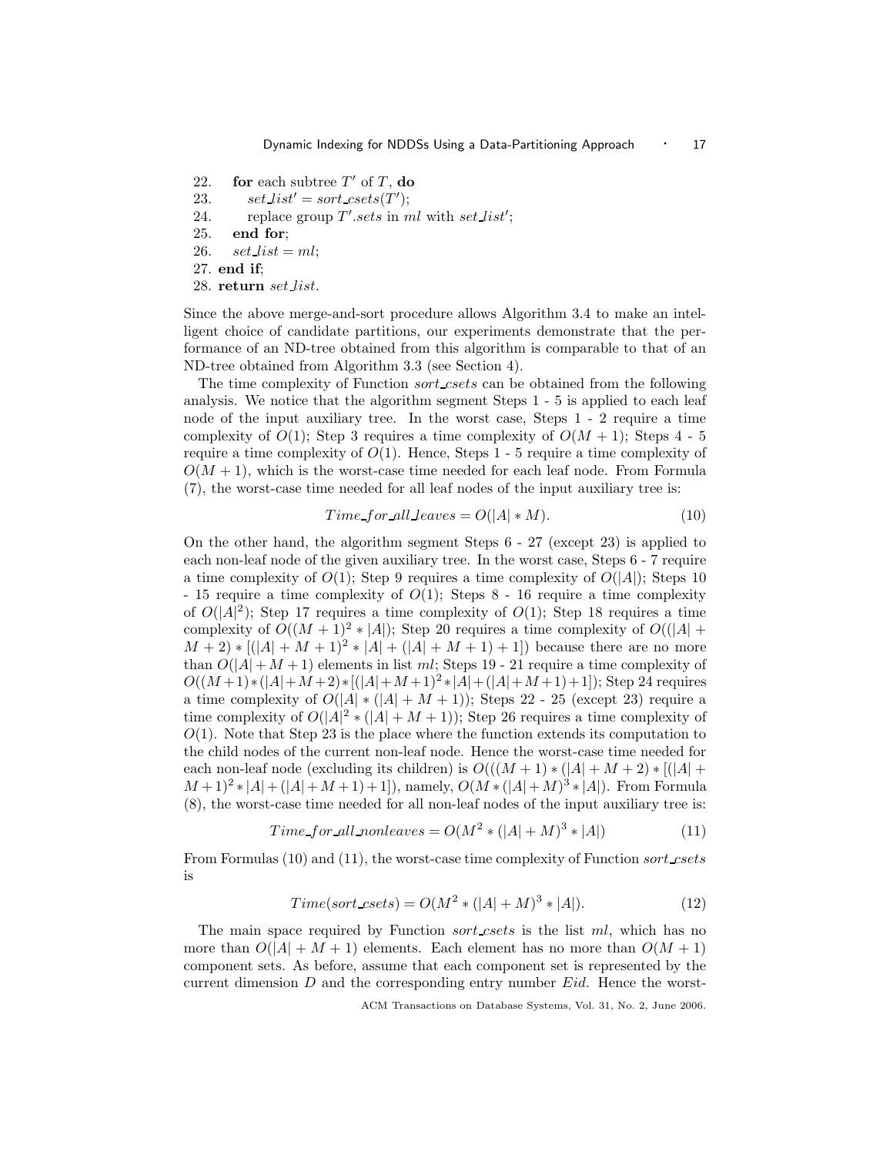- 22. for each subtree  $T'$  of T, do
- 23.  $setList' = sort\_csets(T');$
- 24. replace group  $T'.sets$  in ml with  $setList';$
- 25. end for;
- 26.  $set\_list = ml;$
- 27. end if;
- 28. return set list.

Since the above merge-and-sort procedure allows Algorithm 3.4 to make an intelligent choice of candidate partitions, our experiments demonstrate that the performance of an ND-tree obtained from this algorithm is comparable to that of an ND-tree obtained from Algorithm 3.3 (see Section 4).

The time complexity of Function sort\_csets can be obtained from the following analysis. We notice that the algorithm segment Steps 1 - 5 is applied to each leaf node of the input auxiliary tree. In the worst case, Steps 1 - 2 require a time complexity of  $O(1)$ ; Step 3 requires a time complexity of  $O(M + 1)$ ; Steps 4 - 5 require a time complexity of  $O(1)$ . Hence, Steps 1 - 5 require a time complexity of  $O(M + 1)$ , which is the worst-case time needed for each leaf node. From Formula (7), the worst-case time needed for all leaf nodes of the input auxiliary tree is:

$$
Time\_for\_all\ leaves = O(|A| * M). \tag{10}
$$

On the other hand, the algorithm segment Steps 6 - 27 (except 23) is applied to each non-leaf node of the given auxiliary tree. In the worst case, Steps 6 - 7 require a time complexity of  $O(1)$ ; Step 9 requires a time complexity of  $O(|A|)$ ; Steps 10 - 15 require a time complexity of  $O(1)$ ; Steps 8 - 16 require a time complexity of  $O(|A|^2)$ ; Step 17 requires a time complexity of  $O(1)$ ; Step 18 requires a time complexity of  $O((M + 1)^2 * |A|)$ ; Step 20 requires a time complexity of  $O((|A| +$  $(M + 2) * [(|A| + M + 1)^2 * |A| + (|A| + M + 1) + 1])$  because there are no more than  $O(|A| + M + 1)$  elements in list ml; Steps 19 - 21 require a time complexity of  $O((M+1)*(|A|+M+2)*|(|A|+M+1)^2*|A|+(|A|+M+1)+1);$  Step 24 requires a time complexity of  $O(|A| * (|A| + M + 1))$ ; Steps 22 - 25 (except 23) require a time complexity of  $O(|A|^2 * (|A| + M + 1))$ ; Step 26 requires a time complexity of  $O(1)$ . Note that Step 23 is the place where the function extends its computation to the child nodes of the current non-leaf node. Hence the worst-case time needed for each non-leaf node (excluding its children) is  $O(((M + 1) * (|A| + M + 2) * [(|A| +$  $(M+1)^2 * |A| + (|A|+M+1)+1]$ , namely,  $O(M * (|A|+M)^3 * |A|)$ . From Formula (8), the worst-case time needed for all non-leaf nodes of the input auxiliary tree is:

$$
Time-for-all\_nonleaves = O(M^2 * (|A| + M)^3 * |A|)
$$
\n<sup>(11)</sup>

From Formulas (10) and (11), the worst-case time complexity of Function sort\_csets is

$$
Time(sort \; csets) = O(M^2 * (|A| + M)^3 * |A|). \tag{12}
$$

The main space required by Function *sort csets* is the list ml, which has no more than  $O(|A| + M + 1)$  elements. Each element has no more than  $O(M + 1)$ component sets. As before, assume that each component set is represented by the current dimension  $D$  and the corresponding entry number  $Eid$ . Hence the worst-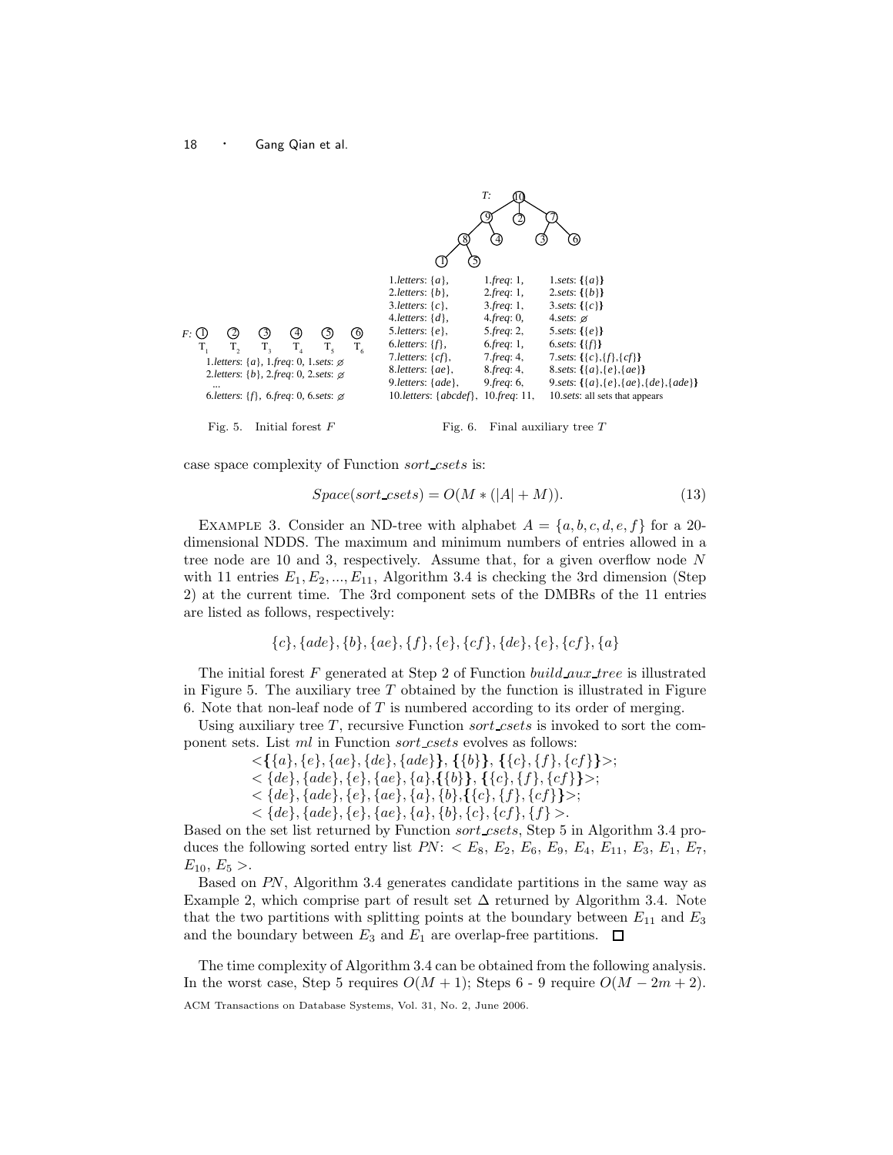

case space complexity of Function sort csets is:

$$
Space(sort\_csets) = O(M * (|A| + M)).
$$
\n<sup>(13)</sup>

EXAMPLE 3. Consider an ND-tree with alphabet  $A = \{a, b, c, d, e, f\}$  for a 20dimensional NDDS. The maximum and minimum numbers of entries allowed in a tree node are 10 and 3, respectively. Assume that, for a given overflow node N with 11 entries  $E_1, E_2, ..., E_{11}$ , Algorithm 3.4 is checking the 3rd dimension (Step 2) at the current time. The 3rd component sets of the DMBRs of the 11 entries are listed as follows, respectively:

$$
\{c\}, \{ade\}, \{b\}, \{ae\}, \{f\}, \{e\}, \{cf\}, \{de\}, \{e\}, \{cf\}, \{af\}
$$

The initial forest  $F$  generated at Step 2 of Function *build aux tree* is illustrated in Figure 5. The auxiliary tree  $T$  obtained by the function is illustrated in Figure 6. Note that non-leaf node of  $T$  is numbered according to its order of merging.

Using auxiliary tree  $T$ , recursive Function *sort\_csets* is invoked to sort the component sets. List ml in Function sort csets evolves as follows:

 $\langle \{ \{a\}, \{e\}, \{ae\}, \{de\}, \{ade\} \}, \{ \{b\} \}, \{ \{c\}, \{f\}, \{cf\} \} \rangle$ ;

 $<$  {de}, {ade}, {e}, {ae}, {a}, {{b}}, {{c}, {f}, {cf}} >;

 $\langle \{de\}, \{ade\}, \{e\}, \{ae\}, \{a\}, \{b\}, \{c\}, \{f\}, \{cf\} \} \rangle;$ 

 $\langle \{de\}, \{ade\}, \{de\}, \{ae\}, \{ae\}, \{a\}, \{b\}, \{c\}, \{cf\}, \{f\} \rangle.$ 

Based on the set list returned by Function sort csets, Step 5 in Algorithm 3.4 produces the following sorted entry list  $PN: \langle E_8, E_2, E_6, E_9, E_4, E_{11}, E_3, E_1, E_7,$  $E_{10}$ ,  $E_5$  >.

Based on PN, Algorithm 3.4 generates candidate partitions in the same way as Example 2, which comprise part of result set  $\Delta$  returned by Algorithm 3.4. Note that the two partitions with splitting points at the boundary between  $E_{11}$  and  $E_3$ and the boundary between  $E_3$  and  $E_1$  are overlap-free partitions.  $\Box$ 

The time complexity of Algorithm 3.4 can be obtained from the following analysis. In the worst case, Step 5 requires  $O(M + 1)$ ; Steps 6 - 9 require  $O(M - 2m + 2)$ .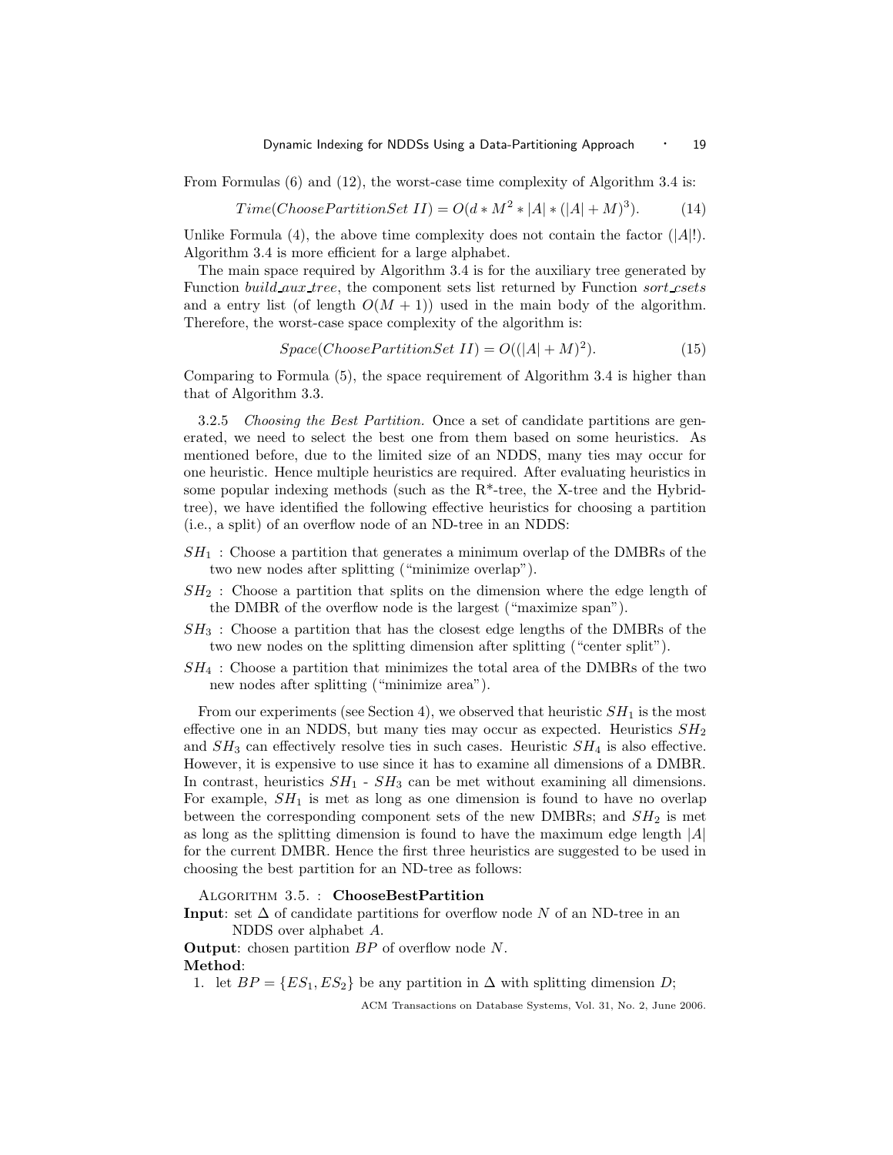From Formulas (6) and (12), the worst-case time complexity of Algorithm 3.4 is:

$$
Time(ChoosePartitionSet~II) = O(d * M2 * |A| * (|A| + M)3).
$$
 (14)

Unlike Formula  $(4)$ , the above time complexity does not contain the factor  $(|A|!)$ . Algorithm 3.4 is more efficient for a large alphabet.

The main space required by Algorithm 3.4 is for the auxiliary tree generated by Function *build\_aux\_tree*, the component sets list returned by Function *sort\_csets* and a entry list (of length  $O(M + 1)$ ) used in the main body of the algorithm. Therefore, the worst-case space complexity of the algorithm is:

$$
Space(ChoosePartitionSet~II) = O((|A| + M)^{2}).
$$
\n(15)

Comparing to Formula (5), the space requirement of Algorithm 3.4 is higher than that of Algorithm 3.3.

3.2.5 Choosing the Best Partition. Once a set of candidate partitions are generated, we need to select the best one from them based on some heuristics. As mentioned before, due to the limited size of an NDDS, many ties may occur for one heuristic. Hence multiple heuristics are required. After evaluating heuristics in some popular indexing methods (such as the  $R^*$ -tree, the X-tree and the Hybridtree), we have identified the following effective heuristics for choosing a partition (i.e., a split) of an overflow node of an ND-tree in an NDDS:

- $SH<sub>1</sub>$ : Choose a partition that generates a minimum overlap of the DMBRs of the two new nodes after splitting ("minimize overlap").
- $SH<sub>2</sub>$ : Choose a partition that splits on the dimension where the edge length of the DMBR of the overflow node is the largest ("maximize span").
- $SH<sub>3</sub>$ : Choose a partition that has the closest edge lengths of the DMBRs of the two new nodes on the splitting dimension after splitting ("center split").
- $SH<sub>4</sub>$ : Choose a partition that minimizes the total area of the DMBRs of the two new nodes after splitting ("minimize area").

From our experiments (see Section 4), we observed that heuristic  $SH_1$  is the most effective one in an NDDS, but many ties may occur as expected. Heuristics  $SH_2$ and  $SH_3$  can effectively resolve ties in such cases. Heuristic  $SH_4$  is also effective. However, it is expensive to use since it has to examine all dimensions of a DMBR. In contrast, heuristics  $SH_1$  -  $SH_3$  can be met without examining all dimensions. For example,  $SH_1$  is met as long as one dimension is found to have no overlap between the corresponding component sets of the new DMBRs; and  $SH_2$  is met as long as the splitting dimension is found to have the maximum edge length  $|A|$ for the current DMBR. Hence the first three heuristics are suggested to be used in choosing the best partition for an ND-tree as follows:

ALGORITHM 3.5. : ChooseBestPartition

**Input:** set  $\Delta$  of candidate partitions for overflow node N of an ND-tree in an NDDS over alphabet A.

**Output:** chosen partition  $BP$  of overflow node  $N$ . Method:

1. let  $BP = \{ES_1, ES_2\}$  be any partition in  $\Delta$  with splitting dimension D;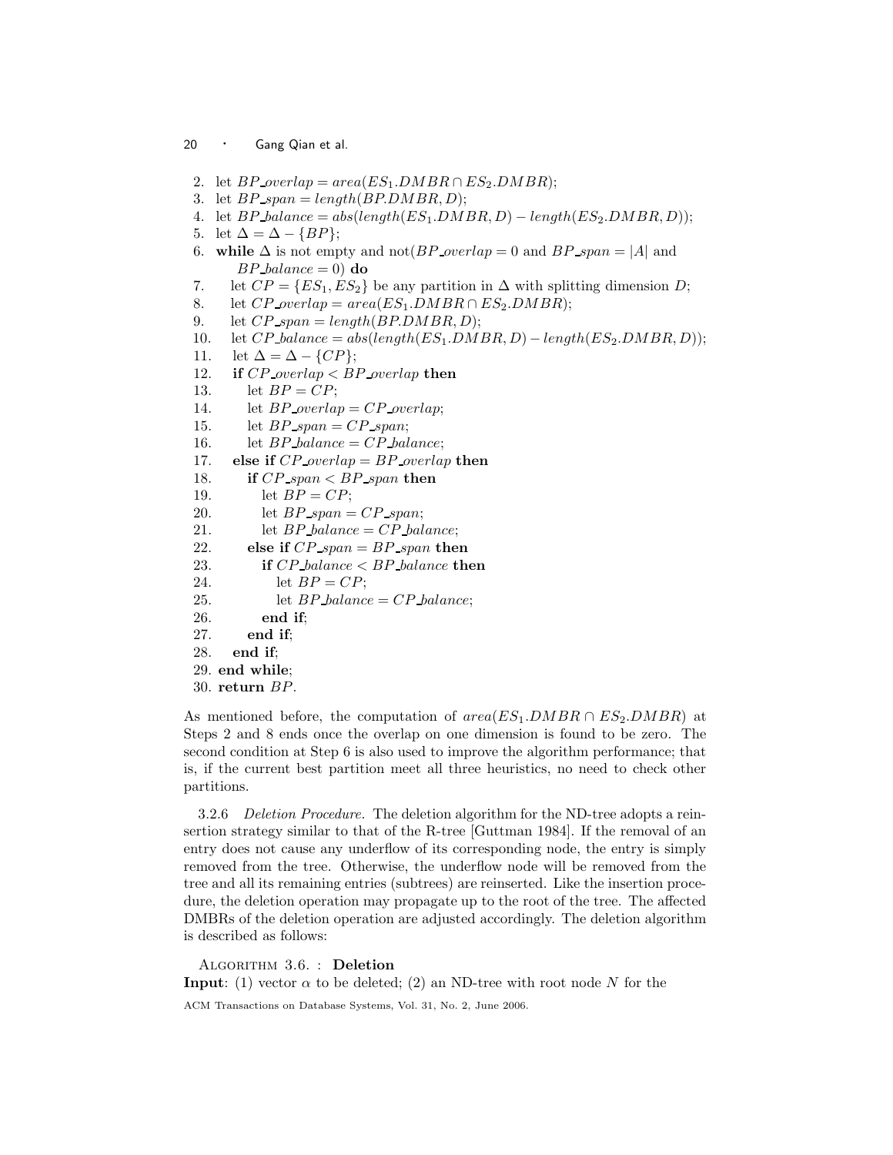- 20 · Gang Qian et al.
- 2. let  $BP\_{overlap} = area(ES_1.DMBR \cap ES_2.DMBR);$
- 3. let  $BP_span = length(BP.DMBR, D);$
- 4. let  $BP$  balance = abs(length( $ES_1.DMBR, D$ ) length( $ES_2.DMBR, D$ ));
- 5. let  $\Delta = \Delta \{BP\};$
- 6. while  $\Delta$  is not empty and not(*BP\_overlap* = 0 and *BP\_span* = |A| and  $BP\_balance = 0$  do
- 7. let  $CP = \{ES_1, ES_2\}$  be any partition in  $\Delta$  with splitting dimension D;
- 8. let  $CP$  overlap = area( $ES_1.DMBR \cap ES_2.DMBR$ );
- 9. let  $CP\_span = length(BP.DMBR, D);$
- 10. let  $CP\_balance = abs(lenqth(ES_1.DMBR, D) length(ES_2.DMBR, D));$
- 11. let  $\Delta = \Delta \{CP\};$
- 12. if  $CP$  overlap  $\langle BP$  overlap then
- 13. let  $BP = CP$ ;
- 14. let  $BP\_{overlap} = CP\_{overlap}$ ;
- 15. let  $BP \, span = CP \, span;$
- 16. let  $BP$  balance =  $CP$  balance;
- 17. else if  $CP$  overlap = BP overlap then
- 18. if  $CP$  span  $\lt BP$  span then
- 19. let  $BP = CP$ ;
- 20. let  $BP_span = CP_span;$
- 21. let  $BP$  balance =  $CP$  balance;
- 22. else if  $CP \, span = BP \, span \, then$
- 23. **if**  $CP$  balance  $\lt$  BP balance then
- 24. let  $BP = CP$ ;
- 25. let  $BP$  balance =  $CP$  balance;
- 26. end if;
- 27. end if;
- 28. end if;
- 29. end while;
- 30. return BP.

As mentioned before, the computation of  $area(ES_1.DMBR \cap ES_2.DMBR)$  at Steps 2 and 8 ends once the overlap on one dimension is found to be zero. The second condition at Step 6 is also used to improve the algorithm performance; that is, if the current best partition meet all three heuristics, no need to check other partitions.

3.2.6 Deletion Procedure. The deletion algorithm for the ND-tree adopts a reinsertion strategy similar to that of the R-tree [Guttman 1984]. If the removal of an entry does not cause any underflow of its corresponding node, the entry is simply removed from the tree. Otherwise, the underflow node will be removed from the tree and all its remaining entries (subtrees) are reinserted. Like the insertion procedure, the deletion operation may propagate up to the root of the tree. The affected DMBRs of the deletion operation are adjusted accordingly. The deletion algorithm is described as follows:

ALGORITHM 3.6. : Deletion

**Input:** (1) vector  $\alpha$  to be deleted; (2) an ND-tree with root node N for the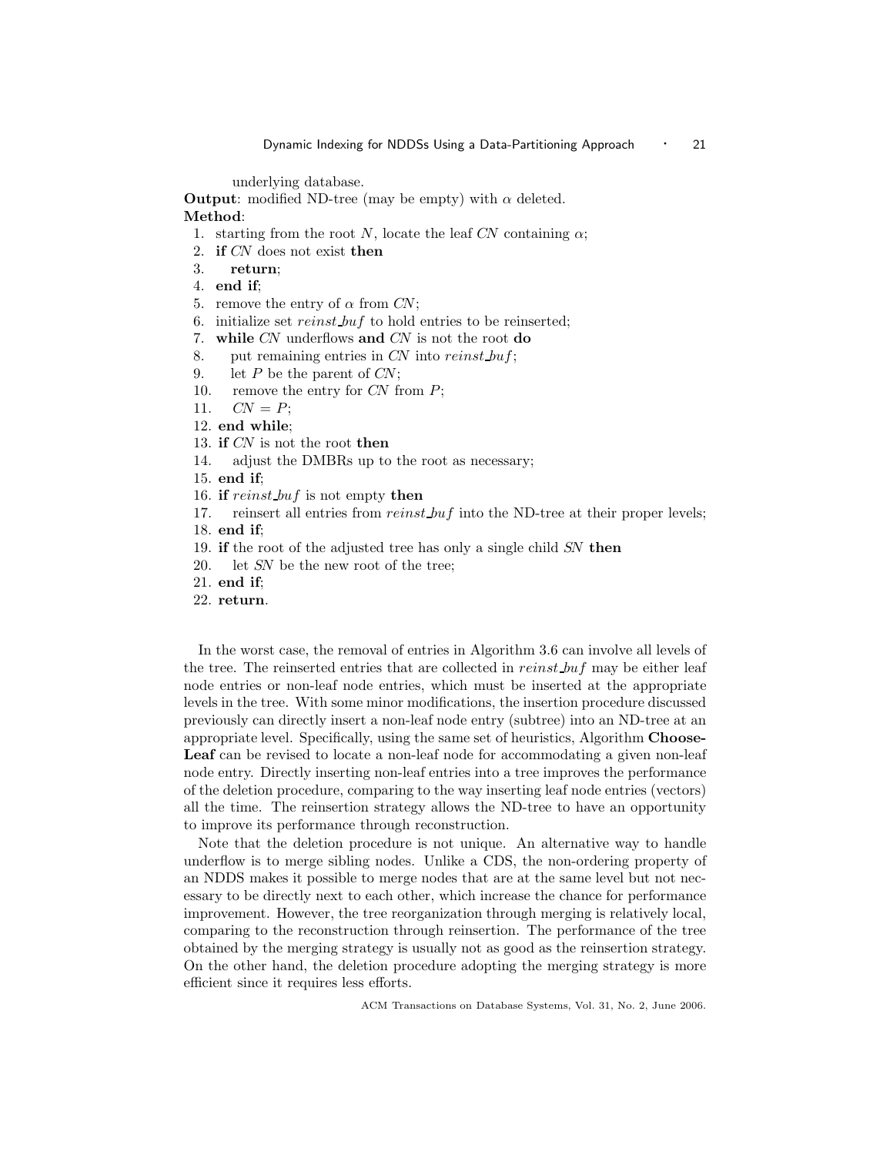underlying database.

**Output:** modified ND-tree (may be empty) with  $\alpha$  deleted. Method:

- 1. starting from the root N, locate the leaf CN containing  $\alpha$ ;
- 2. if CN does not exist then
- 3. return;
- 4. end if;
- 5. remove the entry of  $\alpha$  from  $CN$ ;
- 6. initialize set *reinst buf* to hold entries to be reinserted;

7. while CN underflows and CN is not the root do

- 8. put remaining entries in CN into reinst buf;
- 9. let  $P$  be the parent of  $CN$ ;
- 10. remove the entry for  $CN$  from  $P$ ;
- 11.  $CN = P$ ;
- 12. end while;
- 13. if CN is not the root then
- 14. adjust the DMBRs up to the root as necessary;

15. end if;

- 16. if reinst buf is not empty then
- 17. reinsert all entries from reinst buf into the ND-tree at their proper levels; 18. end if;
- 19. if the root of the adjusted tree has only a single child SN then
- 20. let SN be the new root of the tree;
- 21. end if;
- 22. return.

In the worst case, the removal of entries in Algorithm 3.6 can involve all levels of the tree. The reinserted entries that are collected in  $reinst\_buf$  may be either leaf node entries or non-leaf node entries, which must be inserted at the appropriate levels in the tree. With some minor modifications, the insertion procedure discussed previously can directly insert a non-leaf node entry (subtree) into an ND-tree at an appropriate level. Specifically, using the same set of heuristics, Algorithm Choose-Leaf can be revised to locate a non-leaf node for accommodating a given non-leaf node entry. Directly inserting non-leaf entries into a tree improves the performance of the deletion procedure, comparing to the way inserting leaf node entries (vectors) all the time. The reinsertion strategy allows the ND-tree to have an opportunity to improve its performance through reconstruction.

Note that the deletion procedure is not unique. An alternative way to handle underflow is to merge sibling nodes. Unlike a CDS, the non-ordering property of an NDDS makes it possible to merge nodes that are at the same level but not necessary to be directly next to each other, which increase the chance for performance improvement. However, the tree reorganization through merging is relatively local, comparing to the reconstruction through reinsertion. The performance of the tree obtained by the merging strategy is usually not as good as the reinsertion strategy. On the other hand, the deletion procedure adopting the merging strategy is more efficient since it requires less efforts.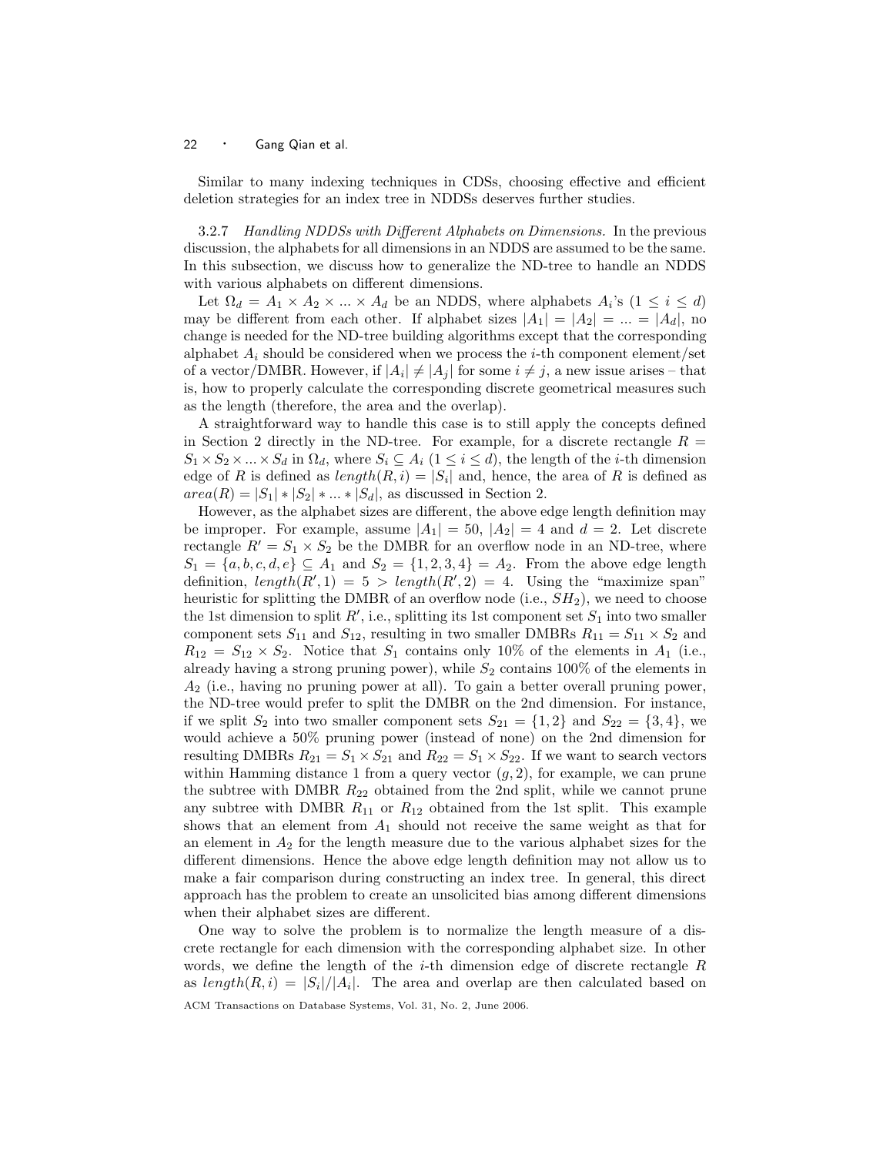Similar to many indexing techniques in CDSs, choosing effective and efficient deletion strategies for an index tree in NDDSs deserves further studies.

3.2.7 Handling NDDSs with Different Alphabets on Dimensions. In the previous discussion, the alphabets for all dimensions in an NDDS are assumed to be the same. In this subsection, we discuss how to generalize the ND-tree to handle an NDDS with various alphabets on different dimensions.

Let  $\Omega_d = A_1 \times A_2 \times ... \times A_d$  be an NDDS, where alphabets  $A_i$ 's  $(1 \leq i \leq d)$ may be different from each other. If alphabet sizes  $|A_1| = |A_2| = ... = |A_d|$ , no change is needed for the ND-tree building algorithms except that the corresponding alphabet  $A_i$  should be considered when we process the *i*-th component element/set of a vector/DMBR. However, if  $|A_i| \neq |A_j|$  for some  $i \neq j$ , a new issue arises – that is, how to properly calculate the corresponding discrete geometrical measures such as the length (therefore, the area and the overlap).

A straightforward way to handle this case is to still apply the concepts defined in Section 2 directly in the ND-tree. For example, for a discrete rectangle  $R =$  $S_1 \times S_2 \times \ldots \times S_d$  in  $\Omega_d$ , where  $S_i \subseteq A_i$   $(1 \leq i \leq d)$ , the length of the *i*-th dimension edge of R is defined as  $length(R, i) = |S_i|$  and, hence, the area of R is defined as  $area(R) = |S_1| * |S_2| * ... * |S_d|$ , as discussed in Section 2.

However, as the alphabet sizes are different, the above edge length definition may be improper. For example, assume  $|A_1| = 50$ ,  $|A_2| = 4$  and  $d = 2$ . Let discrete rectangle  $R' = S_1 \times S_2$  be the DMBR for an overflow node in an ND-tree, where  $S_1 = \{a, b, c, d, e\} \subseteq A_1$  and  $S_2 = \{1, 2, 3, 4\} = A_2$ . From the above edge length definition,  $length(R', 1) = 5 > length(R', 2) = 4$ . Using the "maximize span" heuristic for splitting the DMBR of an overflow node (i.e.,  $SH_2$ ), we need to choose the 1st dimension to split  $R'$ , i.e., splitting its 1st component set  $S_1$  into two smaller component sets  $S_{11}$  and  $S_{12}$ , resulting in two smaller DMBRs  $R_{11} = S_{11} \times S_2$  and  $R_{12} = S_{12} \times S_2$ . Notice that  $S_1$  contains only 10% of the elements in  $A_1$  (i.e., already having a strong pruning power), while  $S_2$  contains 100% of the elements in  $A_2$  (i.e., having no pruning power at all). To gain a better overall pruning power, the ND-tree would prefer to split the DMBR on the 2nd dimension. For instance, if we split  $S_2$  into two smaller component sets  $S_{21} = \{1,2\}$  and  $S_{22} = \{3,4\}$ , we would achieve a 50% pruning power (instead of none) on the 2nd dimension for resulting DMBRs  $R_{21} = S_1 \times S_{21}$  and  $R_{22} = S_1 \times S_{22}$ . If we want to search vectors within Hamming distance 1 from a query vector  $(g, 2)$ , for example, we can prune the subtree with DMBR  $R_{22}$  obtained from the 2nd split, while we cannot prune any subtree with DMBR  $R_{11}$  or  $R_{12}$  obtained from the 1st split. This example shows that an element from  $A_1$  should not receive the same weight as that for an element in  $A_2$  for the length measure due to the various alphabet sizes for the different dimensions. Hence the above edge length definition may not allow us to make a fair comparison during constructing an index tree. In general, this direct approach has the problem to create an unsolicited bias among different dimensions when their alphabet sizes are different.

One way to solve the problem is to normalize the length measure of a discrete rectangle for each dimension with the corresponding alphabet size. In other words, we define the length of the *i*-th dimension edge of discrete rectangle R as  $length(R, i) = |S_i|/|A_i|$ . The area and overlap are then calculated based on ACM Transactions on Database Systems, Vol. 31, No. 2, June 2006.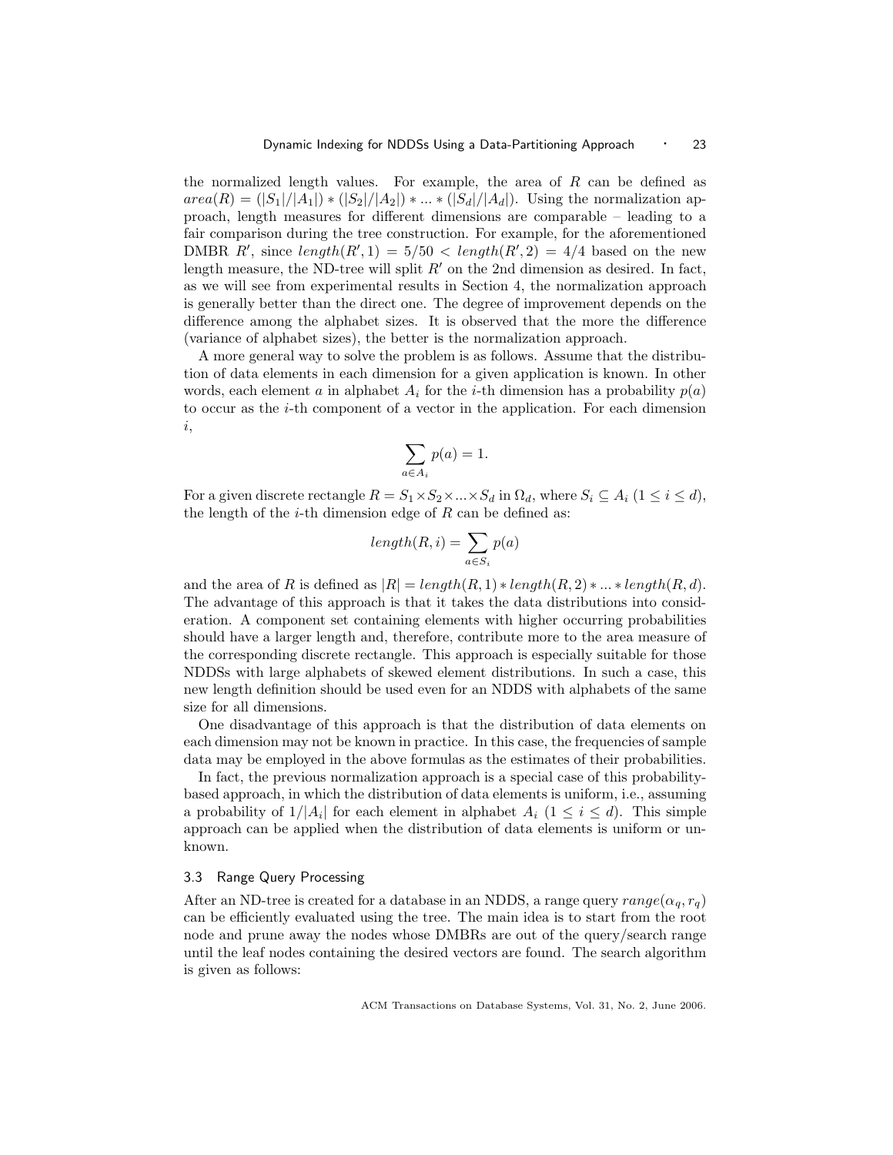the normalized length values. For example, the area of  $R$  can be defined as  $area(R) = (|S_1|/|A_1|) * (|S_2|/|A_2|) * ... * (|S_d|/|A_d|).$  Using the normalization approach, length measures for different dimensions are comparable – leading to a fair comparison during the tree construction. For example, for the aforementioned DMBR R', since  $length(R', 1) = 5/50 < length(R', 2) = 4/4$  based on the new length measure, the ND-tree will split  $R'$  on the 2nd dimension as desired. In fact, as we will see from experimental results in Section 4, the normalization approach is generally better than the direct one. The degree of improvement depends on the difference among the alphabet sizes. It is observed that the more the difference (variance of alphabet sizes), the better is the normalization approach.

A more general way to solve the problem is as follows. Assume that the distribution of data elements in each dimension for a given application is known. In other words, each element a in alphabet  $A_i$  for the *i*-th dimension has a probability  $p(a)$ to occur as the i-th component of a vector in the application. For each dimension i,

$$
\sum_{a\in A_i} p(a) = 1.
$$

For a given discrete rectangle  $R = S_1 \times S_2 \times ... \times S_d$  in  $\Omega_d$ , where  $S_i \subseteq A_i$   $(1 \leq i \leq d)$ , the length of the  $i$ -th dimension edge of  $R$  can be defined as:

$$
length(R, i) = \sum_{a \in S_i} p(a)
$$

and the area of R is defined as  $|R| = length(R, 1) * length(R, 2) * ... * length(R, d)$ . The advantage of this approach is that it takes the data distributions into consideration. A component set containing elements with higher occurring probabilities should have a larger length and, therefore, contribute more to the area measure of the corresponding discrete rectangle. This approach is especially suitable for those NDDSs with large alphabets of skewed element distributions. In such a case, this new length definition should be used even for an NDDS with alphabets of the same size for all dimensions.

One disadvantage of this approach is that the distribution of data elements on each dimension may not be known in practice. In this case, the frequencies of sample data may be employed in the above formulas as the estimates of their probabilities.

In fact, the previous normalization approach is a special case of this probabilitybased approach, in which the distribution of data elements is uniform, i.e., assuming a probability of  $1/|A_i|$  for each element in alphabet  $A_i$   $(1 \leq i \leq d)$ . This simple approach can be applied when the distribution of data elements is uniform or unknown.

## 3.3 Range Query Processing

After an ND-tree is created for a database in an NDDS, a range query  $range(\alpha_q, r_q)$ can be efficiently evaluated using the tree. The main idea is to start from the root node and prune away the nodes whose DMBRs are out of the query/search range until the leaf nodes containing the desired vectors are found. The search algorithm is given as follows: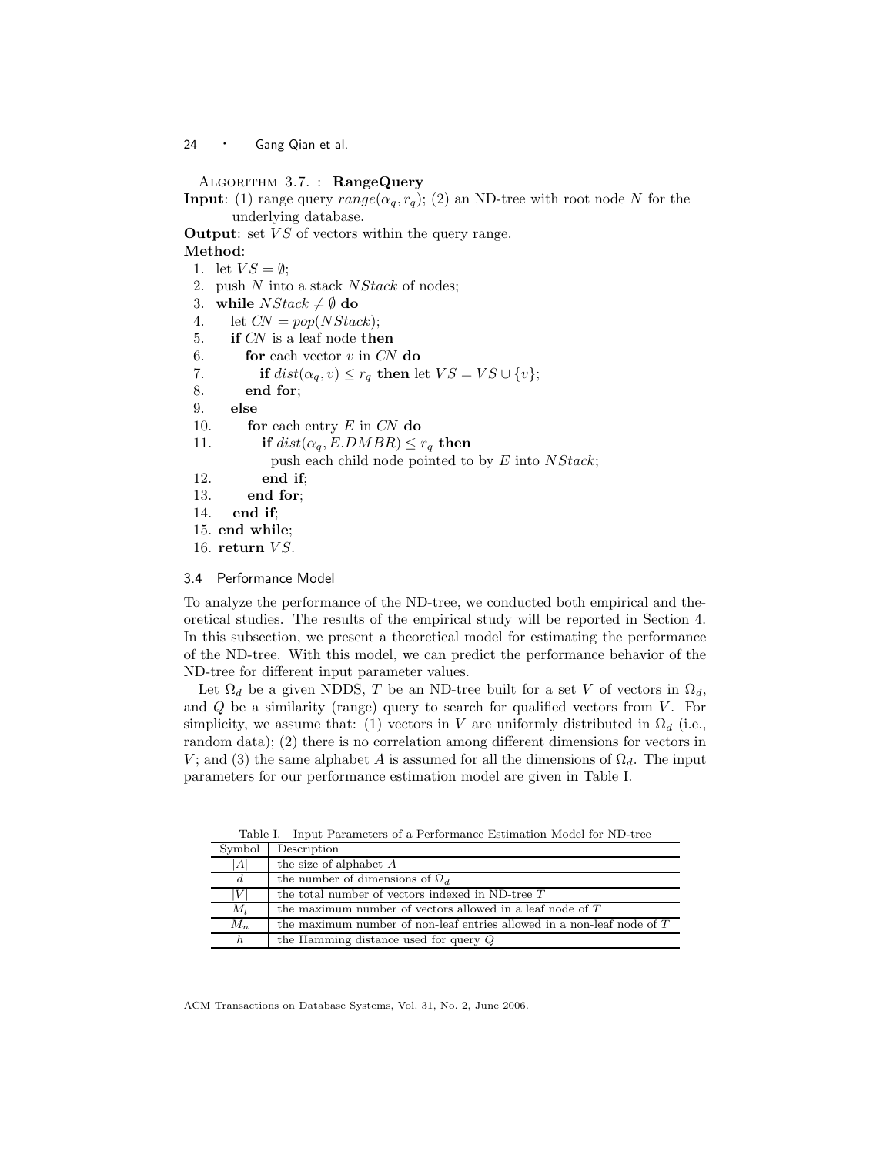ALGORITHM 3.7. : RangeQuery

**Input**: (1) range query  $range(\alpha_q, r_q)$ ; (2) an ND-tree with root node N for the underlying database.

**Output:** set  $VS$  of vectors within the query range.

Method:

- 1. let  $VS = \emptyset$ ;
- 2. push N into a stack NStack of nodes;
- 3. while  $NStack \neq \emptyset$  do
- 4. let  $CN = pop(NStack);$
- 5. **if** CN is a leaf node then
- 6. **for** each vector  $v$  in  $CN$  do
- 7. if  $dist(\alpha_q, v) \le r_q$  then let  $VS = VS \cup \{v\};$
- 8. end for;

9. else

- 10. **for** each entry  $E$  in  $CN$  do
- 11. if  $dist(\alpha_q, E.DMBR) \le r_q$  then push each child node pointed to by  $E$  into  $NStrack;$ 12. end if; 13. end for;
- 14. end if;
- 15. end while;

16. return  $VS$ .

#### 3.4 Performance Model

To analyze the performance of the ND-tree, we conducted both empirical and theoretical studies. The results of the empirical study will be reported in Section 4. In this subsection, we present a theoretical model for estimating the performance of the ND-tree. With this model, we can predict the performance behavior of the ND-tree for different input parameter values.

Let  $\Omega_d$  be a given NDDS, T be an ND-tree built for a set V of vectors in  $\Omega_d$ , and  $Q$  be a similarity (range) query to search for qualified vectors from  $V$ . For simplicity, we assume that: (1) vectors in V are uniformly distributed in  $\Omega_d$  (i.e., random data); (2) there is no correlation among different dimensions for vectors in V; and (3) the same alphabet A is assumed for all the dimensions of  $\Omega_d$ . The input parameters for our performance estimation model are given in Table I.

|        | rable 1. Thiput I arameters of a Ferformance Estimation modernor in Figure |  |  |  |  |  |
|--------|----------------------------------------------------------------------------|--|--|--|--|--|
| Symbol | Description                                                                |  |  |  |  |  |
| Al     | the size of alphabet $A$                                                   |  |  |  |  |  |
| d.     | the number of dimensions of $\Omega_d$                                     |  |  |  |  |  |
| V      | the total number of vectors indexed in ND-tree $T$                         |  |  |  |  |  |
| $M_l$  | the maximum number of vectors allowed in a leaf node of T                  |  |  |  |  |  |
| $M_n$  | the maximum number of non-leaf entries allowed in a non-leaf node of $T$   |  |  |  |  |  |
| h      | the Hamming distance used for query Q                                      |  |  |  |  |  |
|        |                                                                            |  |  |  |  |  |

Table I. Input Parameters of a Performance Estimation Model for ND-tree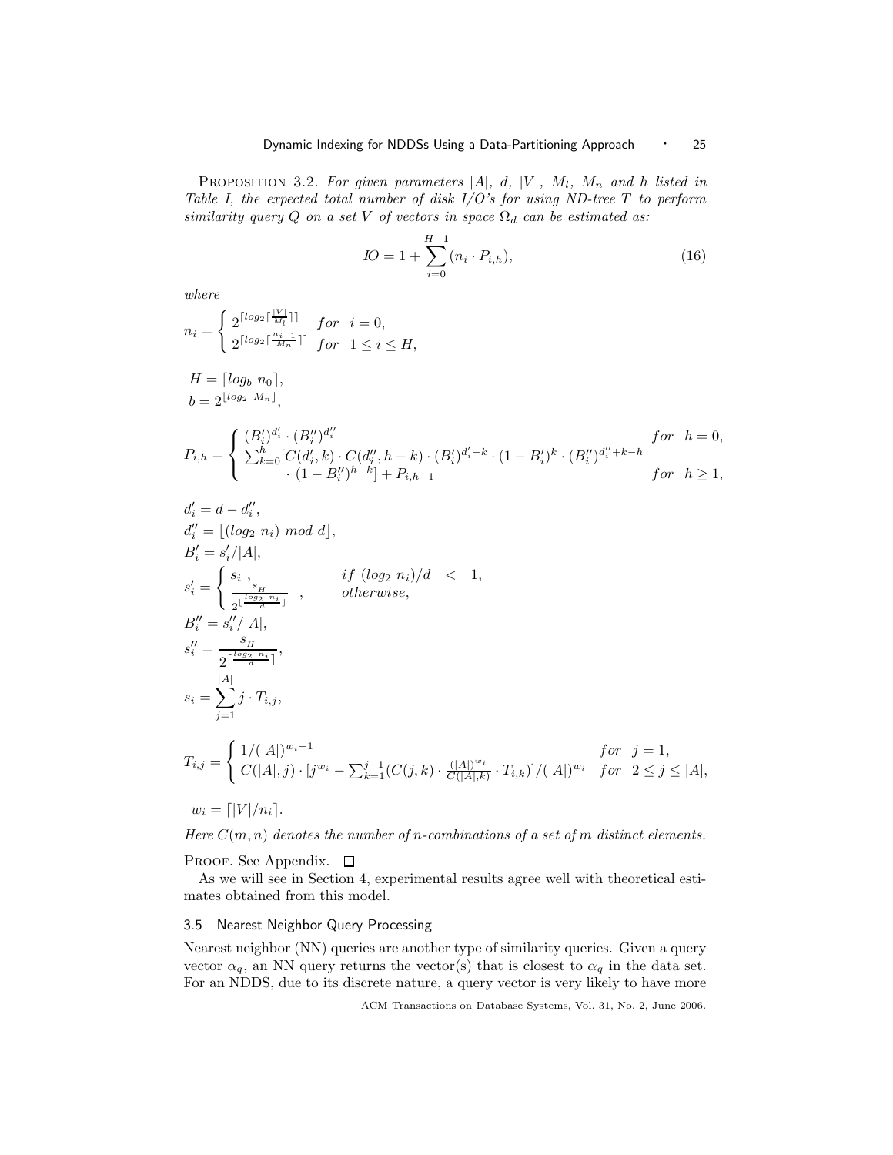PROPOSITION 3.2. For given parameters  $|A|$ , d,  $|V|$ ,  $M_l$ ,  $M_n$  and h listed in Table I, the expected total number of disk  $I/O's$  for using ND-tree T to perform similarity query Q on a set V of vectors in space  $\Omega_d$  can be estimated as:

$$
IO = 1 + \sum_{i=0}^{H-1} (n_i \cdot P_{i,h}),
$$
\n(16)

where

$$
\begin{aligned} &n_i = \left\{ \begin{aligned} &2^{\lceil log_2\lceil \frac{|V|}{M_t}\rceil \rceil} \quad for \quad i = 0, \\ &2^{\lceil log_2\lceil \frac{|V|}{M_n}\rceil \rceil} \quad for \quad 1 \leq i \leq H, \end{aligned} \right. \\ &B = \left\{ \begin{aligned} &D_i \left( B_i^{\prime} \right)^{d_i^{\prime}} \cdot \left( B_i^{\prime \prime} \right)^{d_i^{\prime \prime}} \quad for \quad 1 \leq i \leq H, \\ &P_{i,h} = \left\{ \begin{aligned} &D_i^{\prime} \right\}^{d_i^{\prime}} \cdot \left( B_i^{\prime \prime} \right)^{d_i^{\prime \prime}} \quad for \quad h = 0, \\ &\qquad \qquad \ddots \quad (1-B_i^{\prime \prime})^{h-k} \rceil + P_{i,h-1} \quad &for \quad h = 0, \\ &\qquad \qquad \ddots \quad (1-B_i^{\prime \prime})^{h-k} \rceil + P_{i,h-1} \quad &for \quad h \geq 1, \end{aligned} \right. \\ &d_i^{\prime} = d - d_i^{\prime \prime}, \\ &d_i^{\prime \prime} = \left\{ \begin{aligned} &\frac{s_i}{d_i^{\prime}} \cdot \frac{s_i}{s_{i-1}} \quad &\qquad \qquad if \quad (log_2 n_i) / d &< 1, \\ &\qquad s_i^{\prime} = \left\{ \begin{aligned} &s_i \cdot \frac{s_i}{s_{i-1}} \quad &\qquad \qquad if \quad (log_2 n_i) / d &< 1, \\ &\qquad s_i^{\prime \prime} = s_i^{\prime \prime} / |A|, \\ &\qquad s_i^{\prime \prime} = \frac{s_{i} / |A|}{2^{\frac{\log_2 n_i}{d}}}, \quad &\qquad \qquad otherwise, \end{aligned} \right. \\ &S_i^{\prime} = \sum_{j=1}^{|A|} j \cdot T_{i,j}, \\ &S_i = \sum_{j=1}^{|A|} j \cdot T_{i,j}, \\ &T_{i,j} = \left\{ \begin{aligned} &1/(|A|)^{w_i-1} \quad &\qquad \qquad for \quad j = 1, \\ &C(|A|,j) \cdot [j^{w_i} - \sum_{k=1}^{j-1} (C(j,k) \cdot \frac{(|A|)^{w_i}}{C(|A|,k)} \cdot T_{
$$

$$
w_i = \lceil |V|/n_i \rceil.
$$

Here  $C(m, n)$  denotes the number of n-combinations of a set of m distinct elements.

PROOF. See Appendix.  $\Box$ 

As we will see in Section 4, experimental results agree well with theoretical estimates obtained from this model.

# 3.5 Nearest Neighbor Query Processing

Nearest neighbor (NN) queries are another type of similarity queries. Given a query vector  $\alpha_q$ , an NN query returns the vector(s) that is closest to  $\alpha_q$  in the data set. For an NDDS, due to its discrete nature, a query vector is very likely to have more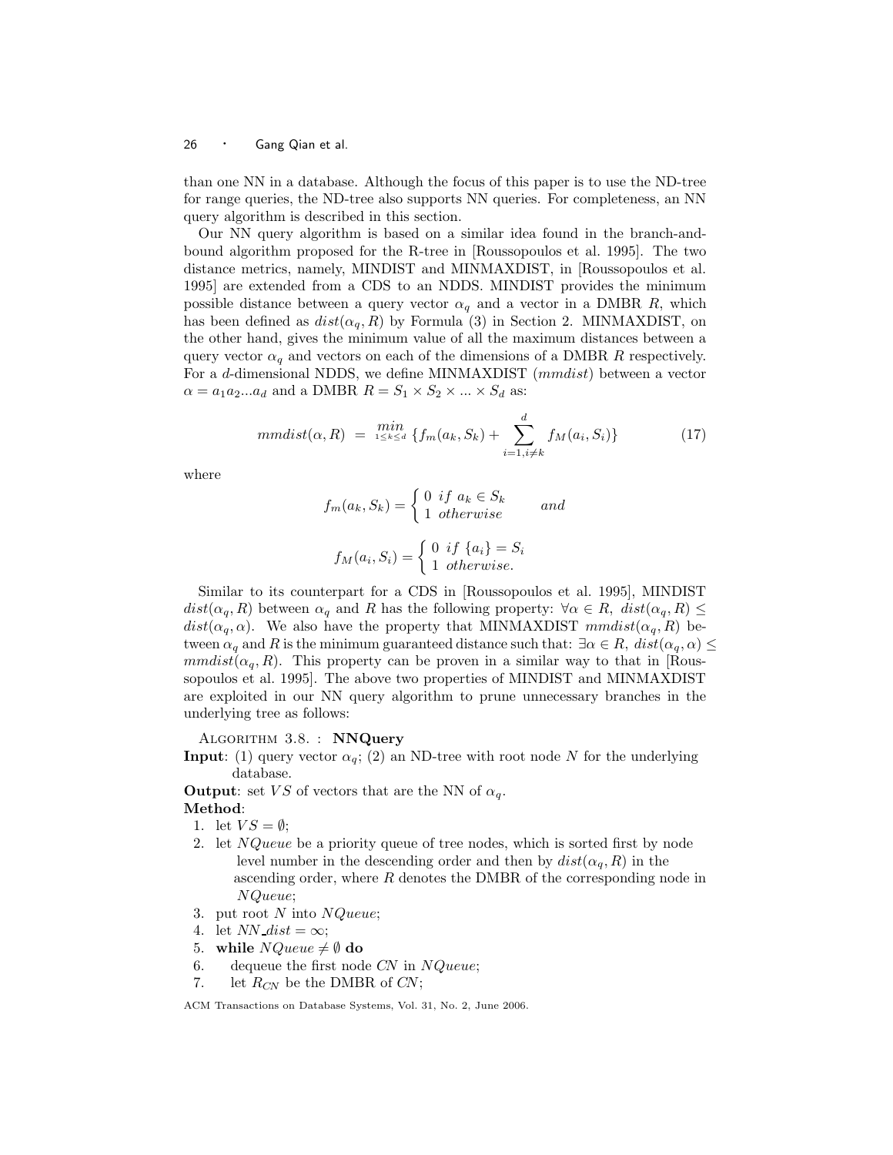than one NN in a database. Although the focus of this paper is to use the ND-tree for range queries, the ND-tree also supports NN queries. For completeness, an NN query algorithm is described in this section.

Our NN query algorithm is based on a similar idea found in the branch-andbound algorithm proposed for the R-tree in [Roussopoulos et al. 1995]. The two distance metrics, namely, MINDIST and MINMAXDIST, in [Roussopoulos et al. 1995] are extended from a CDS to an NDDS. MINDIST provides the minimum possible distance between a query vector  $\alpha_q$  and a vector in a DMBR R, which has been defined as  $dist(\alpha_q, R)$  by Formula (3) in Section 2. MINMAXDIST, on the other hand, gives the minimum value of all the maximum distances between a query vector  $\alpha_q$  and vectors on each of the dimensions of a DMBR R respectively. For a d-dimensional NDDS, we define MINMAXDIST (*mmdist*) between a vector  $\alpha = a_1 a_2 ... a_d$  and a DMBR  $R = S_1 \times S_2 \times ... \times S_d$  as:

$$
mmdist(\alpha, R) = \min_{1 \le k \le d} \{ f_m(a_k, S_k) + \sum_{i=1, i \ne k}^{d} f_M(a_i, S_i) \}
$$
(17)

where

$$
f_m(a_k, S_k) = \begin{cases} 0 & \text{if } a_k \in S_k \\ 1 & \text{otherwise} \end{cases} \quad and
$$

$$
f_M(a_i, S_i) = \begin{cases} 0 & \text{if } \{a_i\} = S_i \\ 1 & \text{otherwise.} \end{cases}
$$

Similar to its counterpart for a CDS in [Roussopoulos et al. 1995], MINDIST  $dist(\alpha_q, R)$  between  $\alpha_q$  and R has the following property:  $\forall \alpha \in R$ ,  $dist(\alpha_q, R) \leq$  $dist(\alpha_q, \alpha)$ . We also have the property that MINMAXDIST  $mmdist(\alpha_q, R)$  between  $\alpha_q$  and R is the minimum guaranteed distance such that:  $\exists \alpha \in R$ ,  $dist(\alpha_q, \alpha) \leq$  $nmdist(\alpha_q, R)$ . This property can be proven in a similar way to that in [Roussopoulos et al. 1995]. The above two properties of MINDIST and MINMAXDIST are exploited in our NN query algorithm to prune unnecessary branches in the underlying tree as follows:

## ALGORITHM 3.8. : NNQuery

**Input**: (1) query vector  $\alpha_q$ ; (2) an ND-tree with root node N for the underlying database.

**Output:** set VS of vectors that are the NN of  $\alpha_q$ . Method:

- 1. let  $VS = \emptyset$ ;
- 2. let  $NQueue$  be a priority queue of tree nodes, which is sorted first by node level number in the descending order and then by  $dist(\alpha_q, R)$  in the ascending order, where  $R$  denotes the DMBR of the corresponding node in NQueue;
- 3. put root  $N$  into  $NQueue;$
- 4. let NN  $dist = \infty$ ;
- 5. while  $NQueue \neq \emptyset$  do
- 6. dequeue the first node  $CN$  in  $NQueue$ ;
- 7. let  $R_{CN}$  be the DMBR of  $CN$ ;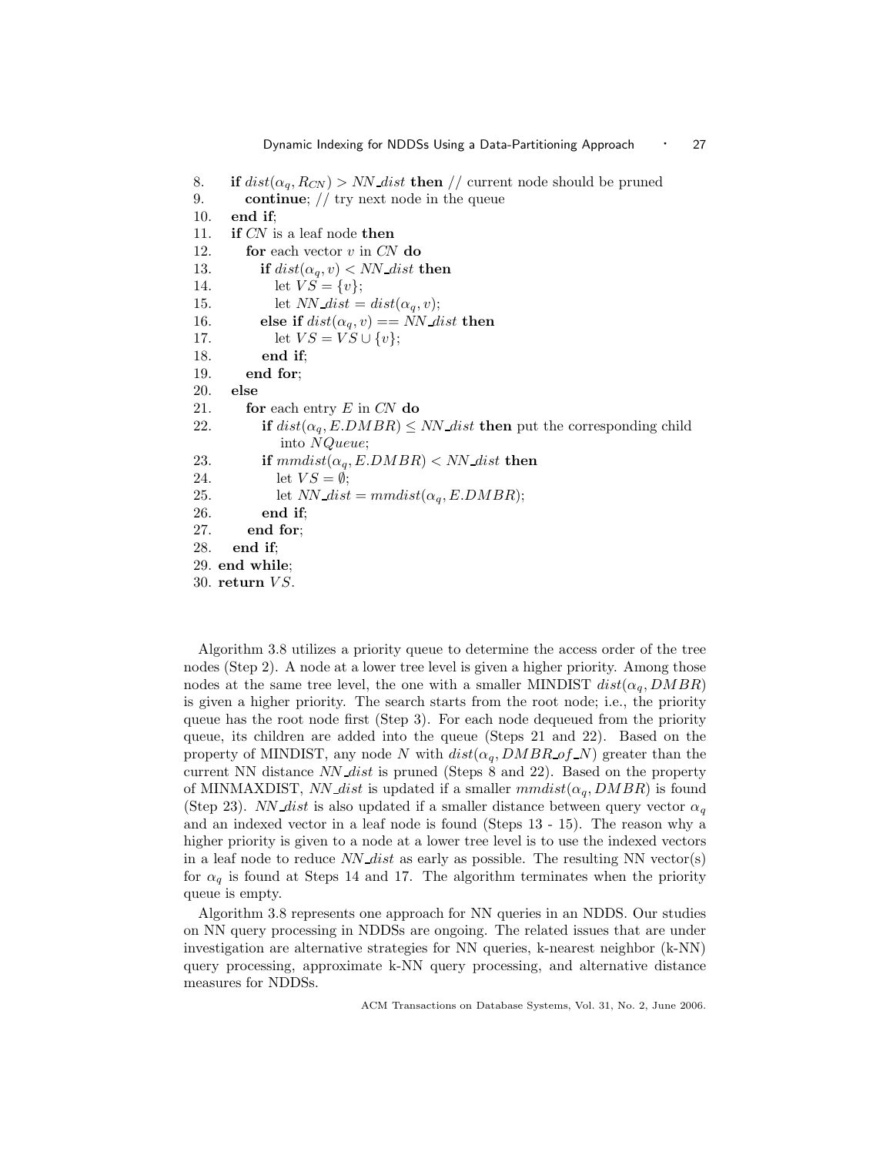```
8. if dist(\alpha_q, R_{CN}) > NN\_dist then // current node should be pruned
9. continue; // try next node in the queue
10. end if;
11. if CN is a leaf node then
12. for each vector v in CN do
13. if dist(\alpha_q, v) < NN\_dist then
14. let VS = \{v\};15. let NN\_dist = dist(\alpha_q, v);16. else if dist(\alpha_q, v) = N N\_dist then
17. let VS = VS \cup \{v\};18. end if;
19. end for;
20. else
21. for each entry E in CN do
22. if dist(\alpha_q, E.DMBR) \leq NN\_dist then put the corresponding child
            into NQueue;
23. if mmdist(\alpha_q, E.DMBR) < NN\_dist then
24. let VS = \emptyset;
25. let NN\_dist = mmdist(\alpha_q, E.DMBR);26. end if;
27. end for;
28. end if;
29. end while;
30. return VS.
```
Algorithm 3.8 utilizes a priority queue to determine the access order of the tree nodes (Step 2). A node at a lower tree level is given a higher priority. Among those nodes at the same tree level, the one with a smaller MINDIST  $dist(\alpha_q, DMBR)$ is given a higher priority. The search starts from the root node; i.e., the priority queue has the root node first (Step 3). For each node dequeued from the priority queue, its children are added into the queue (Steps 21 and 22). Based on the property of MINDIST, any node N with  $dist(\alpha_q, DMBR \triangle f_N)$  greater than the current NN distance NN dist is pruned (Steps 8 and 22). Based on the property of MINMAXDIST, NN dist is updated if a smaller  $mmdist(\alpha_q, DMBR)$  is found (Step 23). NN dist is also updated if a smaller distance between query vector  $\alpha_q$ and an indexed vector in a leaf node is found (Steps 13 - 15). The reason why a higher priority is given to a node at a lower tree level is to use the indexed vectors in a leaf node to reduce  $NN$  dist as early as possible. The resulting NN vector(s) for  $\alpha_q$  is found at Steps 14 and 17. The algorithm terminates when the priority queue is empty.

Algorithm 3.8 represents one approach for NN queries in an NDDS. Our studies on NN query processing in NDDSs are ongoing. The related issues that are under investigation are alternative strategies for NN queries, k-nearest neighbor (k-NN) query processing, approximate k-NN query processing, and alternative distance measures for NDDSs.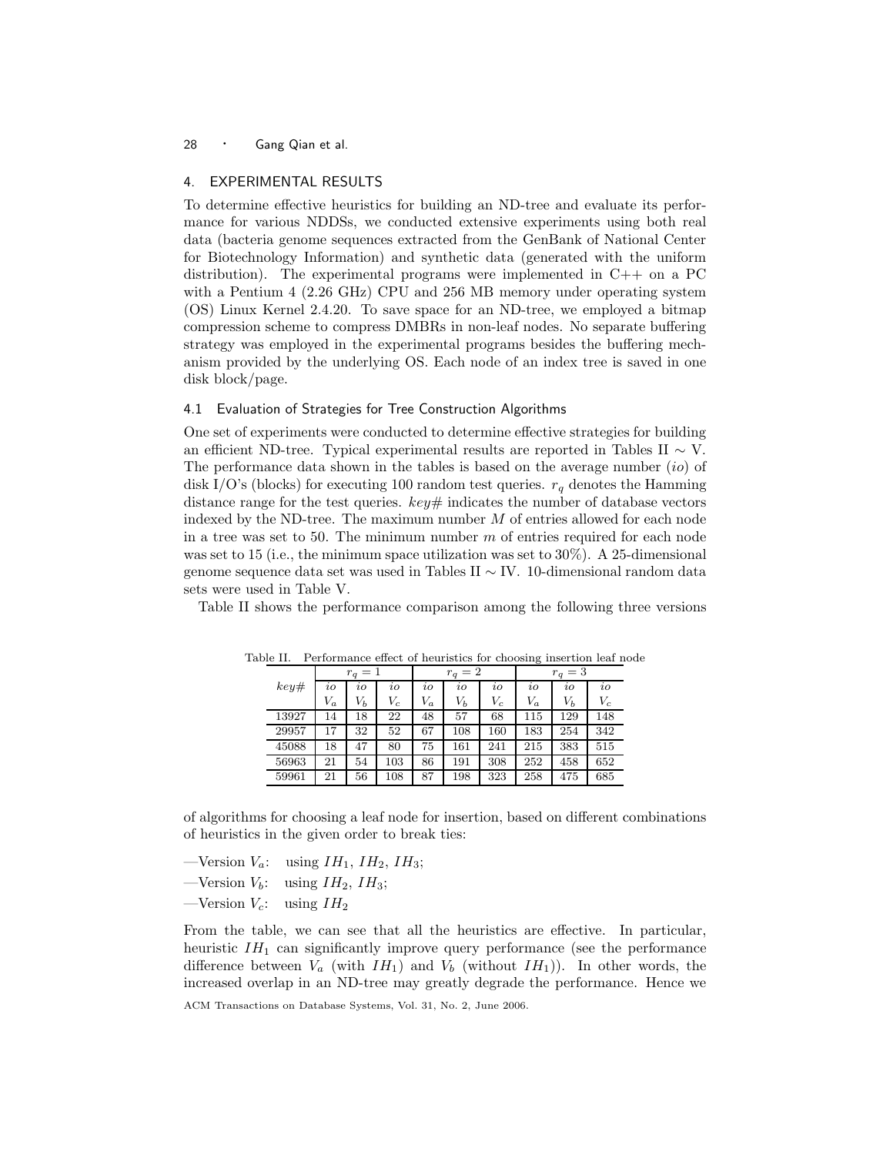## 4. EXPERIMENTAL RESULTS

To determine effective heuristics for building an ND-tree and evaluate its performance for various NDDSs, we conducted extensive experiments using both real data (bacteria genome sequences extracted from the GenBank of National Center for Biotechnology Information) and synthetic data (generated with the uniform distribution). The experimental programs were implemented in C++ on a PC with a Pentium 4 (2.26 GHz) CPU and 256 MB memory under operating system (OS) Linux Kernel 2.4.20. To save space for an ND-tree, we employed a bitmap compression scheme to compress DMBRs in non-leaf nodes. No separate buffering strategy was employed in the experimental programs besides the buffering mechanism provided by the underlying OS. Each node of an index tree is saved in one disk block/page.

## 4.1 Evaluation of Strategies for Tree Construction Algorithms

One set of experiments were conducted to determine effective strategies for building an efficient ND-tree. Typical experimental results are reported in Tables II  $\sim$  V. The performance data shown in the tables is based on the average number (io) of disk I/O's (blocks) for executing 100 random test queries.  $r_q$  denotes the Hamming distance range for the test queries.  $key\#$  indicates the number of database vectors indexed by the ND-tree. The maximum number  $M$  of entries allowed for each node in a tree was set to 50. The minimum number  $m$  of entries required for each node was set to 15 (i.e., the minimum space utilization was set to 30%). A 25-dimensional genome sequence data set was used in Tables II ∼ IV. 10-dimensional random data sets were used in Table V.

Table II shows the performance comparison among the following three versions

|       | $r_q=1$   |         | $r_q=2$ |           |         | $r_q=3$ |       |       |           |
|-------|-----------|---------|---------|-----------|---------|---------|-------|-------|-----------|
| key#  | $i\sigma$ | $\iota$ | io      | $\iota$ o | $\iota$ | io      | io    | io    | $i\sigma$ |
|       | $V_a$     | $V_b$   | $V_c$   | $V_a$     | $V_b$   | $V_c$   | $V_a$ | $V_b$ | $V_c$     |
| 13927 | 14        | 18      | 22      | 48        | 57      | 68      | 115   | 129   | 148       |
| 29957 | 17        | 32      | 52      | 67        | 108     | 160     | 183   | 254   | 342       |
| 45088 | 18        | 47      | 80      | 75        | 161     | 241     | 215   | 383   | 515       |
| 56963 | 21        | 54      | 103     | 86        | 191     | 308     | 252   | 458   | 652       |
| 59961 | 21        | 56      | 108     | 87        | 198     | 323     | 258   | 475   | 685       |

Table II. Performance effect of heuristics for choosing insertion leaf node

of algorithms for choosing a leaf node for insertion, based on different combinations of heuristics in the given order to break ties:

- —Version  $V_a$ : using  $IH_1$ ,  $IH_2$ ,  $IH_3$ ;
- —Version  $V_b$ : using  $IH_2$ ,  $IH_3$ ;
- —Version  $V_c$ : using  $IH_2$

From the table, we can see that all the heuristics are effective. In particular, heuristic  $IH_1$  can significantly improve query performance (see the performance difference between  $V_a$  (with  $IH_1$ ) and  $V_b$  (without  $IH_1$ )). In other words, the increased overlap in an ND-tree may greatly degrade the performance. Hence we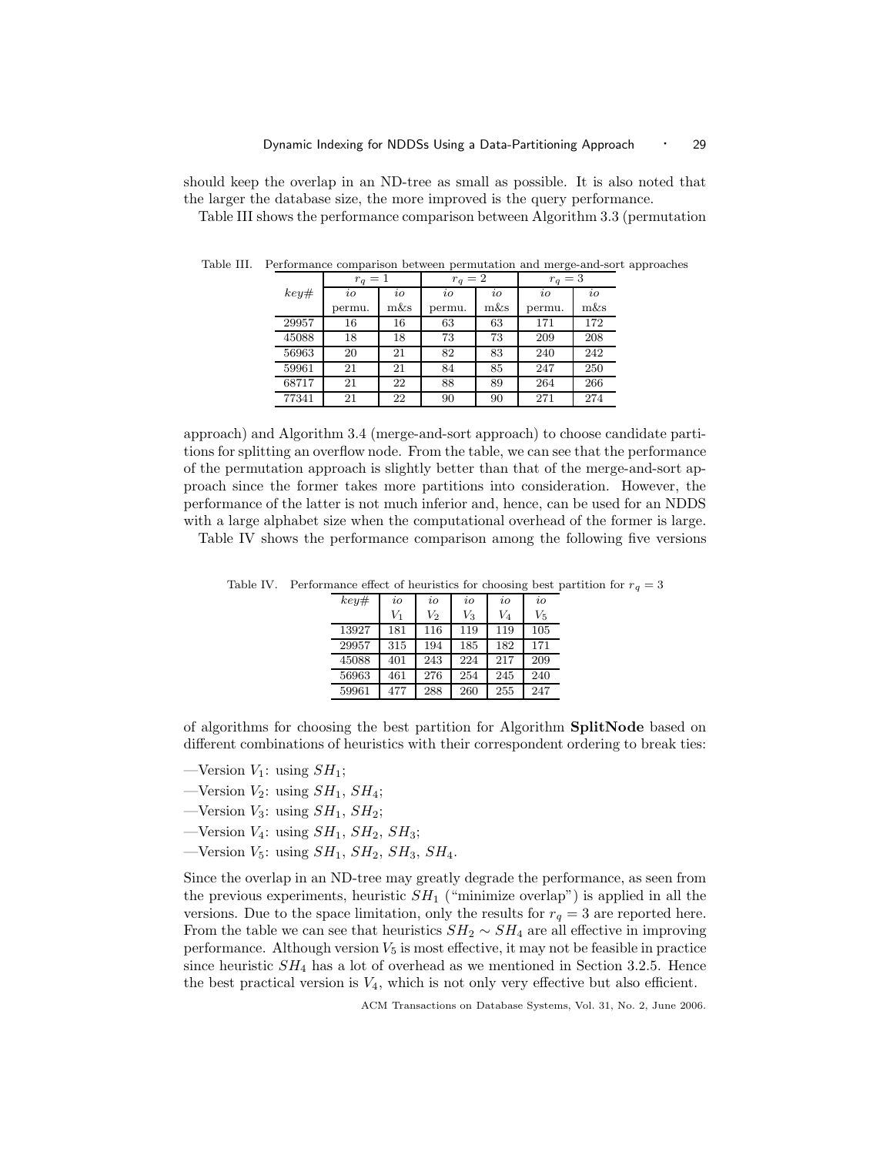should keep the overlap in an ND-tree as small as possible. It is also noted that the larger the database size, the more improved is the query performance.

Table III shows the performance comparison between Algorithm 3.3 (permutation

|       | $r_q=1$ |        | $r_q=2$   |           | $r_q=3$ |        |  |
|-------|---------|--------|-----------|-----------|---------|--------|--|
| key#  | io      | io     | $i\sigma$ | $i\sigma$ | io      | io     |  |
|       | permu.  | $m\&s$ | permu.    | m&s       | permu.  | $m\&s$ |  |
| 29957 | 16      | 16     | 63        | 63        | 171     | 172    |  |
| 45088 | 18      | 18     | 73        | 73        | 209     | 208    |  |
| 56963 | 20      | 21     | 82        | 83        | 240     | 242    |  |
| 59961 | 21      | 21     | 84        | 85        | 247     | 250    |  |
| 68717 | 21      | 22     | 88        | 89        | 264     | 266    |  |
| 77341 | 21      | 22     | 90        | 90        | 271     | 274    |  |

Table III. Performance comparison between permutation and merge-and-sort approaches

approach) and Algorithm 3.4 (merge-and-sort approach) to choose candidate partitions for splitting an overflow node. From the table, we can see that the performance of the permutation approach is slightly better than that of the merge-and-sort approach since the former takes more partitions into consideration. However, the performance of the latter is not much inferior and, hence, can be used for an NDDS with a large alphabet size when the computational overhead of the former is large.

Table IV shows the performance comparison among the following five versions

| key#  | io  | io  | io    | io  | io  |
|-------|-----|-----|-------|-----|-----|
|       | V1  | V2  | $V_3$ | V4  | V5  |
| 13927 | 181 | 116 | 119   | 119 | 105 |
| 29957 | 315 | 194 | 185   | 182 | 171 |
| 45088 | 401 | 243 | 224   | 217 | 209 |
| 56963 | 461 | 276 | 254   | 245 | 240 |
| 59961 | 477 | 288 | 260   | 255 | 247 |

Table IV. Performance effect of heuristics for choosing best partition for  $r_q = 3$ 

of algorithms for choosing the best partition for Algorithm SplitNode based on different combinations of heuristics with their correspondent ordering to break ties:

- —Version  $V_1$ : using  $SH_1$ ;
- —Version  $V_2$ : using  $SH_1$ ,  $SH_4$ ;
- —Version  $V_3$ : using  $SH_1$ ,  $SH_2$ ;
- —Version  $V_4$ : using  $SH_1$ ,  $SH_2$ ,  $SH_3$ ;
- —Version  $V_5$ : using  $SH_1$ ,  $SH_2$ ,  $SH_3$ ,  $SH_4$ .

Since the overlap in an ND-tree may greatly degrade the performance, as seen from the previous experiments, heuristic  $SH_1$  ("minimize overlap") is applied in all the versions. Due to the space limitation, only the results for  $r_q = 3$  are reported here. From the table we can see that heuristics  $SH_2 \sim SH_4$  are all effective in improving performance. Although version  $V_5$  is most effective, it may not be feasible in practice since heuristic  $SH_4$  has a lot of overhead as we mentioned in Section 3.2.5. Hence the best practical version is  $V_4$ , which is not only very effective but also efficient.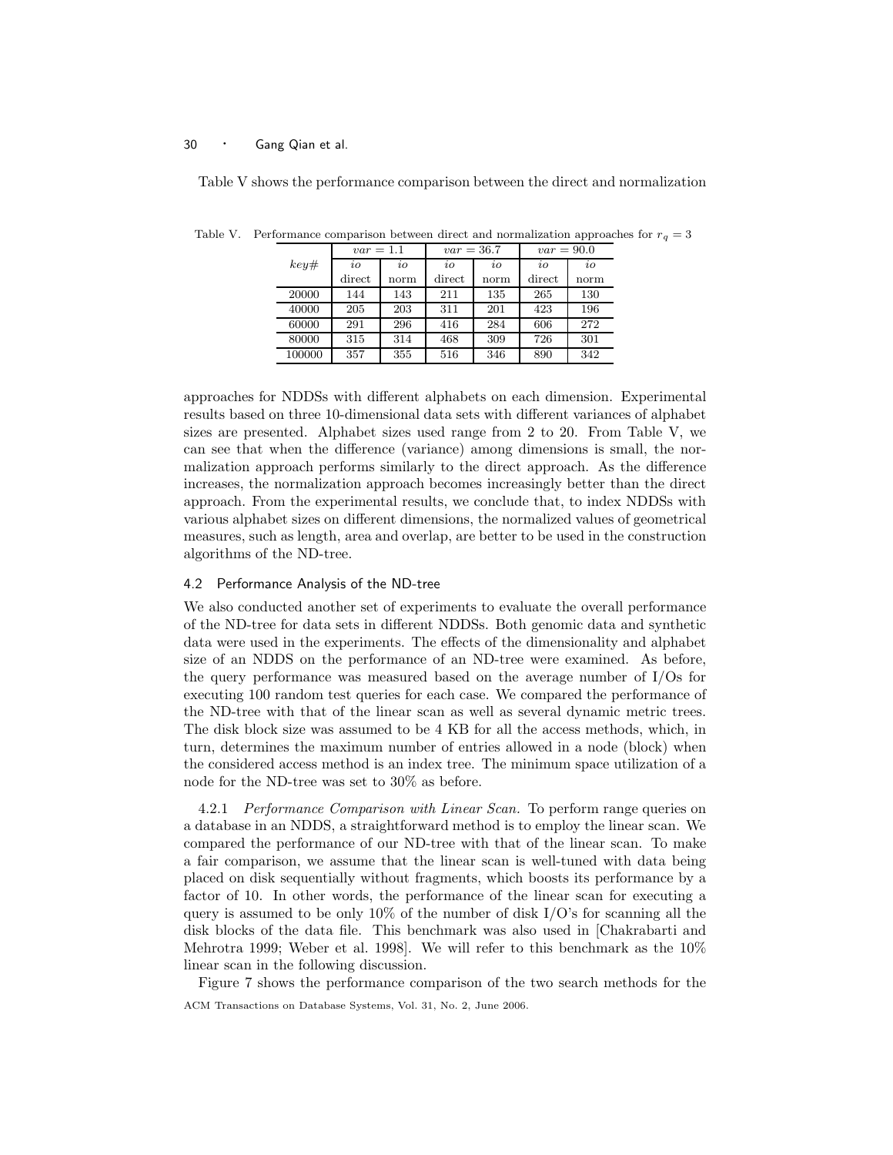Table V shows the performance comparison between the direct and normalization

|        | $var = 1.1$ |      | $var = 36.7$ |      | $var = 90.0$ |      |
|--------|-------------|------|--------------|------|--------------|------|
| key#   | io          | io   | io           | io   | $i\sigma$    | io   |
|        | direct      | norm | direct       | norm | direct       | norm |
| 20000  | 144         | 143  | 211          | 135  | 265          | 130  |
| 40000  | 205         | 203  | 311          | 201  | 423          | 196  |
| 60000  | 291         | 296  | 416          | 284  | 606          | 272  |
| 80000  | 315         | 314  | 468          | 309  | 726          | 301  |
| 100000 | 357         | 355  | 516          | 346  | 890          | 342  |

Table V. Performance comparison between direct and normalization approaches for  $r_q = 3$ 

approaches for NDDSs with different alphabets on each dimension. Experimental results based on three 10-dimensional data sets with different variances of alphabet sizes are presented. Alphabet sizes used range from 2 to 20. From Table V, we can see that when the difference (variance) among dimensions is small, the normalization approach performs similarly to the direct approach. As the difference increases, the normalization approach becomes increasingly better than the direct approach. From the experimental results, we conclude that, to index NDDSs with various alphabet sizes on different dimensions, the normalized values of geometrical measures, such as length, area and overlap, are better to be used in the construction algorithms of the ND-tree.

## 4.2 Performance Analysis of the ND-tree

We also conducted another set of experiments to evaluate the overall performance of the ND-tree for data sets in different NDDSs. Both genomic data and synthetic data were used in the experiments. The effects of the dimensionality and alphabet size of an NDDS on the performance of an ND-tree were examined. As before, the query performance was measured based on the average number of I/Os for executing 100 random test queries for each case. We compared the performance of the ND-tree with that of the linear scan as well as several dynamic metric trees. The disk block size was assumed to be 4 KB for all the access methods, which, in turn, determines the maximum number of entries allowed in a node (block) when the considered access method is an index tree. The minimum space utilization of a node for the ND-tree was set to 30% as before.

4.2.1 Performance Comparison with Linear Scan. To perform range queries on a database in an NDDS, a straightforward method is to employ the linear scan. We compared the performance of our ND-tree with that of the linear scan. To make a fair comparison, we assume that the linear scan is well-tuned with data being placed on disk sequentially without fragments, which boosts its performance by a factor of 10. In other words, the performance of the linear scan for executing a query is assumed to be only  $10\%$  of the number of disk I/O's for scanning all the disk blocks of the data file. This benchmark was also used in [Chakrabarti and Mehrotra 1999; Weber et al. 1998]. We will refer to this benchmark as the 10% linear scan in the following discussion.

Figure 7 shows the performance comparison of the two search methods for the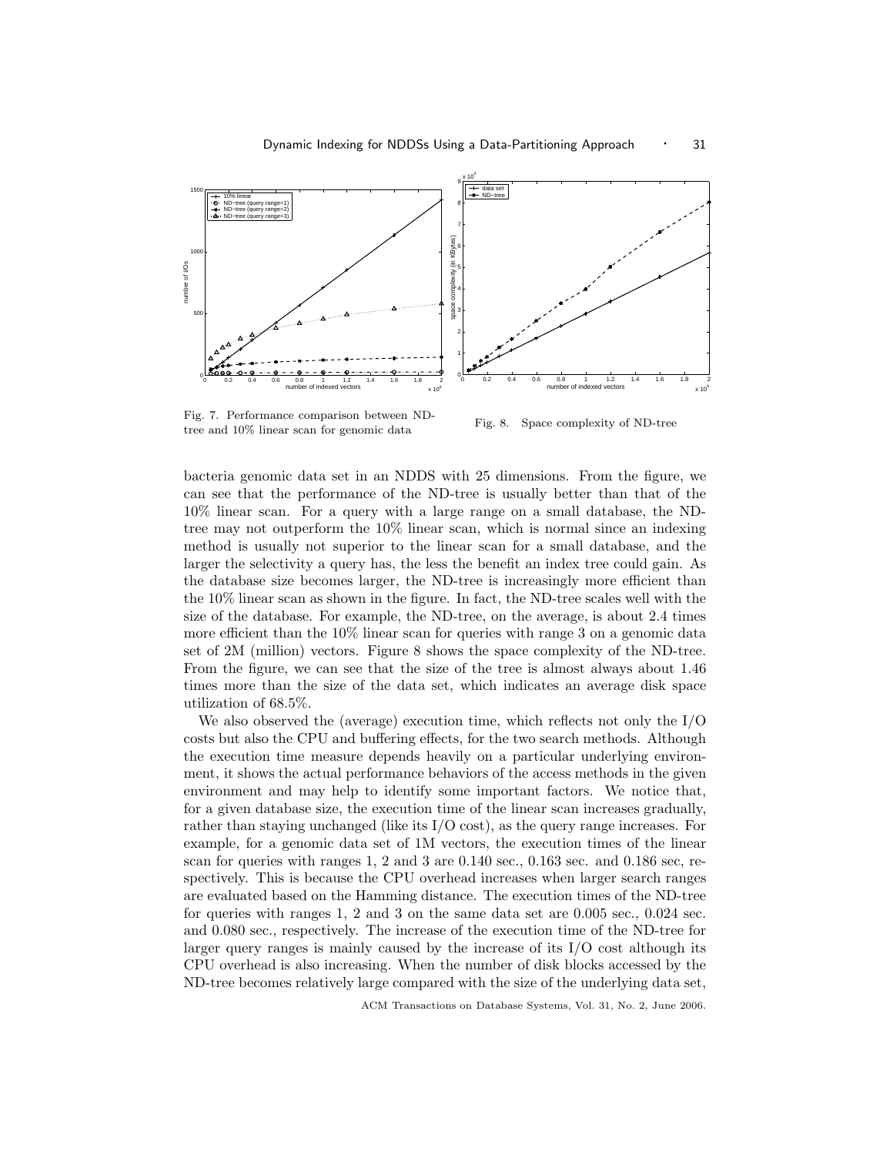

Fig. 7. Performance comparison between ND-Fig. 1. Ferformance comparison between ND-<br>Fig. 8. Space complexity of ND-tree<br>tree and 10% linear scan for genomic data

bacteria genomic data set in an NDDS with 25 dimensions. From the figure, we can see that the performance of the ND-tree is usually better than that of the 10% linear scan. For a query with a large range on a small database, the NDtree may not outperform the 10% linear scan, which is normal since an indexing method is usually not superior to the linear scan for a small database, and the larger the selectivity a query has, the less the benefit an index tree could gain. As the database size becomes larger, the ND-tree is increasingly more efficient than the 10% linear scan as shown in the figure. In fact, the ND-tree scales well with the size of the database. For example, the ND-tree, on the average, is about 2.4 times more efficient than the 10% linear scan for queries with range 3 on a genomic data set of 2M (million) vectors. Figure 8 shows the space complexity of the ND-tree. From the figure, we can see that the size of the tree is almost always about 1.46 times more than the size of the data set, which indicates an average disk space utilization of 68.5%.

We also observed the (average) execution time, which reflects not only the I/O costs but also the CPU and buffering effects, for the two search methods. Although the execution time measure depends heavily on a particular underlying environment, it shows the actual performance behaviors of the access methods in the given environment and may help to identify some important factors. We notice that, for a given database size, the execution time of the linear scan increases gradually, rather than staying unchanged (like its I/O cost), as the query range increases. For example, for a genomic data set of 1M vectors, the execution times of the linear scan for queries with ranges 1, 2 and 3 are 0.140 sec., 0.163 sec. and 0.186 sec, respectively. This is because the CPU overhead increases when larger search ranges are evaluated based on the Hamming distance. The execution times of the ND-tree for queries with ranges 1, 2 and 3 on the same data set are 0.005 sec., 0.024 sec. and 0.080 sec., respectively. The increase of the execution time of the ND-tree for larger query ranges is mainly caused by the increase of its I/O cost although its CPU overhead is also increasing. When the number of disk blocks accessed by the ND-tree becomes relatively large compared with the size of the underlying data set,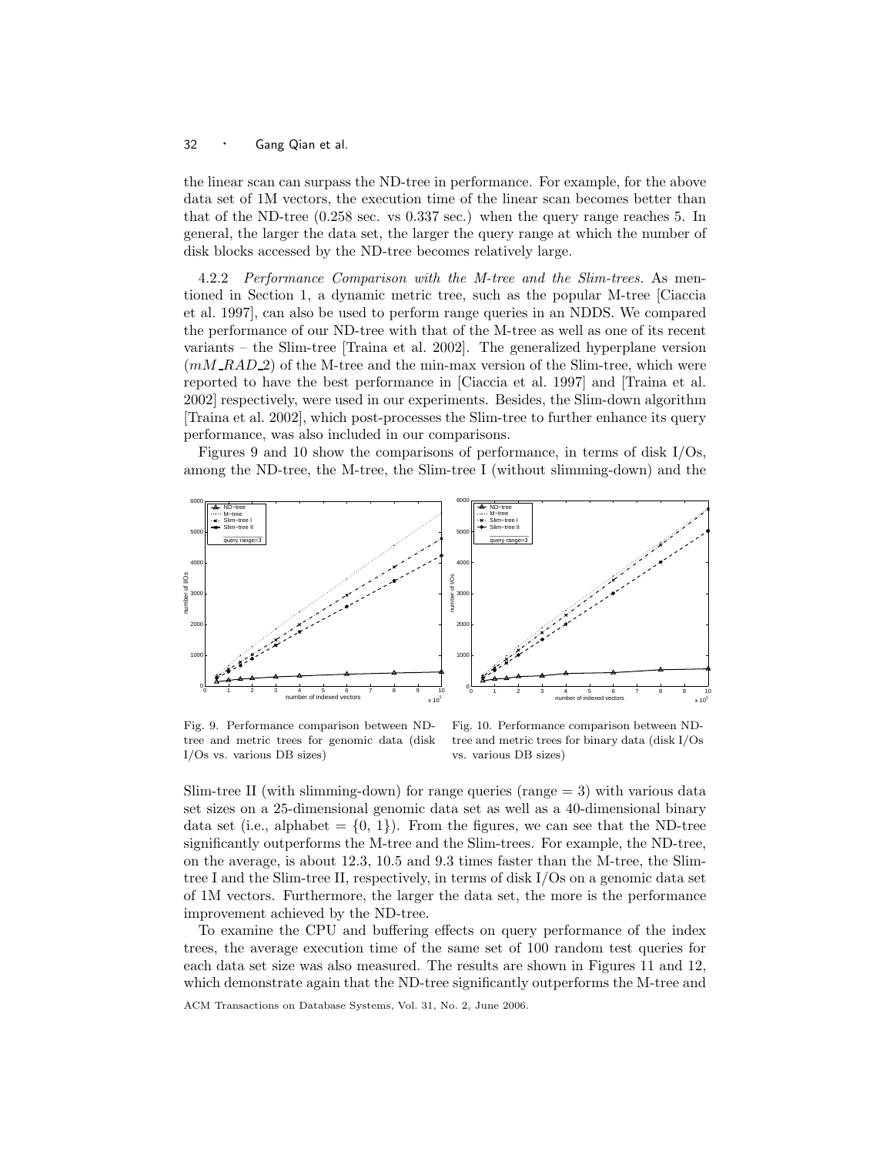the linear scan can surpass the ND-tree in performance. For example, for the above data set of 1M vectors, the execution time of the linear scan becomes better than that of the ND-tree (0.258 sec. vs 0.337 sec.) when the query range reaches 5. In general, the larger the data set, the larger the query range at which the number of disk blocks accessed by the ND-tree becomes relatively large.

4.2.2 Performance Comparison with the M-tree and the Slim-trees. As mentioned in Section 1, a dynamic metric tree, such as the popular M-tree [Ciaccia et al. 1997], can also be used to perform range queries in an NDDS. We compared the performance of our ND-tree with that of the M-tree as well as one of its recent variants – the Slim-tree [Traina et al. 2002]. The generalized hyperplane version  $(mM_RAD_2)$  of the M-tree and the min-max version of the Slim-tree, which were reported to have the best performance in [Ciaccia et al. 1997] and [Traina et al. 2002] respectively, were used in our experiments. Besides, the Slim-down algorithm [Traina et al. 2002], which post-processes the Slim-tree to further enhance its query performance, was also included in our comparisons.

Figures 9 and 10 show the comparisons of performance, in terms of disk I/Os, among the ND-tree, the M-tree, the Slim-tree I (without slimming-down) and the



Fig. 9. Performance comparison between NDtree and metric trees for genomic data (disk I/Os vs. various DB sizes)

Fig. 10. Performance comparison between NDtree and metric trees for binary data (disk I/Os vs. various DB sizes)

Slim-tree II (with slimming-down) for range queries (range  $=$  3) with various data set sizes on a 25-dimensional genomic data set as well as a 40-dimensional binary data set (i.e., alphabet  $= \{0, 1\}$ ). From the figures, we can see that the ND-tree significantly outperforms the M-tree and the Slim-trees. For example, the ND-tree, on the average, is about 12.3, 10.5 and 9.3 times faster than the M-tree, the Slimtree I and the Slim-tree II, respectively, in terms of disk I/Os on a genomic data set of 1M vectors. Furthermore, the larger the data set, the more is the performance improvement achieved by the ND-tree.

To examine the CPU and buffering effects on query performance of the index trees, the average execution time of the same set of 100 random test queries for each data set size was also measured. The results are shown in Figures 11 and 12, which demonstrate again that the ND-tree significantly outperforms the M-tree and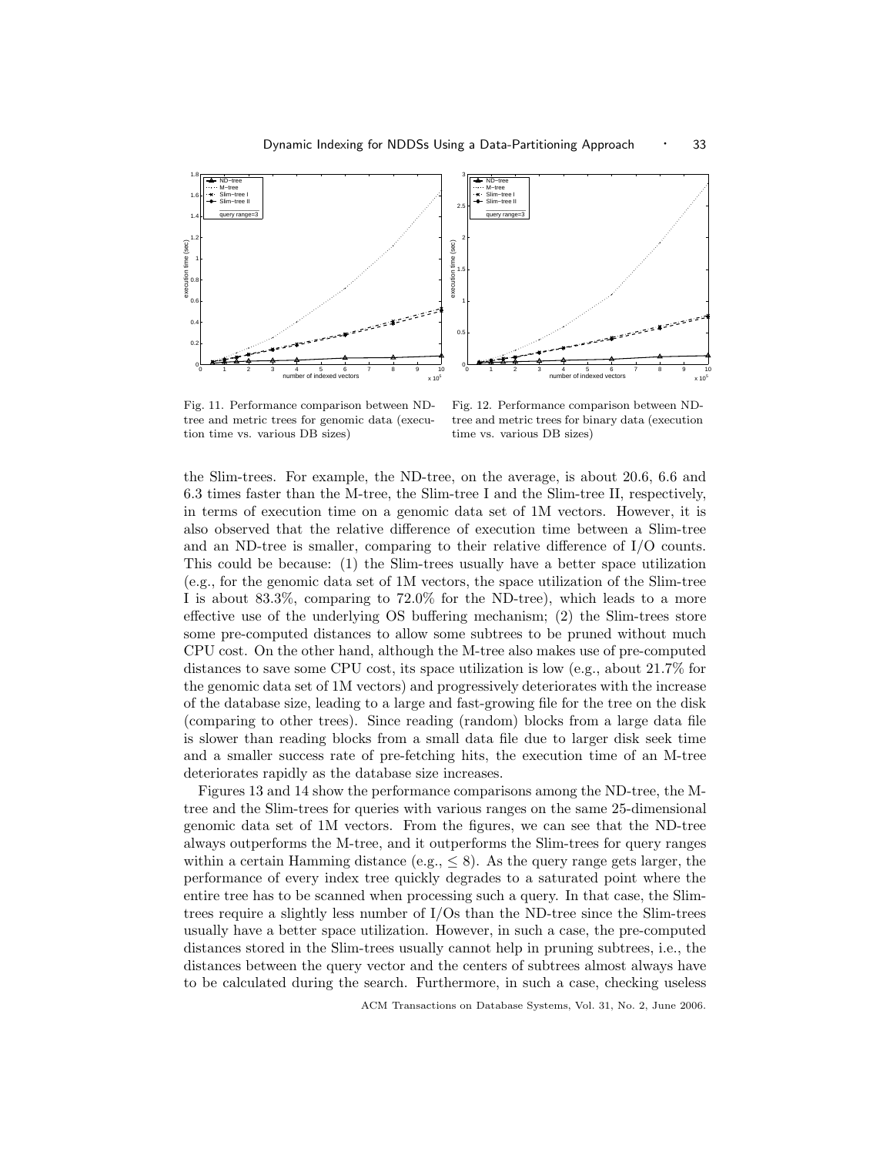

Fig. 11. Performance comparison between NDtree and metric trees for genomic data (execution time vs. various DB sizes)

Fig. 12. Performance comparison between NDtree and metric trees for binary data (execution time vs. various DB sizes)

the Slim-trees. For example, the ND-tree, on the average, is about 20.6, 6.6 and 6.3 times faster than the M-tree, the Slim-tree I and the Slim-tree II, respectively, in terms of execution time on a genomic data set of 1M vectors. However, it is also observed that the relative difference of execution time between a Slim-tree and an ND-tree is smaller, comparing to their relative difference of I/O counts. This could be because: (1) the Slim-trees usually have a better space utilization (e.g., for the genomic data set of 1M vectors, the space utilization of the Slim-tree I is about 83.3%, comparing to 72.0% for the ND-tree), which leads to a more effective use of the underlying OS buffering mechanism; (2) the Slim-trees store some pre-computed distances to allow some subtrees to be pruned without much CPU cost. On the other hand, although the M-tree also makes use of pre-computed distances to save some CPU cost, its space utilization is low (e.g., about 21.7% for the genomic data set of 1M vectors) and progressively deteriorates with the increase of the database size, leading to a large and fast-growing file for the tree on the disk (comparing to other trees). Since reading (random) blocks from a large data file is slower than reading blocks from a small data file due to larger disk seek time and a smaller success rate of pre-fetching hits, the execution time of an M-tree deteriorates rapidly as the database size increases.

Figures 13 and 14 show the performance comparisons among the ND-tree, the Mtree and the Slim-trees for queries with various ranges on the same 25-dimensional genomic data set of 1M vectors. From the figures, we can see that the ND-tree always outperforms the M-tree, and it outperforms the Slim-trees for query ranges within a certain Hamming distance (e.g.,  $\leq$  8). As the query range gets larger, the performance of every index tree quickly degrades to a saturated point where the entire tree has to be scanned when processing such a query. In that case, the Slimtrees require a slightly less number of I/Os than the ND-tree since the Slim-trees usually have a better space utilization. However, in such a case, the pre-computed distances stored in the Slim-trees usually cannot help in pruning subtrees, i.e., the distances between the query vector and the centers of subtrees almost always have to be calculated during the search. Furthermore, in such a case, checking useless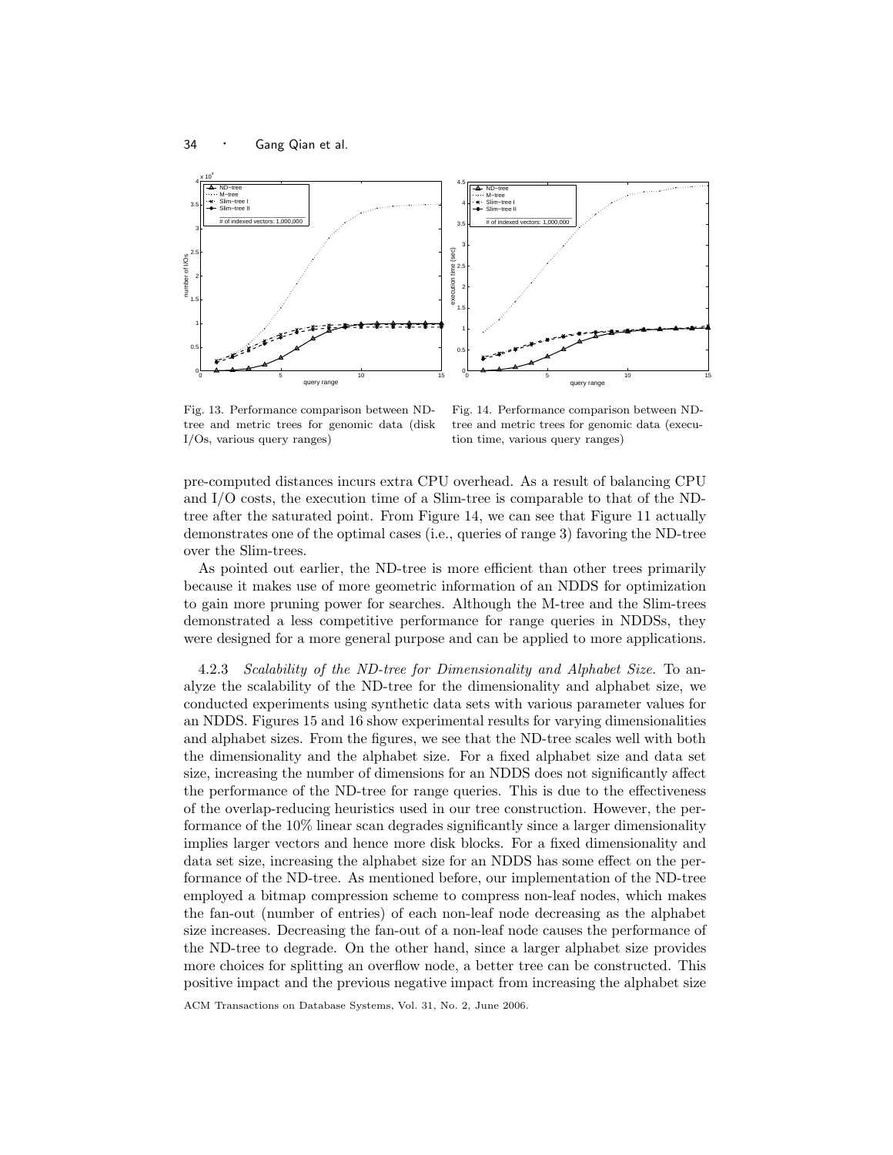

Fig. 13. Performance comparison between NDtree and metric trees for genomic data (disk I/Os, various query ranges)

Fig. 14. Performance comparison between NDtree and metric trees for genomic data (execution time, various query ranges)

pre-computed distances incurs extra CPU overhead. As a result of balancing CPU and I/O costs, the execution time of a Slim-tree is comparable to that of the NDtree after the saturated point. From Figure 14, we can see that Figure 11 actually demonstrates one of the optimal cases (i.e., queries of range 3) favoring the ND-tree over the Slim-trees.

As pointed out earlier, the ND-tree is more efficient than other trees primarily because it makes use of more geometric information of an NDDS for optimization to gain more pruning power for searches. Although the M-tree and the Slim-trees demonstrated a less competitive performance for range queries in NDDSs, they were designed for a more general purpose and can be applied to more applications.

4.2.3 Scalability of the ND-tree for Dimensionality and Alphabet Size. To analyze the scalability of the ND-tree for the dimensionality and alphabet size, we conducted experiments using synthetic data sets with various parameter values for an NDDS. Figures 15 and 16 show experimental results for varying dimensionalities and alphabet sizes. From the figures, we see that the ND-tree scales well with both the dimensionality and the alphabet size. For a fixed alphabet size and data set size, increasing the number of dimensions for an NDDS does not significantly affect the performance of the ND-tree for range queries. This is due to the effectiveness of the overlap-reducing heuristics used in our tree construction. However, the performance of the 10% linear scan degrades significantly since a larger dimensionality implies larger vectors and hence more disk blocks. For a fixed dimensionality and data set size, increasing the alphabet size for an NDDS has some effect on the performance of the ND-tree. As mentioned before, our implementation of the ND-tree employed a bitmap compression scheme to compress non-leaf nodes, which makes the fan-out (number of entries) of each non-leaf node decreasing as the alphabet size increases. Decreasing the fan-out of a non-leaf node causes the performance of the ND-tree to degrade. On the other hand, since a larger alphabet size provides more choices for splitting an overflow node, a better tree can be constructed. This positive impact and the previous negative impact from increasing the alphabet size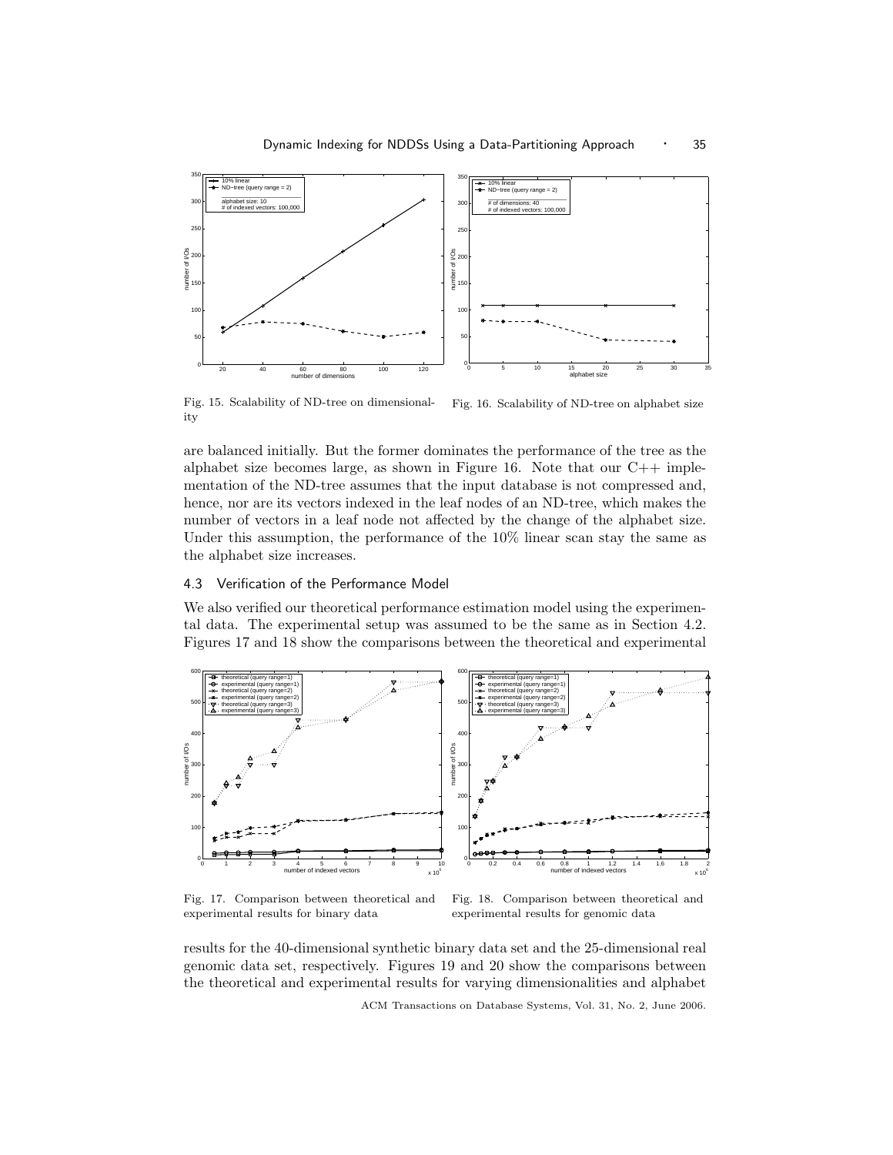

Fig. 15. Scalability of ND-tree on dimensionality Fig. 16. Scalability of ND-tree on alphabet size

are balanced initially. But the former dominates the performance of the tree as the alphabet size becomes large, as shown in Figure 16. Note that our  $C++$  implementation of the ND-tree assumes that the input database is not compressed and, hence, nor are its vectors indexed in the leaf nodes of an ND-tree, which makes the number of vectors in a leaf node not affected by the change of the alphabet size. Under this assumption, the performance of the 10% linear scan stay the same as the alphabet size increases.

## 4.3 Verification of the Performance Model

We also verified our theoretical performance estimation model using the experimental data. The experimental setup was assumed to be the same as in Section 4.2. Figures 17 and 18 show the comparisons between the theoretical and experimental



Fig. 17. Comparison between theoretical and experimental results for binary data

Fig. 18. Comparison between theoretical and experimental results for genomic data

results for the 40-dimensional synthetic binary data set and the 25-dimensional real genomic data set, respectively. Figures 19 and 20 show the comparisons between the theoretical and experimental results for varying dimensionalities and alphabet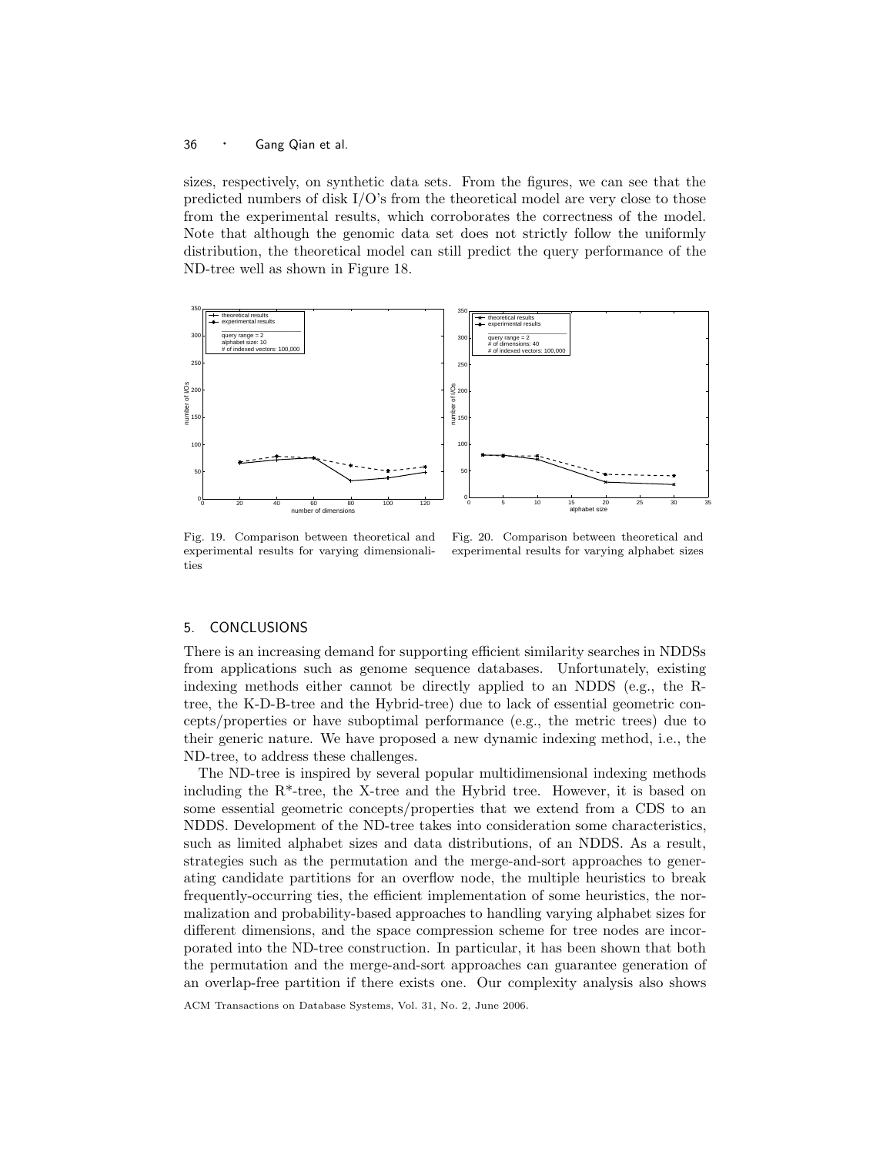sizes, respectively, on synthetic data sets. From the figures, we can see that the predicted numbers of disk I/O's from the theoretical model are very close to those from the experimental results, which corroborates the correctness of the model. Note that although the genomic data set does not strictly follow the uniformly distribution, the theoretical model can still predict the query performance of the ND-tree well as shown in Figure 18.



Fig. 19. Comparison between theoretical and experimental results for varying dimensionalities

Fig. 20. Comparison between theoretical and experimental results for varying alphabet sizes

## 5. CONCLUSIONS

There is an increasing demand for supporting efficient similarity searches in NDDSs from applications such as genome sequence databases. Unfortunately, existing indexing methods either cannot be directly applied to an NDDS (e.g., the Rtree, the K-D-B-tree and the Hybrid-tree) due to lack of essential geometric concepts/properties or have suboptimal performance (e.g., the metric trees) due to their generic nature. We have proposed a new dynamic indexing method, i.e., the ND-tree, to address these challenges.

The ND-tree is inspired by several popular multidimensional indexing methods including the  $R^*$ -tree, the X-tree and the Hybrid tree. However, it is based on some essential geometric concepts/properties that we extend from a CDS to an NDDS. Development of the ND-tree takes into consideration some characteristics, such as limited alphabet sizes and data distributions, of an NDDS. As a result, strategies such as the permutation and the merge-and-sort approaches to generating candidate partitions for an overflow node, the multiple heuristics to break frequently-occurring ties, the efficient implementation of some heuristics, the normalization and probability-based approaches to handling varying alphabet sizes for different dimensions, and the space compression scheme for tree nodes are incorporated into the ND-tree construction. In particular, it has been shown that both the permutation and the merge-and-sort approaches can guarantee generation of an overlap-free partition if there exists one. Our complexity analysis also shows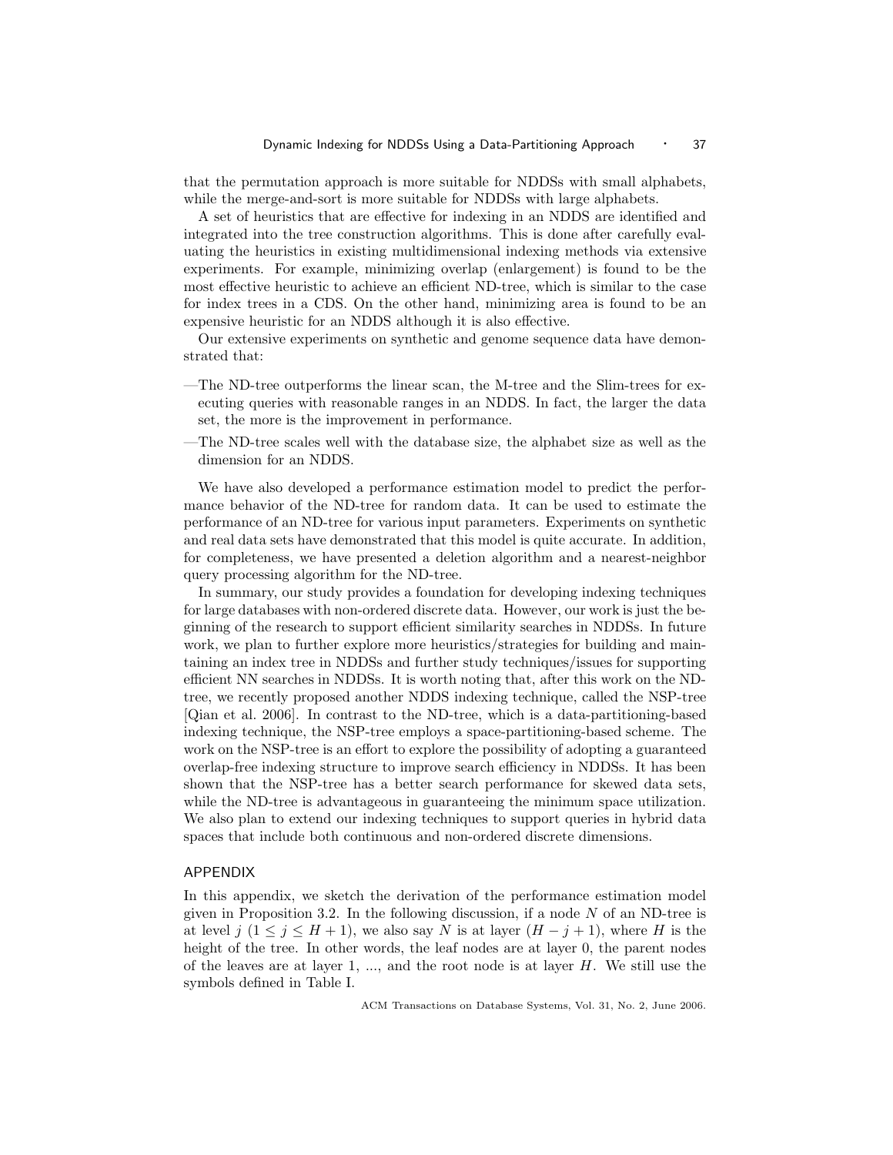that the permutation approach is more suitable for NDDSs with small alphabets, while the merge-and-sort is more suitable for NDDSs with large alphabets.

A set of heuristics that are effective for indexing in an NDDS are identified and integrated into the tree construction algorithms. This is done after carefully evaluating the heuristics in existing multidimensional indexing methods via extensive experiments. For example, minimizing overlap (enlargement) is found to be the most effective heuristic to achieve an efficient ND-tree, which is similar to the case for index trees in a CDS. On the other hand, minimizing area is found to be an expensive heuristic for an NDDS although it is also effective.

Our extensive experiments on synthetic and genome sequence data have demonstrated that:

- —The ND-tree outperforms the linear scan, the M-tree and the Slim-trees for executing queries with reasonable ranges in an NDDS. In fact, the larger the data set, the more is the improvement in performance.
- —The ND-tree scales well with the database size, the alphabet size as well as the dimension for an NDDS.

We have also developed a performance estimation model to predict the performance behavior of the ND-tree for random data. It can be used to estimate the performance of an ND-tree for various input parameters. Experiments on synthetic and real data sets have demonstrated that this model is quite accurate. In addition, for completeness, we have presented a deletion algorithm and a nearest-neighbor query processing algorithm for the ND-tree.

In summary, our study provides a foundation for developing indexing techniques for large databases with non-ordered discrete data. However, our work is just the beginning of the research to support efficient similarity searches in NDDSs. In future work, we plan to further explore more heuristics/strategies for building and maintaining an index tree in NDDSs and further study techniques/issues for supporting efficient NN searches in NDDSs. It is worth noting that, after this work on the NDtree, we recently proposed another NDDS indexing technique, called the NSP-tree [Qian et al. 2006]. In contrast to the ND-tree, which is a data-partitioning-based indexing technique, the NSP-tree employs a space-partitioning-based scheme. The work on the NSP-tree is an effort to explore the possibility of adopting a guaranteed overlap-free indexing structure to improve search efficiency in NDDSs. It has been shown that the NSP-tree has a better search performance for skewed data sets, while the ND-tree is advantageous in guaranteeing the minimum space utilization. We also plan to extend our indexing techniques to support queries in hybrid data spaces that include both continuous and non-ordered discrete dimensions.

## APPENDIX

In this appendix, we sketch the derivation of the performance estimation model given in Proposition 3.2. In the following discussion, if a node  $N$  of an ND-tree is at level  $j$   $(1 \le j \le H+1)$ , we also say N is at layer  $(H-j+1)$ , where H is the height of the tree. In other words, the leaf nodes are at layer 0, the parent nodes of the leaves are at layer 1,  $\dots$ , and the root node is at layer  $H$ . We still use the symbols defined in Table I.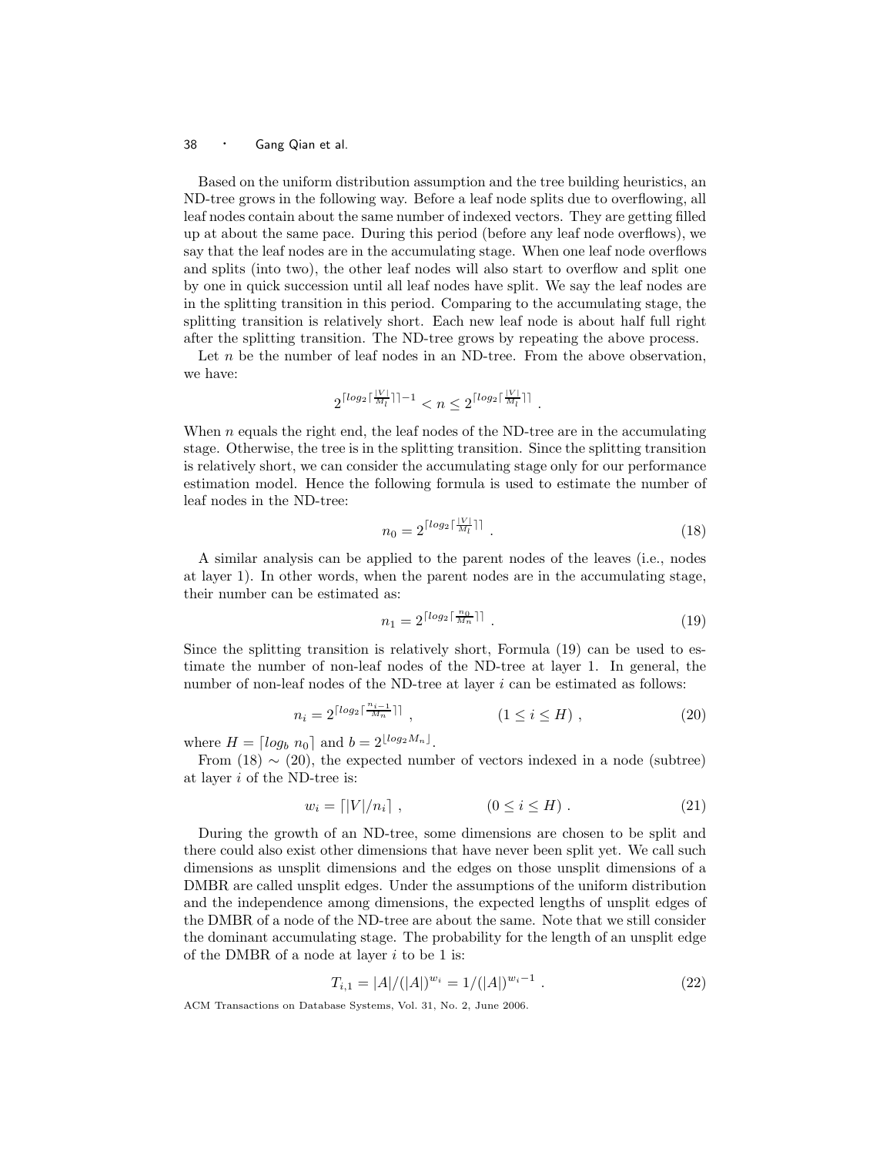Based on the uniform distribution assumption and the tree building heuristics, an ND-tree grows in the following way. Before a leaf node splits due to overflowing, all leaf nodes contain about the same number of indexed vectors. They are getting filled up at about the same pace. During this period (before any leaf node overflows), we say that the leaf nodes are in the accumulating stage. When one leaf node overflows and splits (into two), the other leaf nodes will also start to overflow and split one by one in quick succession until all leaf nodes have split. We say the leaf nodes are in the splitting transition in this period. Comparing to the accumulating stage, the splitting transition is relatively short. Each new leaf node is about half full right after the splitting transition. The ND-tree grows by repeating the above process.

Let  $n$  be the number of leaf nodes in an ND-tree. From the above observation, we have:

$$
2^{\lceil log_2 \lceil \frac{|V|}{M_l} \rceil \rceil - 1} < n \leq 2^{\lceil log_2 \lceil \frac{|V|}{M_l} \rceil \rceil}
$$

When  $n$  equals the right end, the leaf nodes of the ND-tree are in the accumulating stage. Otherwise, the tree is in the splitting transition. Since the splitting transition is relatively short, we can consider the accumulating stage only for our performance estimation model. Hence the following formula is used to estimate the number of leaf nodes in the ND-tree:

$$
n_0 = 2^{\lceil \log_2 \lceil \frac{|V|}{M_l} \rceil \rceil} \tag{18}
$$

.

A similar analysis can be applied to the parent nodes of the leaves (i.e., nodes at layer 1). In other words, when the parent nodes are in the accumulating stage, their number can be estimated as:

$$
n_1 = 2^{\lceil \log_2 \lceil \frac{n_0}{M_n} \rceil \rceil} \,. \tag{19}
$$

Since the splitting transition is relatively short, Formula (19) can be used to estimate the number of non-leaf nodes of the ND-tree at layer 1. In general, the number of non-leaf nodes of the ND-tree at layer i can be estimated as follows:

$$
n_i = 2^{\lceil \log_2 \lceil \frac{n_{i-1}}{M_n} \rceil \rceil}, \qquad (1 \le i \le H), \qquad (20)
$$

where  $H = \lfloor log_b n_0 \rfloor$  and  $b = 2^{\lfloor log_2 M_n \rfloor}$ .

From (18)  $\sim$  (20), the expected number of vectors indexed in a node (subtree) at layer i of the ND-tree is:

$$
w_i = \lceil |V|/n_i \rceil , \qquad (0 \le i \le H) . \tag{21}
$$

During the growth of an ND-tree, some dimensions are chosen to be split and there could also exist other dimensions that have never been split yet. We call such dimensions as unsplit dimensions and the edges on those unsplit dimensions of a DMBR are called unsplit edges. Under the assumptions of the uniform distribution and the independence among dimensions, the expected lengths of unsplit edges of the DMBR of a node of the ND-tree are about the same. Note that we still consider the dominant accumulating stage. The probability for the length of an unsplit edge of the DMBR of a node at layer  $i$  to be 1 is:

$$
T_{i,1} = |A|/(|A|)^{w_i} = 1/(|A|)^{w_i - 1} . \tag{22}
$$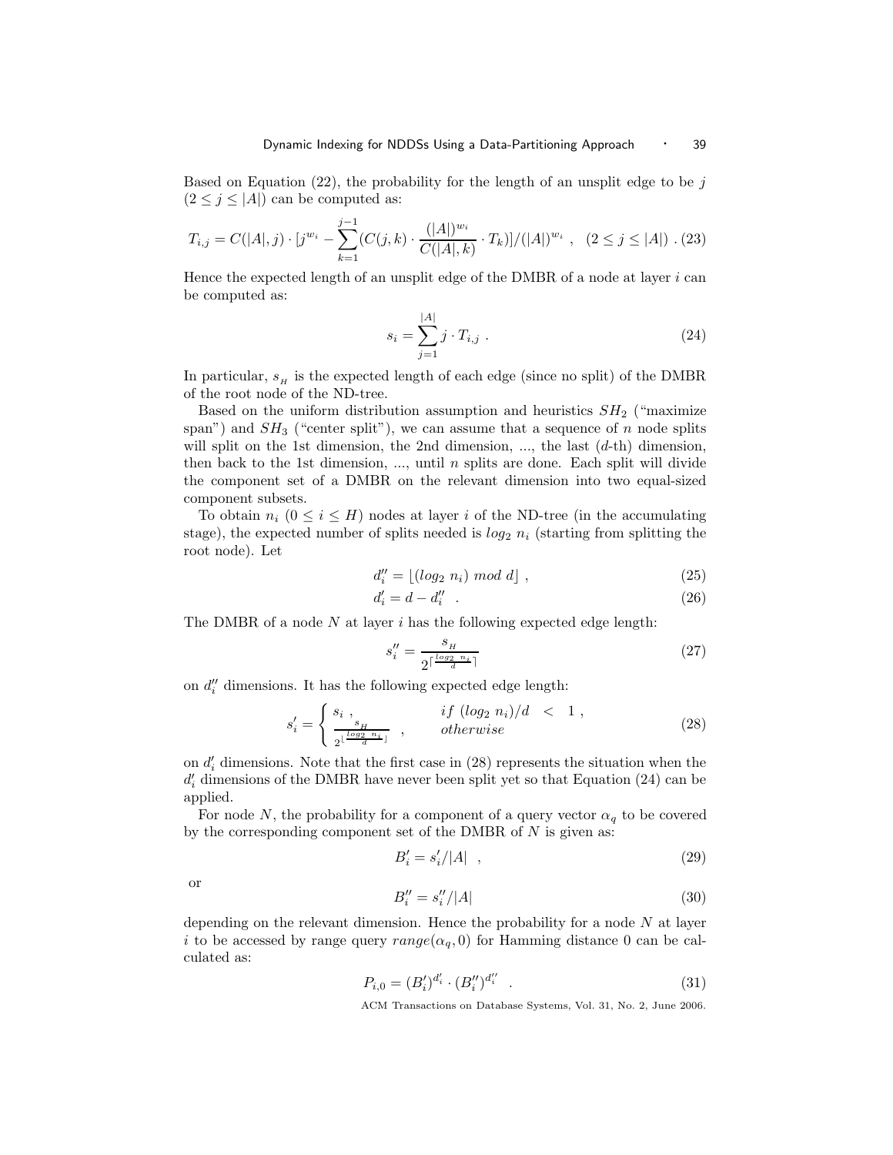Based on Equation (22), the probability for the length of an unsplit edge to be  $j$  $(2 \leq j \leq |A|)$  can be computed as:

$$
T_{i,j} = C(|A|, j) \cdot [j^{w_i} - \sum_{k=1}^{j-1} (C(j,k) \cdot \frac{(|A|)^{w_i}}{C(|A|, k)} \cdot T_k)] / (|A|)^{w_i}, \quad (2 \le j \le |A|) \cdot (23)
$$

Hence the expected length of an unsplit edge of the DMBR of a node at layer  $i$  can be computed as:

$$
s_i = \sum_{j=1}^{|A|} j \cdot T_{i,j} \tag{24}
$$

In particular,  $s_H$  is the expected length of each edge (since no split) of the DMBR of the root node of the ND-tree.

Based on the uniform distribution assumption and heuristics  $SH_2$  ("maximize span") and  $SH_3$  ("center split"), we can assume that a sequence of n node splits will split on the 1st dimension, the 2nd dimension,  $\dots$ , the last  $(d-th)$  dimension, then back to the 1st dimension,  $\dots$ , until n splits are done. Each split will divide the component set of a DMBR on the relevant dimension into two equal-sized component subsets.

To obtain  $n_i$   $(0 \le i \le H)$  nodes at layer i of the ND-tree (in the accumulating stage), the expected number of splits needed is  $log_2 n_i$  (starting from splitting the root node). Let

$$
d_i'' = \lfloor (\log_2 n_i) \bmod d \rfloor , \qquad (25)
$$

$$
d_i' = d - d_i'' \tag{26}
$$

The DMBR of a node N at layer i has the following expected edge length:

$$
s_i'' = \frac{s_H}{2^{\lceil \frac{\log_2 n_i}{d} \rceil}}\tag{27}
$$

on  $d_i''$  dimensions. It has the following expected edge length:

$$
s'_{i} = \begin{cases} s_{i} , & if (log_2 n_i)/d < 1 ,\\ \frac{s_{H}}{2^{\lfloor \frac{log_2 n_i}{d} \rfloor}} , & otherwise \end{cases}
$$
 (28)

on  $d_i'$  dimensions. Note that the first case in  $(28)$  represents the situation when the  $d'_{i}$  dimensions of the DMBR have never been split yet so that Equation (24) can be applied.

For node N, the probability for a component of a query vector  $\alpha_q$  to be covered by the corresponding component set of the DMBR of  $N$  is given as:

$$
B_i' = s_i'/|A| \quad , \tag{29}
$$

or

$$
B_i'' = s_i'' / |A| \tag{30}
$$

depending on the relevant dimension. Hence the probability for a node  $N$  at layer i to be accessed by range query  $range(\alpha_q, 0)$  for Hamming distance 0 can be calculated as:

$$
P_{i,0} = (B_i')^{d_i'} \cdot (B_i'')^{d_i''} \quad . \tag{31}
$$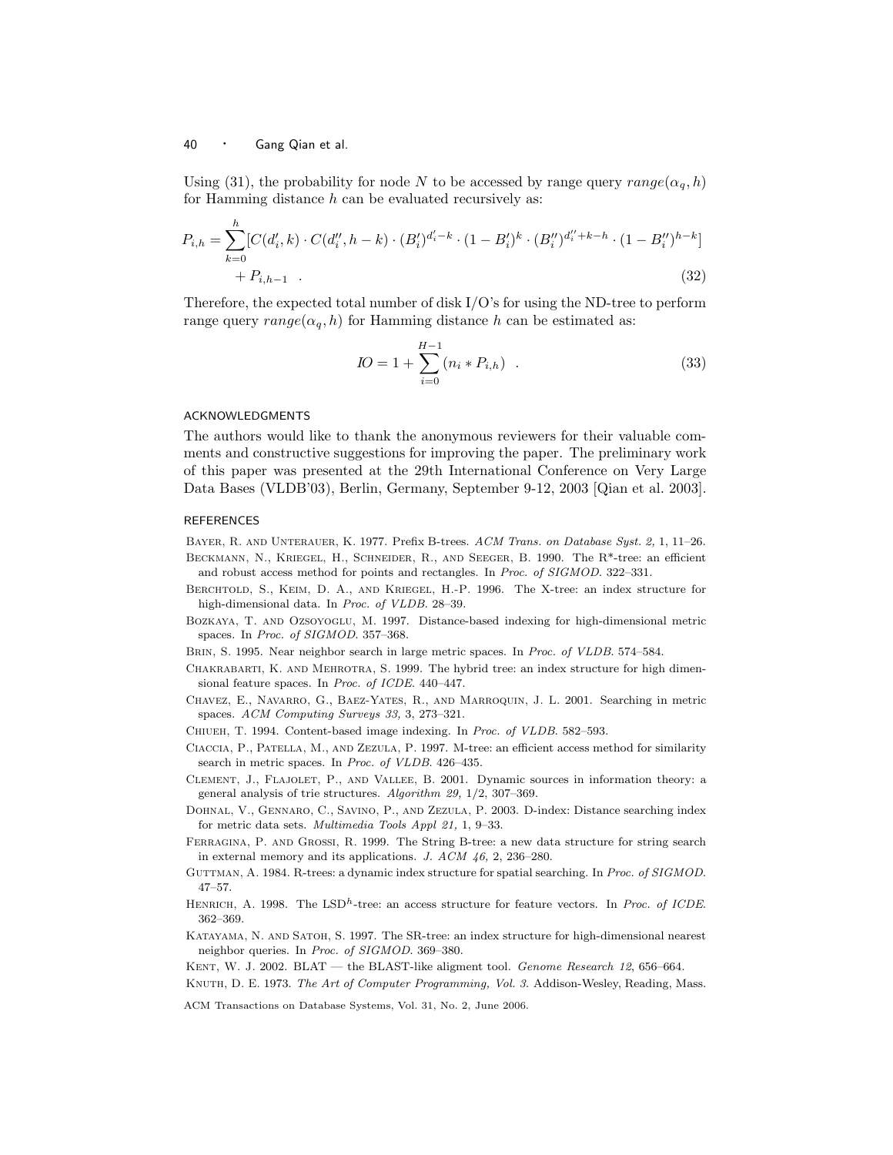Using (31), the probability for node N to be accessed by range query  $range(\alpha_a, h)$ for Hamming distance  $h$  can be evaluated recursively as:

$$
P_{i,h} = \sum_{k=0}^{h} [C(d'_i, k) \cdot C(d''_i, h - k) \cdot (B'_i)^{d'_i - k} \cdot (1 - B'_i)^k \cdot (B''_i)^{d''_i + k - h} \cdot (1 - B''_i)^{h - k}]
$$
  
+  $P_{i,h-1}$ . (32)

Therefore, the expected total number of disk I/O's for using the ND-tree to perform range query  $range(\alpha_q, h)$  for Hamming distance h can be estimated as:

$$
IO = 1 + \sum_{i=0}^{H-1} (n_i * P_{i,h})
$$
 (33)

## ACKNOWLEDGMENTS

The authors would like to thank the anonymous reviewers for their valuable comments and constructive suggestions for improving the paper. The preliminary work of this paper was presented at the 29th International Conference on Very Large Data Bases (VLDB'03), Berlin, Germany, September 9-12, 2003 [Qian et al. 2003].

#### REFERENCES

- Bayer, R. and Unterauer, K. 1977. Prefix B-trees. ACM Trans. on Database Syst. 2, 1, 11–26. Beckmann, N., Kriegel, H., Schneider, R., and Seeger, B. 1990. The R\*-tree: an efficient and robust access method for points and rectangles. In Proc. of SIGMOD. 322–331.
- Berchtold, S., Keim, D. A., and Kriegel, H.-P. 1996. The X-tree: an index structure for high-dimensional data. In Proc. of VLDB. 28–39.
- Bozkaya, T. and Ozsoyoglu, M. 1997. Distance-based indexing for high-dimensional metric spaces. In Proc. of SIGMOD. 357–368.
- Brin, S. 1995. Near neighbor search in large metric spaces. In Proc. of VLDB. 574–584.
- Chakrabarti, K. and Mehrotra, S. 1999. The hybrid tree: an index structure for high dimensional feature spaces. In Proc. of ICDE. 440–447.
- Chavez, E., Navarro, G., Baez-Yates, R., and Marroquin, J. L. 2001. Searching in metric spaces. ACM Computing Surveys 33, 3, 273–321.
- Chiueh, T. 1994. Content-based image indexing. In Proc. of VLDB. 582–593.
- Ciaccia, P., Patella, M., and Zezula, P. 1997. M-tree: an efficient access method for similarity search in metric spaces. In Proc. of VLDB. 426–435.
- Clement, J., Flajolet, P., and Vallee, B. 2001. Dynamic sources in information theory: a general analysis of trie structures. Algorithm 29, 1/2, 307–369.
- Dohnal, V., Gennaro, C., Savino, P., and Zezula, P. 2003. D-index: Distance searching index for metric data sets. Multimedia Tools Appl 21, 1, 9–33.
- Ferragina, P. and Grossi, R. 1999. The String B-tree: a new data structure for string search in external memory and its applications. J. ACM 46, 2, 236–280.
- GUTTMAN, A. 1984. R-trees: a dynamic index structure for spatial searching. In Proc. of SIGMOD. 47–57.
- HENRICH, A. 1998. The LSD<sup>h</sup>-tree: an access structure for feature vectors. In Proc. of ICDE. 362–369.
- Katayama, N. and Satoh, S. 1997. The SR-tree: an index structure for high-dimensional nearest neighbor queries. In Proc. of SIGMOD. 369–380.

KENT, W. J. 2002. BLAT — the BLAST-like aligment tool. Genome Research 12, 656-664.

KNUTH, D. E. 1973. The Art of Computer Programming, Vol. 3. Addison-Wesley, Reading, Mass.